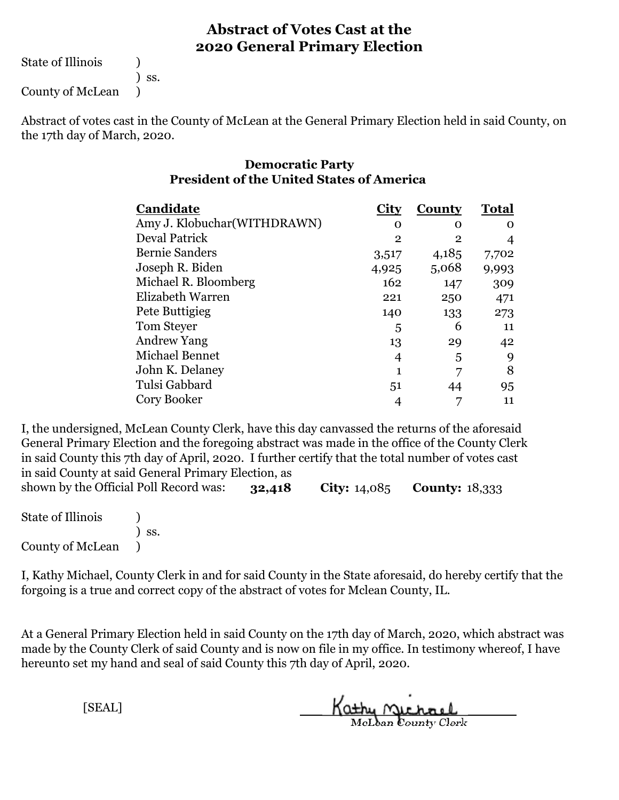State of Illinois (1)

) ss.

County of McLean )

Abstract of votes cast in the County of McLean at the General Primary Election held in said County, on the 17th day of March, 2020.

#### **Democratic Party President of the United States of America**

| Candidate                    | City         | County         | <b>Total</b> |  |
|------------------------------|--------------|----------------|--------------|--|
| Amy J. Klobuchar (WITHDRAWN) | 0            | Ω              | ∩            |  |
| <b>Deval Patrick</b>         | $\mathbf{2}$ | $\overline{2}$ |              |  |
| <b>Bernie Sanders</b>        | 3,517        | 4,185          | 7,702        |  |
| Joseph R. Biden              | 4,925        | 5,068          | 9,993        |  |
| Michael R. Bloomberg         | 162          | 147            | 309          |  |
| Elizabeth Warren             | 221          | 250            | 471          |  |
| Pete Buttigieg               | 140          | 133            | 273          |  |
| Tom Steyer                   | 5            | 6              | 11           |  |
| <b>Andrew Yang</b>           | 13           | 29             | 42           |  |
| Michael Bennet               | 4            | 5              | 9            |  |
| John K. Delaney              |              |                | 8            |  |
| Tulsi Gabbard                | 51           | 44             | 95           |  |
| Cory Booker                  |              |                | 11           |  |

**32,418 City:** 14,085 **County:** 18,333 shown by the Official Poll Record was: I, the undersigned, McLean County Clerk, have this day canvassed the returns of the aforesaid General Primary Election and the foregoing abstract was made in the office of the County Clerk in said County this 7th day of April, 2020. I further certify that the total number of votes cast in said County at said General Primary Election, as

| <b>State of Illinois</b> |                              |
|--------------------------|------------------------------|
|                          | $\overline{\phantom{a}}$ SS. |
| County of McLean         |                              |

I, Kathy Michael, County Clerk in and for said County in the State aforesaid, do hereby certify that the forgoing is a true and correct copy of the abstract of votes for Mclean County, IL.

At a General Primary Election held in said County on the 17th day of March, 2020, which abstract was made by the County Clerk of said County and is now on file in my office. In testimony whereof, I have hereunto set my hand and seal of said County this 7th day of April, 2020.

Kathy Michael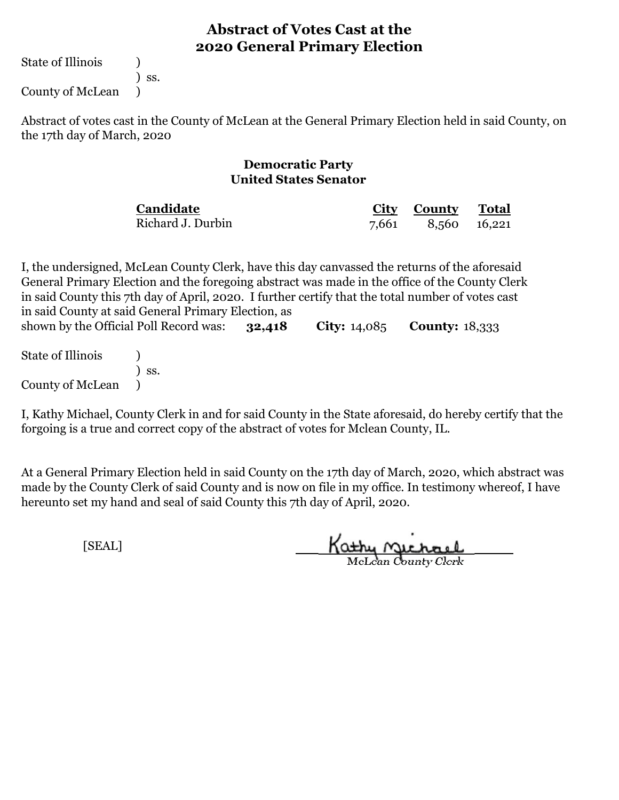State of Illinois (1)

) ss.

County of McLean )

Abstract of votes cast in the County of McLean at the General Primary Election held in said County, on the 17th day of March, 2020

#### **Democratic Party United States Senator**

| Candidate         | City County Total  |  |
|-------------------|--------------------|--|
| Richard J. Durbin | 7,661 8,560 16,221 |  |

**32,418 City:** 14,085 **County:** 18,333 I, the undersigned, McLean County Clerk, have this day canvassed the returns of the aforesaid General Primary Election and the foregoing abstract was made in the office of the County Clerk in said County this 7th day of April, 2020. I further certify that the total number of votes cast in said County at said General Primary Election, as shown by the Official Poll Record was:

State of Illinois (a) ) ss. County of McLean )

I, Kathy Michael, County Clerk in and for said County in the State aforesaid, do hereby certify that the forgoing is a true and correct copy of the abstract of votes for Mclean County, IL.

At a General Primary Election held in said County on the 17th day of March, 2020, which abstract was made by the County Clerk of said County and is now on file in my office. In testimony whereof, I have hereunto set my hand and seal of said County this 7th day of April, 2020.

Kathy Michael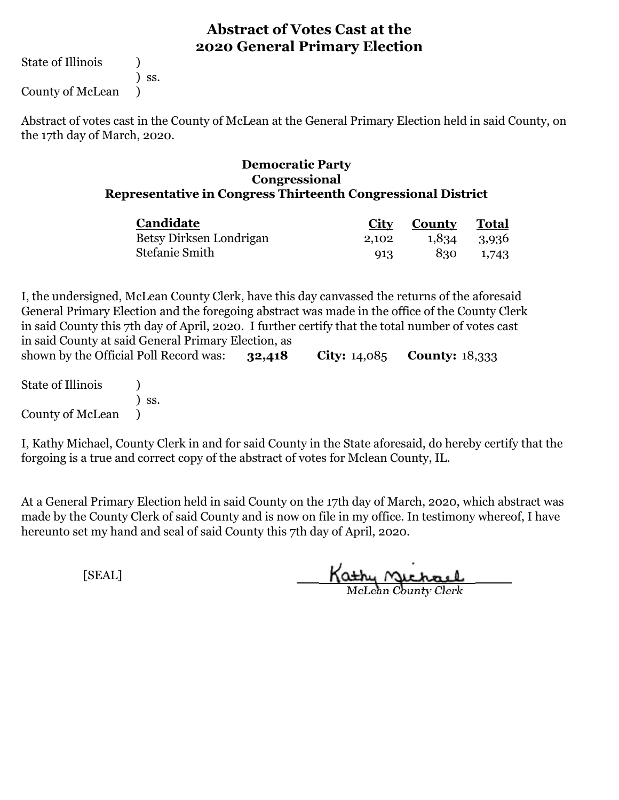State of Illinois (1)

) ss.

County of McLean )

Abstract of votes cast in the County of McLean at the General Primary Election held in said County, on the 17th day of March, 2020.

#### **Democratic Party Congressional Representative in Congress Thirteenth Congressional District**

| <b>Candidate</b>        | City  | <b>County Total</b> |             |
|-------------------------|-------|---------------------|-------------|
| Betsy Dirksen Londrigan | 2.102 |                     | 1,834 3,936 |
| Stefanie Smith          | 913   | 830                 | 1,743       |

**32,418 City:** 14,085 **County:** 18,333 I, the undersigned, McLean County Clerk, have this day canvassed the returns of the aforesaid General Primary Election and the foregoing abstract was made in the office of the County Clerk in said County this 7th day of April, 2020. I further certify that the total number of votes cast in said County at said General Primary Election, as shown by the Official Poll Record was:

State of Illinois (1) ) ss. County of McLean )

I, Kathy Michael, County Clerk in and for said County in the State aforesaid, do hereby certify that the forgoing is a true and correct copy of the abstract of votes for Mclean County, IL.

At a General Primary Election held in said County on the 17th day of March, 2020, which abstract was made by the County Clerk of said County and is now on file in my office. In testimony whereof, I have hereunto set my hand and seal of said County this 7th day of April, 2020.

Kathy Michael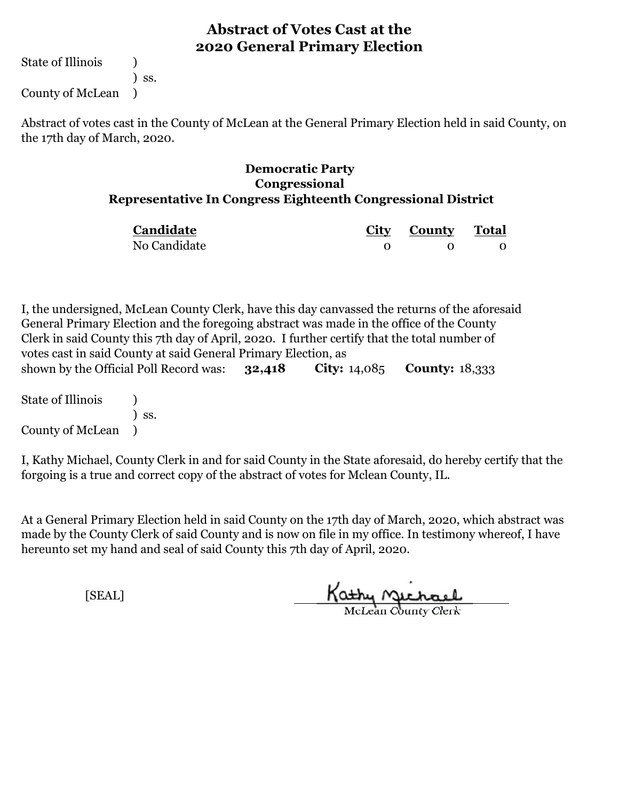State of Illinois (1) ) ss. County of McLean )

Abstract of votes cast in the County of McLean at the General Primary Election held in said County, on the 17th day of March, 2020.

#### **Democratic Party Congressional Representative In Congress Eighteenth Congressional District**

| Candidate    | City County Total |  |
|--------------|-------------------|--|
| No Candidate |                   |  |

**32,418 City:** 14,085 **County:** 18,333 I, the undersigned, McLean County Clerk, have this day canvassed the returns of the aforesaid General Primary Election and the foregoing abstract was made in the office of the County Clerk in said County this 7th day of April, 2020. I further certify that the total number of votes cast in said County at said General Primary Election, as shown by the Official Poll Record was:

State of Illinois (1) ) ss. County of McLean )

I, Kathy Michael, County Clerk in and for said County in the State aforesaid, do hereby certify that the forgoing is a true and correct copy of the abstract of votes for Mclean County, IL.

At a General Primary Election held in said County on the 17th day of March, 2020, which abstract was made by the County Clerk of said County and is now on file in my office. In testimony whereof, I have hereunto set my hand and seal of said County this 7th day of April, 2020.

Kathy Victoria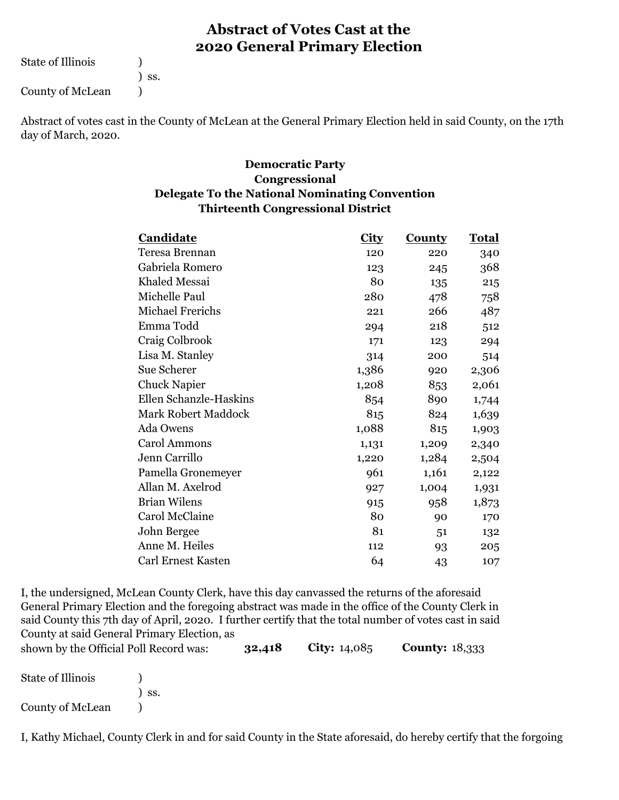State of Illinois (a)

) ss.

County of McLean (1)

Abstract of votes cast in the County of McLean at the General Primary Election held in said County, on the 17th day of March, 2020.

#### **Thirteenth Congressional District Democratic Party Congressional Delegate To the National Nominating Convention**

| Candidate                  | <b>City</b> | <b>County</b> | <u>Total</u> |  |
|----------------------------|-------------|---------------|--------------|--|
| Teresa Brennan             | 120         | 220           | 340          |  |
| Gabriela Romero            | 123         | 245           | 368          |  |
| Khaled Messai              | 80          | 135           | 215          |  |
| Michelle Paul              | 280         | 478           | 758          |  |
| <b>Michael Frerichs</b>    | 221         | 266           | 487          |  |
| Emma Todd                  | 294         | 218           | 512          |  |
| Craig Colbrook             | 171         | 123           | 294          |  |
| Lisa M. Stanley            | 314         | 200           | 514          |  |
| Sue Scherer                | 1,386       | 920           | 2,306        |  |
| <b>Chuck Napier</b>        | 1,208       | 853           | 2,061        |  |
| Ellen Schanzle-Haskins     | 854         | 890           | 1,744        |  |
| <b>Mark Robert Maddock</b> | 815         | 824           | 1,639        |  |
| Ada Owens                  | 1,088       | 815           | 1,903        |  |
| <b>Carol Ammons</b>        | 1,131       | 1,209         | 2,340        |  |
| Jenn Carrillo              | 1,220       | 1,284         | 2,504        |  |
| Pamella Gronemeyer         | 961         | 1,161         | 2,122        |  |
| Allan M. Axelrod           | 927         | 1,004         | 1,931        |  |
| <b>Brian Wilens</b>        | 915         | 958           | 1,873        |  |
| Carol McClaine             | 80          | 90            | 170          |  |
| John Bergee                | 81          | 51            | 132          |  |
| Anne M. Heiles             | 112         | 93            | 205          |  |
| <b>Carl Ernest Kasten</b>  | 64          | 43            | 107          |  |

**32,418 City:** 14,085 **County:** 18,333 I, the undersigned, McLean County Clerk, have this day canvassed the returns of the aforesaid General Primary Election and the foregoing abstract was made in the office of the County Clerk in said County this 7th day of April, 2020. I further certify that the total number of votes cast in said County at said General Primary Election, as

| shown by the Official Poll Record was: | 32,418 | <b>City:</b> $14,085$ | Coun |
|----------------------------------------|--------|-----------------------|------|
|----------------------------------------|--------|-----------------------|------|

| <b>State of Illinois</b> |            |
|--------------------------|------------|
|                          | $\sum$ SS. |
| County of McLean         |            |

I, Kathy Michael, County Clerk in and for said County in the State aforesaid, do hereby certify that the forgoing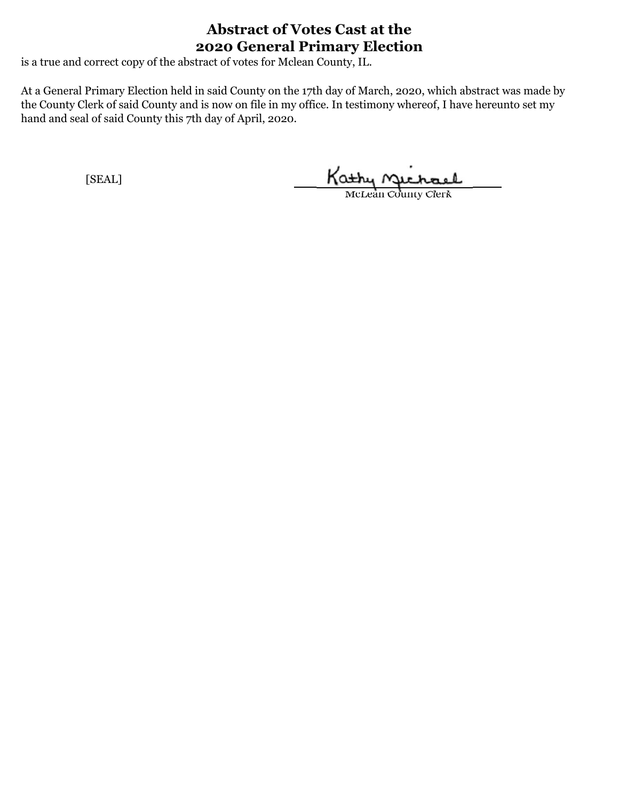is a true and correct copy of the abstract of votes for Mclean County, IL.

At a General Primary Election held in said County on the 17th day of March, 2020, which abstract was made by the County Clerk of said County and is now on file in my office. In testimony whereof, I have hereunto set my hand and seal of said County this 7th day of April, 2020.

Kathy Michael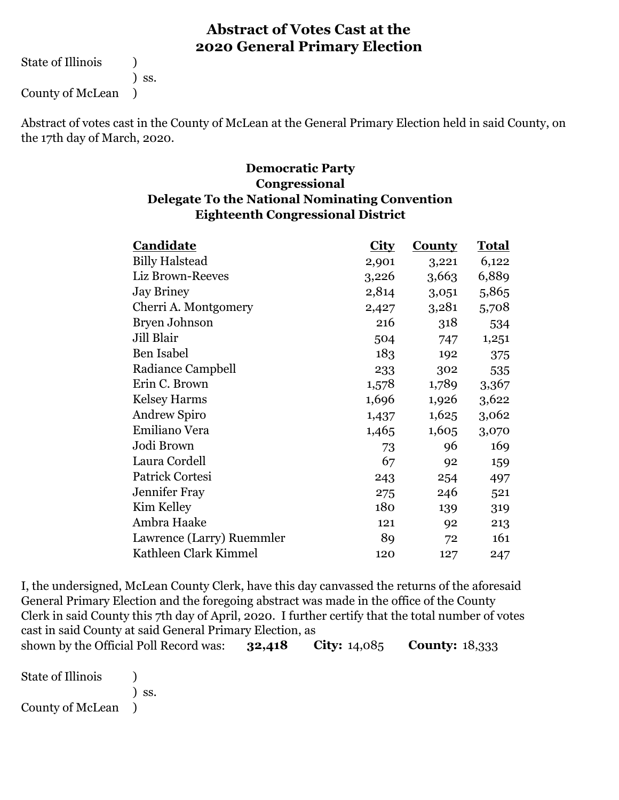State of Illinois (1)

) ss.

County of McLean )

Abstract of votes cast in the County of McLean at the General Primary Election held in said County, on the 17th day of March, 2020.

#### **Eighteenth Congressional District Democratic Party Congressional Delegate To the National Nominating Convention**

| Candidate                 | City  | <b>County</b> | <b>Total</b> |
|---------------------------|-------|---------------|--------------|
| <b>Billy Halstead</b>     | 2,901 | 3,221         | 6,122        |
| Liz Brown-Reeves          | 3,226 | 3,663         | 6,889        |
| <b>Jay Briney</b>         | 2,814 | 3,051         | 5,865        |
| Cherri A. Montgomery      | 2,427 | 3,281         | 5,708        |
| Bryen Johnson             | 216   | 318           | 534          |
| Jill Blair                | 504   | 747           | 1,251        |
| <b>Ben Isabel</b>         | 183   | 192           | 375          |
| Radiance Campbell         | 233   | 302           | 535          |
| Erin C. Brown             | 1,578 | 1,789         | 3,367        |
| <b>Kelsey Harms</b>       | 1,696 | 1,926         | 3,622        |
| <b>Andrew Spiro</b>       | 1,437 | 1,625         | 3,062        |
| Emiliano Vera             | 1,465 | 1,605         | 3,070        |
| Jodi Brown                | 73    | 96            | 169          |
| Laura Cordell             | 67    | 92            | 159          |
| Patrick Cortesi           | 243   | 254           | 497          |
| <b>Jennifer Fray</b>      | 275   | 246           | 521          |
| Kim Kelley                | 180   | 139           | 319          |
| Ambra Haake               | 121   | 92            | 213          |
| Lawrence (Larry) Ruemmler | 89    | 72            | 161          |
| Kathleen Clark Kimmel     | 120   | 127           | 247          |

**32,418 City:** 14,085 **County:** 18,333 I, the undersigned, McLean County Clerk, have this day canvassed the returns of the aforesaid General Primary Election and the foregoing abstract was made in the office of the County Clerk in said County this 7th day of April, 2020. I further certify that the total number of votes cast in said County at said General Primary Election, as shown by the Official Poll Record was:

State of Illinois (a) ) ss. County of McLean )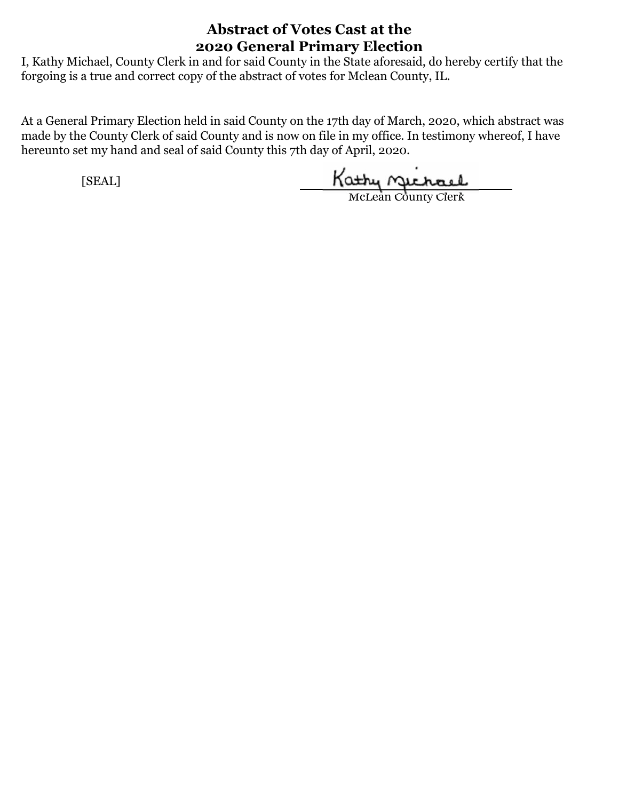I, Kathy Michael, County Clerk in and for said County in the State aforesaid, do hereby certify that the forgoing is a true and correct copy of the abstract of votes for Mclean County, IL.

At a General Primary Election held in said County on the 17th day of March, 2020, which abstract was made by the County Clerk of said County and is now on file in my office. In testimony whereof, I have hereunto set my hand and seal of said County this 7th day of April, 2020.

Kathy nichael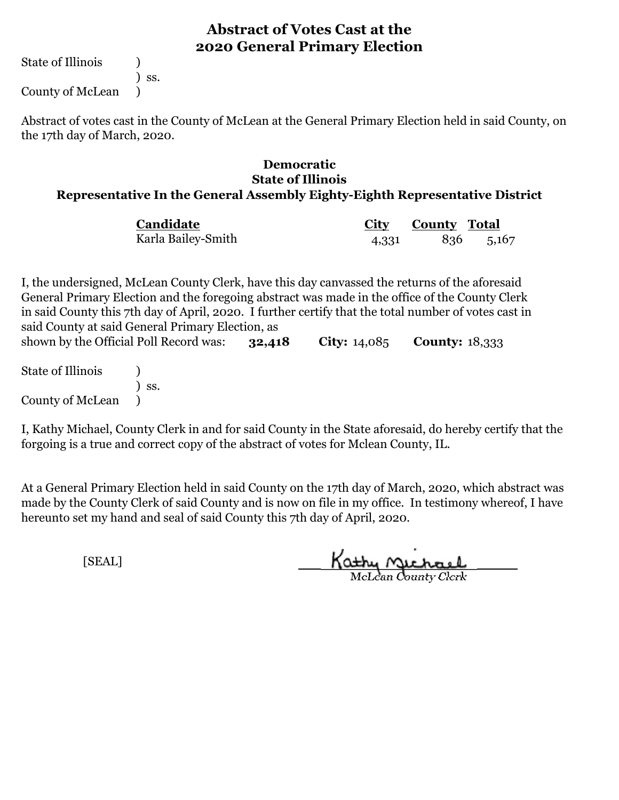State of Illinois (1)

) ss.

County of McLean )

Abstract of votes cast in the County of McLean at the General Primary Election held in said County, on the 17th day of March, 2020.

# **Democratic State of Illinois**

#### **Representative In the General Assembly Eighty-Eighth Representative District**

| Candidate          |       | City County Total |           |
|--------------------|-------|-------------------|-----------|
| Karla Bailey-Smith | 4,331 |                   | 836 5,167 |

**32,418 City:** 14,085 **County:** 18,333 I, the undersigned, McLean County Clerk, have this day canvassed the returns of the aforesaid General Primary Election and the foregoing abstract was made in the office of the County Clerk in said County this 7th day of April, 2020. I further certify that the total number of votes cast in said County at said General Primary Election, as shown by the Official Poll Record was:

State of Illinois (a) ) ss. County of McLean )

I, Kathy Michael, County Clerk in and for said County in the State aforesaid, do hereby certify that the forgoing is a true and correct copy of the abstract of votes for Mclean County, IL.

At a General Primary Election held in said County on the 17th day of March, 2020, which abstract was made by the County Clerk of said County and is now on file in my office. In testimony whereof, I have hereunto set my hand and seal of said County this 7th day of April, 2020.

Kathy Michael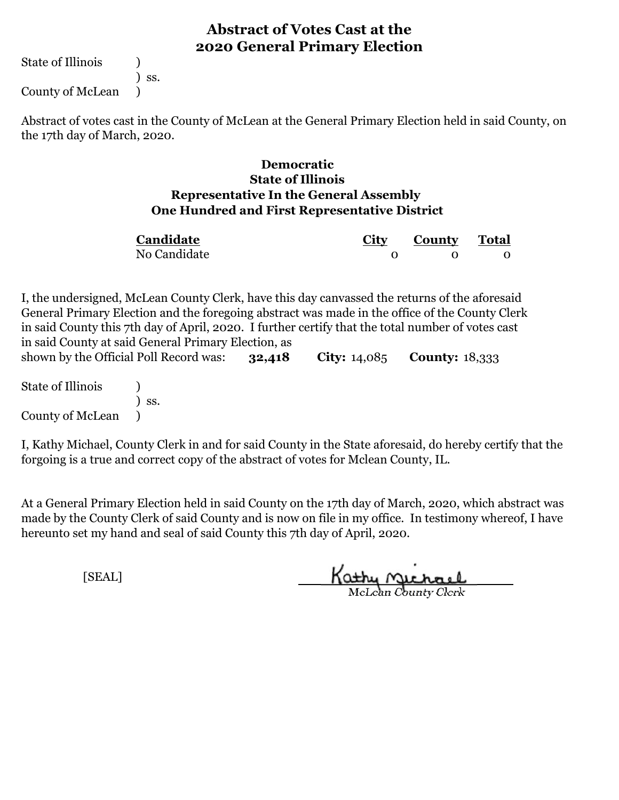State of Illinois (1)

) ss.

County of McLean )

Abstract of votes cast in the County of McLean at the General Primary Election held in said County, on the 17th day of March, 2020.

#### **One Hundred and First Representative District Democratic State of Illinois Representative In the General Assembly**

| Candidate    | City | <b>County Total</b> |  |
|--------------|------|---------------------|--|
| No Candidate |      |                     |  |

**32,418 City:** 14,085 **County:** 18,333 I, the undersigned, McLean County Clerk, have this day canvassed the returns of the aforesaid General Primary Election and the foregoing abstract was made in the office of the County Clerk in said County this 7th day of April, 2020. I further certify that the total number of votes cast in said County at said General Primary Election, as shown by the Official Poll Record was:

State of Illinois (1) ) ss. County of McLean )

I, Kathy Michael, County Clerk in and for said County in the State aforesaid, do hereby certify that the forgoing is a true and correct copy of the abstract of votes for Mclean County, IL.

At a General Primary Election held in said County on the 17th day of March, 2020, which abstract was made by the County Clerk of said County and is now on file in my office. In testimony whereof, I have hereunto set my hand and seal of said County this 7th day of April, 2020.

Kathy Michael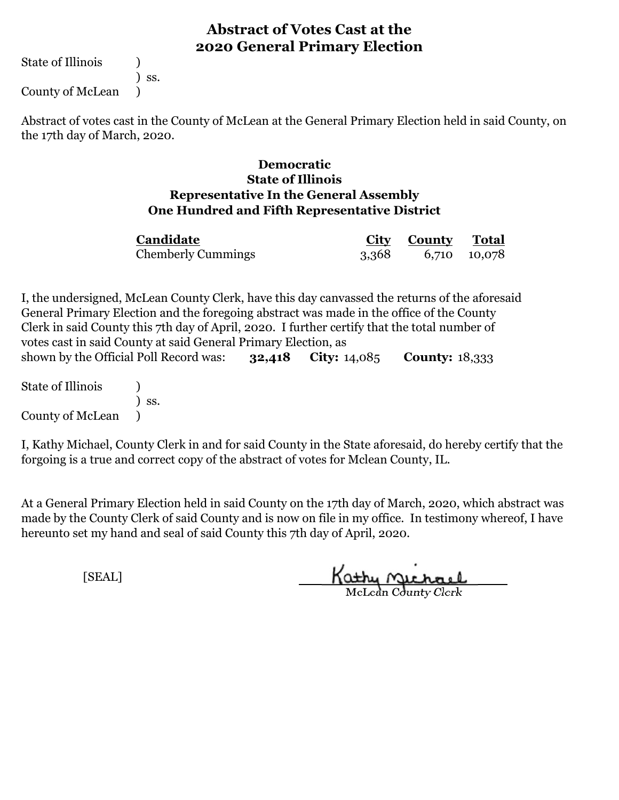State of Illinois (1)

) ss.

County of McLean )

Abstract of votes cast in the County of McLean at the General Primary Election held in said County, on the 17th day of March, 2020.

#### **One Hundred and Fifth Representative District Democratic State of Illinois Representative In the General Assembly**

| Candidate                 | City County Total  |  |
|---------------------------|--------------------|--|
| <b>Chemberly Cummings</b> | 3,368 6,710 10,078 |  |

**32,418 City:** 14,085 **County:** 18,333 I, the undersigned, McLean County Clerk, have this day canvassed the returns of the aforesaid General Primary Election and the foregoing abstract was made in the office of the County Clerk in said County this 7th day of April, 2020. I further certify that the total number of votes cast in said County at said General Primary Election, as shown by the Official Poll Record was:

State of Illinois (1) ) ss. County of McLean )

I, Kathy Michael, County Clerk in and for said County in the State aforesaid, do hereby certify that the forgoing is a true and correct copy of the abstract of votes for Mclean County, IL.

At a General Primary Election held in said County on the 17th day of March, 2020, which abstract was made by the County Clerk of said County and is now on file in my office. In testimony whereof, I have hereunto set my hand and seal of said County this 7th day of April, 2020.

Kathy Michael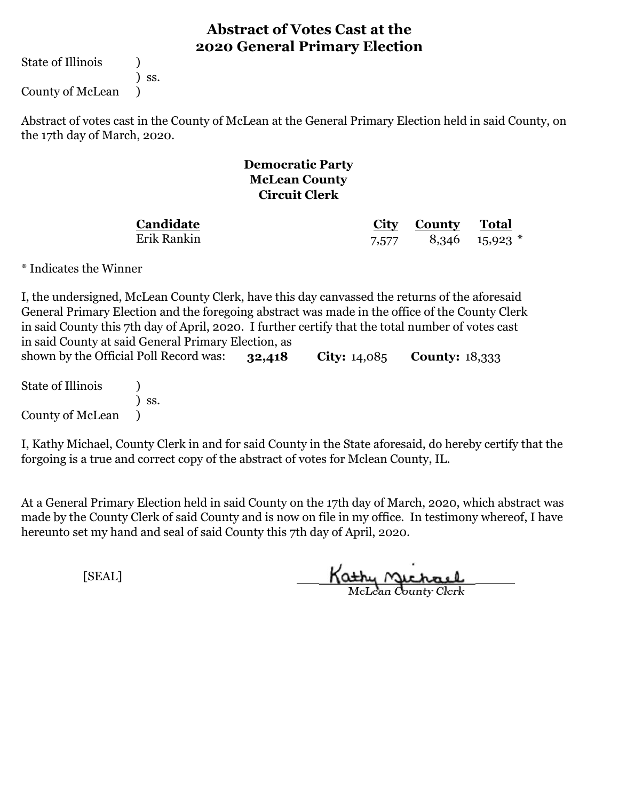State of Illinois (1)

) ss.

County of McLean )

Abstract of votes cast in the County of McLean at the General Primary Election held in said County, on the 17th day of March, 2020.

#### **Democratic Party McLean County Circuit Clerk**

**Candidate** Erik Rankin

**City County Total** 7,577 8,346 15,923 \*

\* Indicates the Winner

**32,418 City:** 14,085 **County:** 18,333 I, the undersigned, McLean County Clerk, have this day canvassed the returns of the aforesaid General Primary Election and the foregoing abstract was made in the office of the County Clerk in said County this 7th day of April, 2020. I further certify that the total number of votes cast in said County at said General Primary Election, as shown by the Official Poll Record was:

State of Illinois (1) ) ss. County of McLean )

I, Kathy Michael, County Clerk in and for said County in the State aforesaid, do hereby certify that the forgoing is a true and correct copy of the abstract of votes for Mclean County, IL.

At a General Primary Election held in said County on the 17th day of March, 2020, which abstract was made by the County Clerk of said County and is now on file in my office. In testimony whereof, I have hereunto set my hand and seal of said County this 7th day of April, 2020.

Kathy Michael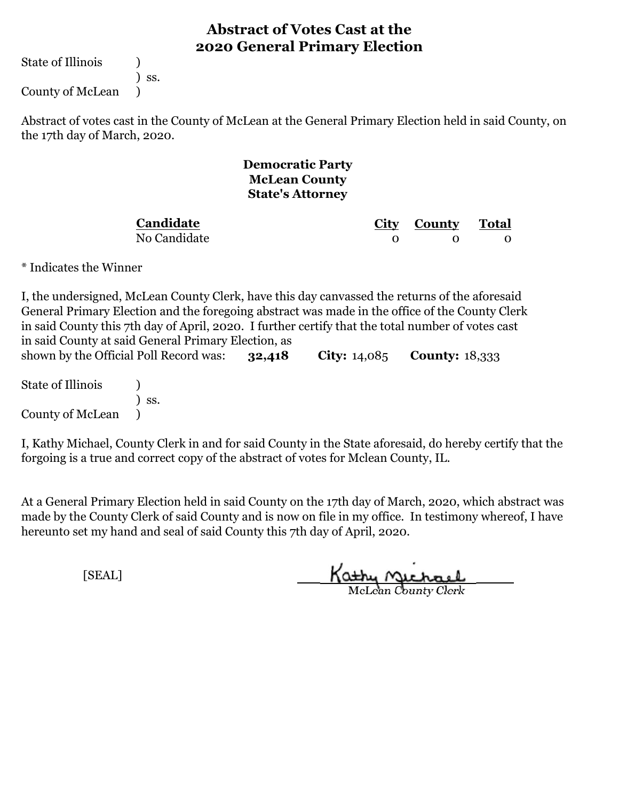State of Illinois (1)

) ss.

County of McLean )

Abstract of votes cast in the County of McLean at the General Primary Election held in said County, on the 17th day of March, 2020.

> **Democratic Party McLean County State's Attorney**

**Candidate**

No Candidate

**City County Total** 0 0 0

\* Indicates the Winner

**32,418 City:** 14,085 **County:** 18,333 I, the undersigned, McLean County Clerk, have this day canvassed the returns of the aforesaid General Primary Election and the foregoing abstract was made in the office of the County Clerk in said County this 7th day of April, 2020. I further certify that the total number of votes cast in said County at said General Primary Election, as shown by the Official Poll Record was:

State of Illinois (1) ) ss. County of McLean )

I, Kathy Michael, County Clerk in and for said County in the State aforesaid, do hereby certify that the forgoing is a true and correct copy of the abstract of votes for Mclean County, IL.

At a General Primary Election held in said County on the 17th day of March, 2020, which abstract was made by the County Clerk of said County and is now on file in my office. In testimony whereof, I have hereunto set my hand and seal of said County this 7th day of April, 2020.

Kathy Michael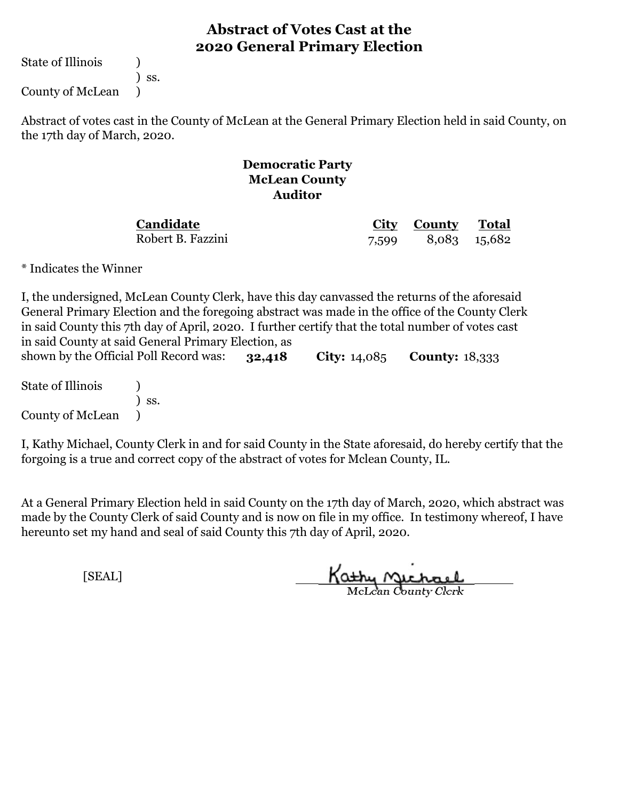State of Illinois (1)

) ss.

County of McLean )

Abstract of votes cast in the County of McLean at the General Primary Election held in said County, on the 17th day of March, 2020.

#### **Democratic Party McLean County Auditor**

**Candidate** Robert B. Fazzini

**City County Total** 7,599 8,083 15,682

\* Indicates the Winner

**32,418 City:** 14,085 **County:** 18,333 I, the undersigned, McLean County Clerk, have this day canvassed the returns of the aforesaid General Primary Election and the foregoing abstract was made in the office of the County Clerk in said County this 7th day of April, 2020. I further certify that the total number of votes cast in said County at said General Primary Election, as shown by the Official Poll Record was:

State of Illinois (1) ) ss. County of McLean )

I, Kathy Michael, County Clerk in and for said County in the State aforesaid, do hereby certify that the forgoing is a true and correct copy of the abstract of votes for Mclean County, IL.

At a General Primary Election held in said County on the 17th day of March, 2020, which abstract was made by the County Clerk of said County and is now on file in my office. In testimony whereof, I have hereunto set my hand and seal of said County this 7th day of April, 2020.

Kathy Michael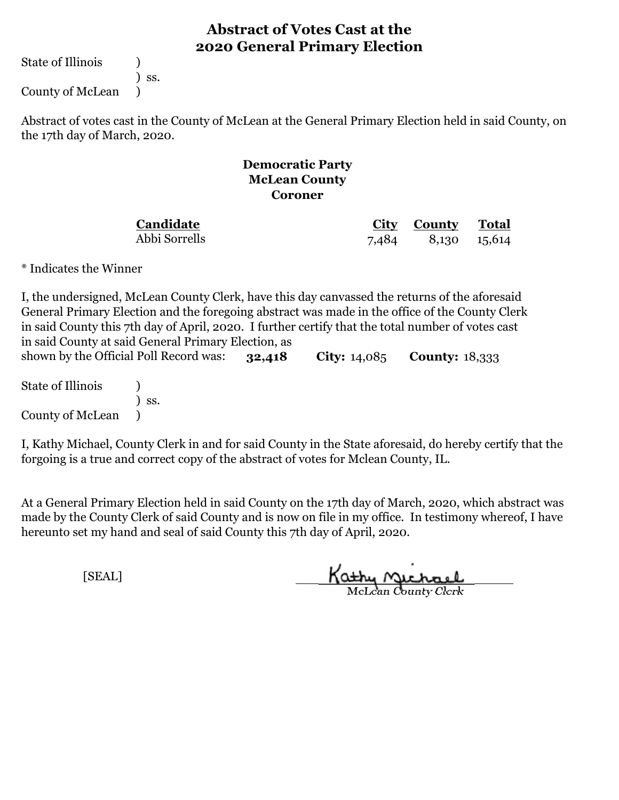State of Illinois (1)

) ss.

County of McLean )

Abstract of votes cast in the County of McLean at the General Primary Election held in said County, on the 17th day of March, 2020.

#### **Democratic Party McLean County Coroner**

**Candidate**

Abbi Sorrells

**City County Total** 7,484 8,130 15,614

\* Indicates the Winner

**32,418 City:** 14,085 **County:** 18,333 I, the undersigned, McLean County Clerk, have this day canvassed the returns of the aforesaid General Primary Election and the foregoing abstract was made in the office of the County Clerk in said County this 7th day of April, 2020. I further certify that the total number of votes cast in said County at said General Primary Election, as shown by the Official Poll Record was:

State of Illinois (1) ) ss. County of McLean )

I, Kathy Michael, County Clerk in and for said County in the State aforesaid, do hereby certify that the forgoing is a true and correct copy of the abstract of votes for Mclean County, IL.

At a General Primary Election held in said County on the 17th day of March, 2020, which abstract was made by the County Clerk of said County and is now on file in my office. In testimony whereof, I have hereunto set my hand and seal of said County this 7th day of April, 2020.

Kathy Michael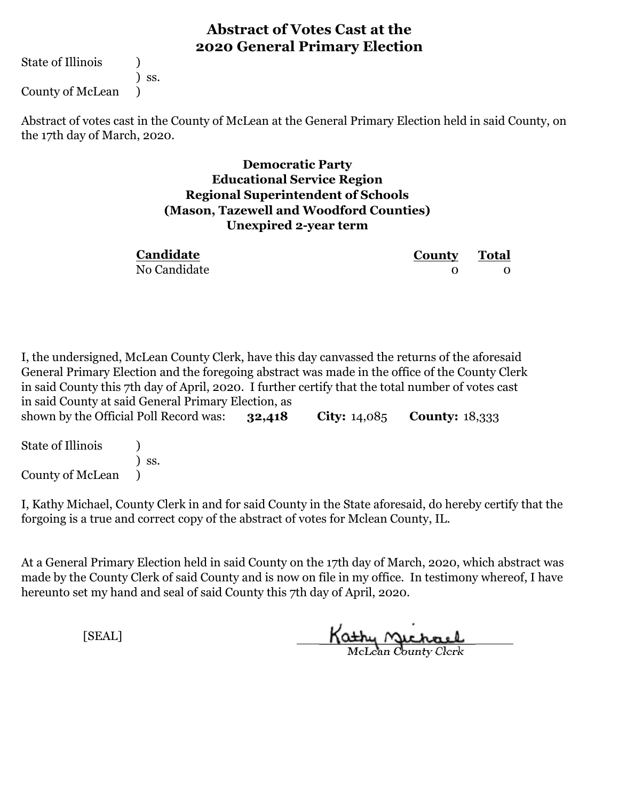State of Illinois (1)

) ss.

County of McLean )

Abstract of votes cast in the County of McLean at the General Primary Election held in said County, on the 17th day of March, 2020.

#### **Unexpired 2-year term Democratic Party Educational Service Region Regional Superintendent of Schools (Mason, Tazewell and Woodford Counties)**

| Candidate    | <b>County</b> Total |  |
|--------------|---------------------|--|
| No Candidate |                     |  |

**32,418 City:** 14,085 **County:** 18,333 I, the undersigned, McLean County Clerk, have this day canvassed the returns of the aforesaid General Primary Election and the foregoing abstract was made in the office of the County Clerk in said County this 7th day of April, 2020. I further certify that the total number of votes cast in said County at said General Primary Election, as shown by the Official Poll Record was:

| <b>State of Illinois</b> |                              |
|--------------------------|------------------------------|
|                          | $\overline{\phantom{a}}$ SS. |
| <b>County of McLean</b>  |                              |

I, Kathy Michael, County Clerk in and for said County in the State aforesaid, do hereby certify that the forgoing is a true and correct copy of the abstract of votes for Mclean County, IL.

At a General Primary Election held in said County on the 17th day of March, 2020, which abstract was made by the County Clerk of said County and is now on file in my office. In testimony whereof, I have hereunto set my hand and seal of said County this 7th day of April, 2020.

Kathy <u>Michael</u>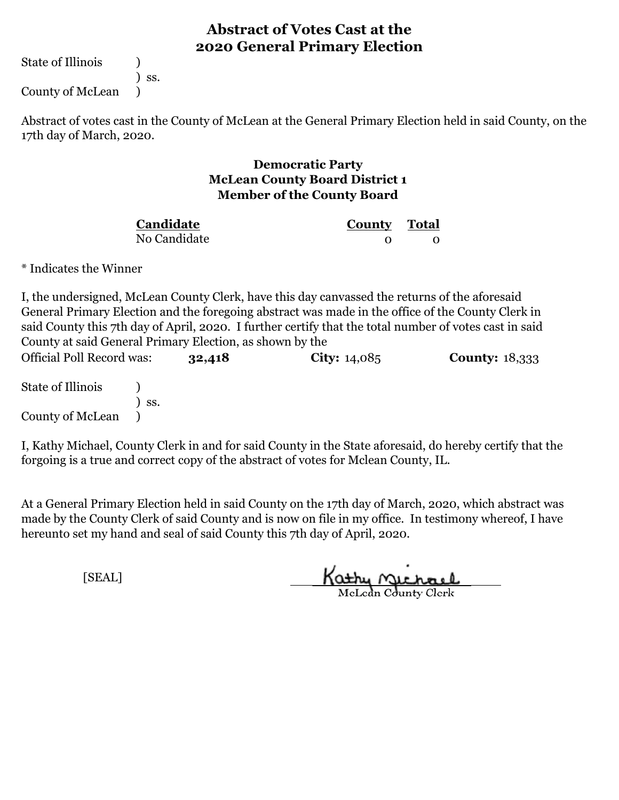State of Illinois (1)

) ss.

County of McLean )

Abstract of votes cast in the County of McLean at the General Primary Election held in said County, on the 17th day of March, 2020.

#### **Democratic Party McLean County Board District 1 Member of the County Board**

| Candidate    | <b>County</b> Total |  |
|--------------|---------------------|--|
| No Candidate |                     |  |

\* Indicates the Winner

I, the undersigned, McLean County Clerk, have this day canvassed the returns of the aforesaid General Primary Election and the foregoing abstract was made in the office of the County Clerk in said County this 7th day of April, 2020. I further certify that the total number of votes cast in said County at said General Primary Election, as shown by the

**32,418 City:** 14,085 **County:** 18,333 State of Illinois (1) ) ss. County of McLean ) Official Poll Record was:

I, Kathy Michael, County Clerk in and for said County in the State aforesaid, do hereby certify that the forgoing is a true and correct copy of the abstract of votes for Mclean County, IL.

At a General Primary Election held in said County on the 17th day of March, 2020, which abstract was made by the County Clerk of said County and is now on file in my office. In testimony whereof, I have hereunto set my hand and seal of said County this 7th day of April, 2020.

Kathy Michael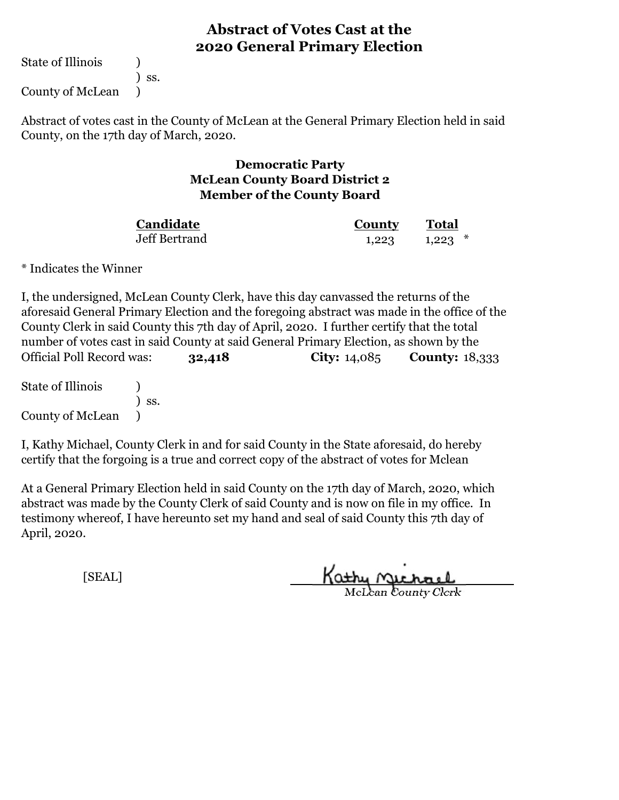State of Illinois (1)

) ss.

County of McLean )

Abstract of votes cast in the County of McLean at the General Primary Election held in said County, on the 17th day of March, 2020.

#### **Democratic Party McLean County Board District 2 Member of the County Board**

| Candidate     | <b>County</b> | <b>Total</b> |
|---------------|---------------|--------------|
| Jeff Bertrand | 1,223         | $1,223$ $*$  |

\* Indicates the Winner

**32,418 City:** 14,085 **County:** 18,333 Official Poll Record was: I, the undersigned, McLean County Clerk, have this day canvassed the returns of the aforesaid General Primary Election and the foregoing abstract was made in the office of the County Clerk in said County this 7th day of April, 2020. I further certify that the total number of votes cast in said County at said General Primary Election, as shown by the

State of Illinois (1) ) ss. County of McLean )

I, Kathy Michael, County Clerk in and for said County in the State aforesaid, do hereby certify that the forgoing is a true and correct copy of the abstract of votes for Mclean

At a General Primary Election held in said County on the 17th day of March, 2020, which abstract was made by the County Clerk of said County and is now on file in my office. In testimony whereof, I have hereunto set my hand and seal of said County this 7th day of April, 2020.

McLean County Clerk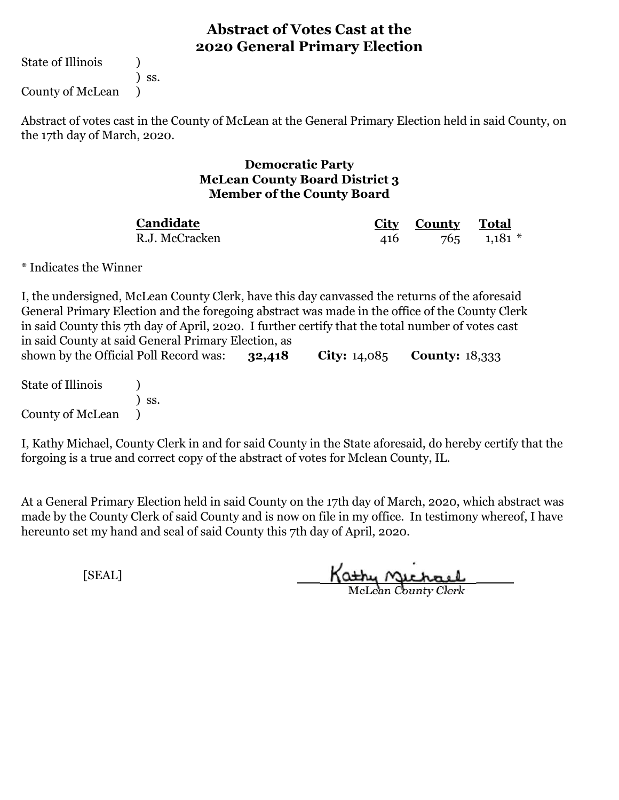State of Illinois (1)

) ss.

County of McLean )

Abstract of votes cast in the County of McLean at the General Primary Election held in said County, on the 17th day of March, 2020.

#### **Democratic Party McLean County Board District 3 Member of the County Board**

R.J. McCracken **Candidate**

**City County Total** 416 765 1,181 \*

\* Indicates the Winner

**32,418 City:** 14,085 **County:** 18,333 I, the undersigned, McLean County Clerk, have this day canvassed the returns of the aforesaid General Primary Election and the foregoing abstract was made in the office of the County Clerk in said County this 7th day of April, 2020. I further certify that the total number of votes cast in said County at said General Primary Election, as shown by the Official Poll Record was:

State of Illinois (1) ) ss. County of McLean )

I, Kathy Michael, County Clerk in and for said County in the State aforesaid, do hereby certify that the forgoing is a true and correct copy of the abstract of votes for Mclean County, IL.

At a General Primary Election held in said County on the 17th day of March, 2020, which abstract was made by the County Clerk of said County and is now on file in my office. In testimony whereof, I have hereunto set my hand and seal of said County this 7th day of April, 2020.

Kathy Michael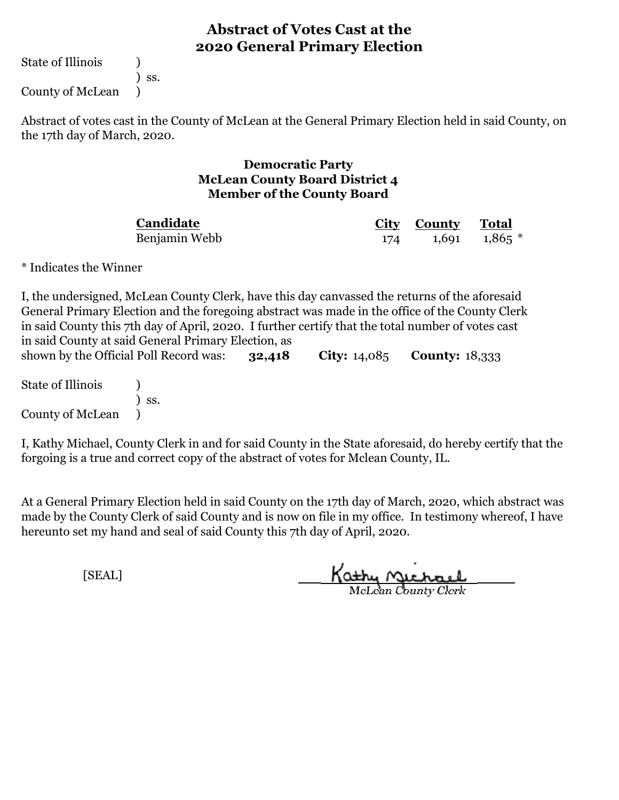State of Illinois (1)

) ss.

County of McLean )

Abstract of votes cast in the County of McLean at the General Primary Election held in said County, on the 17th day of March, 2020.

#### **Democratic Party McLean County Board District 4 Member of the County Board**

Benjamin Webb **Candidate**

**City County Total** 174 1,691 1,865 \*

\* Indicates the Winner

**32,418 City:** 14,085 **County:** 18,333 I, the undersigned, McLean County Clerk, have this day canvassed the returns of the aforesaid General Primary Election and the foregoing abstract was made in the office of the County Clerk in said County this 7th day of April, 2020. I further certify that the total number of votes cast in said County at said General Primary Election, as shown by the Official Poll Record was:

State of Illinois (1) ) ss. County of McLean )

I, Kathy Michael, County Clerk in and for said County in the State aforesaid, do hereby certify that the forgoing is a true and correct copy of the abstract of votes for Mclean County, IL.

At a General Primary Election held in said County on the 17th day of March, 2020, which abstract was made by the County Clerk of said County and is now on file in my office. In testimony whereof, I have hereunto set my hand and seal of said County this 7th day of April, 2020.

Kathy Michael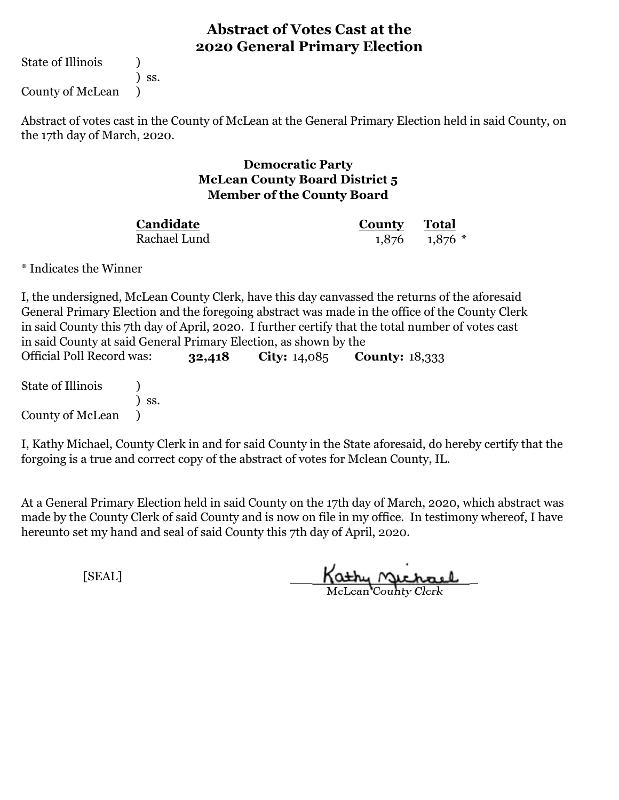State of Illinois (1)

) ss.

County of McLean )

Abstract of votes cast in the County of McLean at the General Primary Election held in said County, on the 17th day of March, 2020.

#### **Democratic Party McLean County Board District 5 Member of the County Board**

Rachael Lund **Candidate**

**County Total** 1,876 1,876 \*

\* Indicates the Winner

I, the undersigned, McLean County Clerk, have this day canvassed the returns of the aforesaid General Primary Election and the foregoing abstract was made in the office of the County Clerk in said County this 7th day of April, 2020. I further certify that the total number of votes cast in said County at said General Primary Election, as shown by the

**32,418 City:** 14,085 **County:** 18,333 State of Illinois (1) ) ss. County of McLean ) Official Poll Record was:

I, Kathy Michael, County Clerk in and for said County in the State aforesaid, do hereby certify that the forgoing is a true and correct copy of the abstract of votes for Mclean County, IL.

At a General Primary Election held in said County on the 17th day of March, 2020, which abstract was made by the County Clerk of said County and is now on file in my office. In testimony whereof, I have hereunto set my hand and seal of said County this 7th day of April, 2020.

Kathy Michael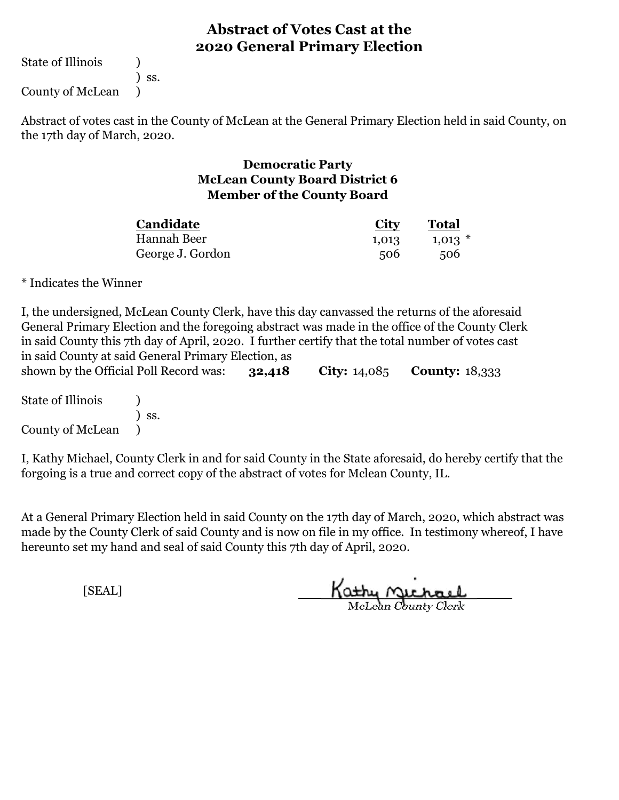State of Illinois (a)

) ss.

County of McLean )

Abstract of votes cast in the County of McLean at the General Primary Election held in said County, on the 17th day of March, 2020.

#### **Democratic Party McLean County Board District 6 Member of the County Board**

| Candidate        | <u>City</u> | <b>Total</b> |
|------------------|-------------|--------------|
| Hannah Beer      | 1,013       | $1,013$ $*$  |
| George J. Gordon | 506         | 506          |

\* Indicates the Winner

| I, the undersigned, McLean County Clerk, have this day can vassed the returns of the aforesaid                                                                                                      |        |                       |                       |  |
|-----------------------------------------------------------------------------------------------------------------------------------------------------------------------------------------------------|--------|-----------------------|-----------------------|--|
| General Primary Election and the foregoing abstract was made in the office of the County Clerk<br>in said County this 7th day of April, 2020. I further certify that the total number of votes cast |        |                       |                       |  |
| in said County at said General Primary Election, as                                                                                                                                                 |        |                       |                       |  |
| shown by the Official Poll Record was:                                                                                                                                                              |        |                       |                       |  |
|                                                                                                                                                                                                     | 32,418 | <b>City:</b> $14,085$ | <b>County: 18,333</b> |  |
| State of Illinois                                                                                                                                                                                   |        |                       |                       |  |
| SS.                                                                                                                                                                                                 |        |                       |                       |  |

County of McLean )

I, Kathy Michael, County Clerk in and for said County in the State aforesaid, do hereby certify that the forgoing is a true and correct copy of the abstract of votes for Mclean County, IL.

At a General Primary Election held in said County on the 17th day of March, 2020, which abstract was made by the County Clerk of said County and is now on file in my office. In testimony whereof, I have hereunto set my hand and seal of said County this 7th day of April, 2020.

Kathy Michael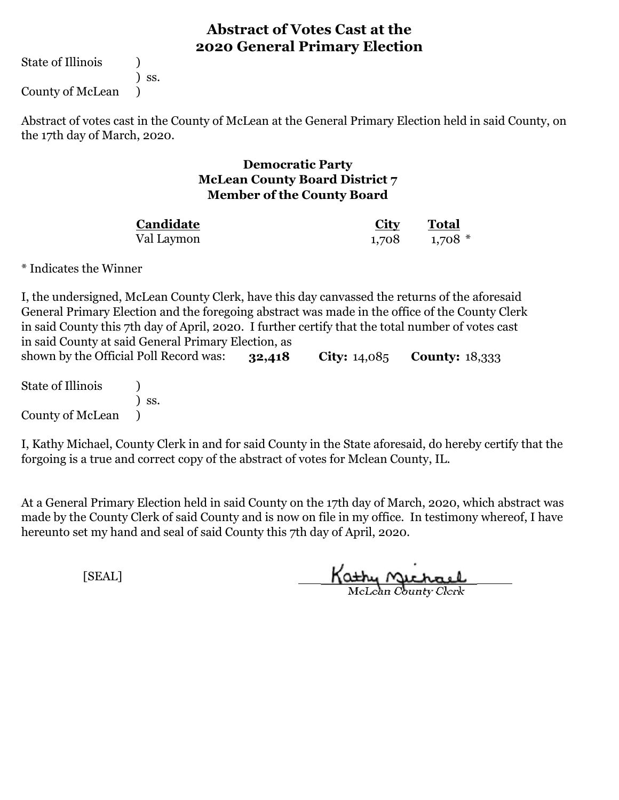State of Illinois (1)

) ss.

County of McLean )

Abstract of votes cast in the County of McLean at the General Primary Election held in said County, on the 17th day of March, 2020.

#### **Democratic Party McLean County Board District 7 Member of the County Board**

| Candidate  | <u>City</u> | <b>Total</b> |
|------------|-------------|--------------|
| Val Laymon | 1,708       | $1,708$ *    |

\* Indicates the Winner

**32,418 City:** 14,085 **County:** 18,333 I, the undersigned, McLean County Clerk, have this day canvassed the returns of the aforesaid General Primary Election and the foregoing abstract was made in the office of the County Clerk in said County this 7th day of April, 2020. I further certify that the total number of votes cast in said County at said General Primary Election, as shown by the Official Poll Record was:

State of Illinois (1) ) ss. County of McLean )

I, Kathy Michael, County Clerk in and for said County in the State aforesaid, do hereby certify that the forgoing is a true and correct copy of the abstract of votes for Mclean County, IL.

At a General Primary Election held in said County on the 17th day of March, 2020, which abstract was made by the County Clerk of said County and is now on file in my office. In testimony whereof, I have hereunto set my hand and seal of said County this 7th day of April, 2020.

Kathy Michael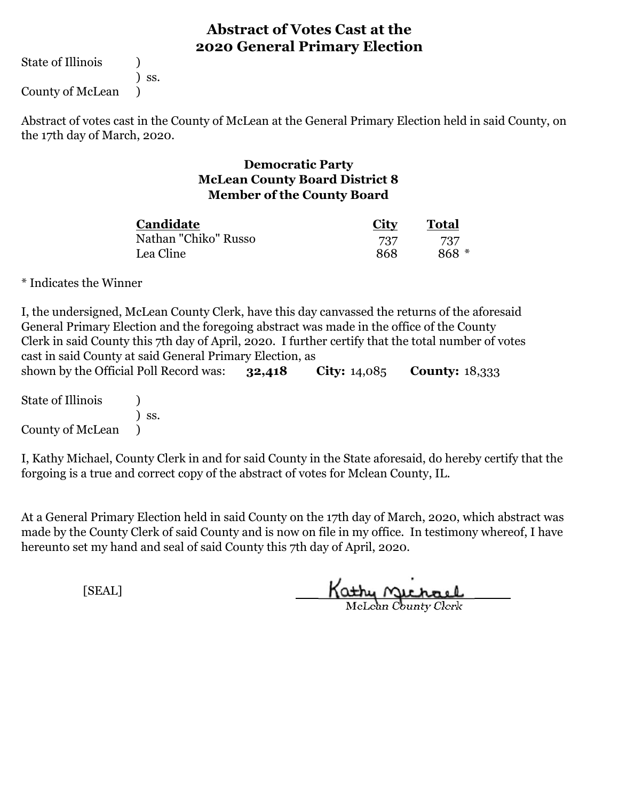State of Illinois (a)

) ss.

County of McLean )

Abstract of votes cast in the County of McLean at the General Primary Election held in said County, on the 17th day of March, 2020.

#### **Democratic Party McLean County Board District 8 Member of the County Board**

| Candidate            | <b>City</b> | <b>Total</b> |  |
|----------------------|-------------|--------------|--|
| Nathan "Chiko" Russo | 737         | 737          |  |
| Lea Cline            | 868         | $868 *$      |  |

\* Indicates the Winner

| General Primary Election and the foregoing abstract was made in the office of the County<br>cast in said County at said General Primary Election, as |       |        |                       | I, the undersigned, McLean County Clerk, have this day can vassed the returns of the aforesaid<br>Clerk in said County this 7th day of April, 2020. I further certify that the total number of votes |  |
|------------------------------------------------------------------------------------------------------------------------------------------------------|-------|--------|-----------------------|------------------------------------------------------------------------------------------------------------------------------------------------------------------------------------------------------|--|
| shown by the Official Poll Record was:                                                                                                               |       | 32,418 | <b>City:</b> $14,085$ | <b>County: 18,333</b>                                                                                                                                                                                |  |
| State of Illinois                                                                                                                                    |       |        |                       |                                                                                                                                                                                                      |  |
|                                                                                                                                                      | ) ss. |        |                       |                                                                                                                                                                                                      |  |

County of McLean )

I, Kathy Michael, County Clerk in and for said County in the State aforesaid, do hereby certify that the forgoing is a true and correct copy of the abstract of votes for Mclean County, IL.

At a General Primary Election held in said County on the 17th day of March, 2020, which abstract was made by the County Clerk of said County and is now on file in my office. In testimony whereof, I have hereunto set my hand and seal of said County this 7th day of April, 2020.

Kathy Michael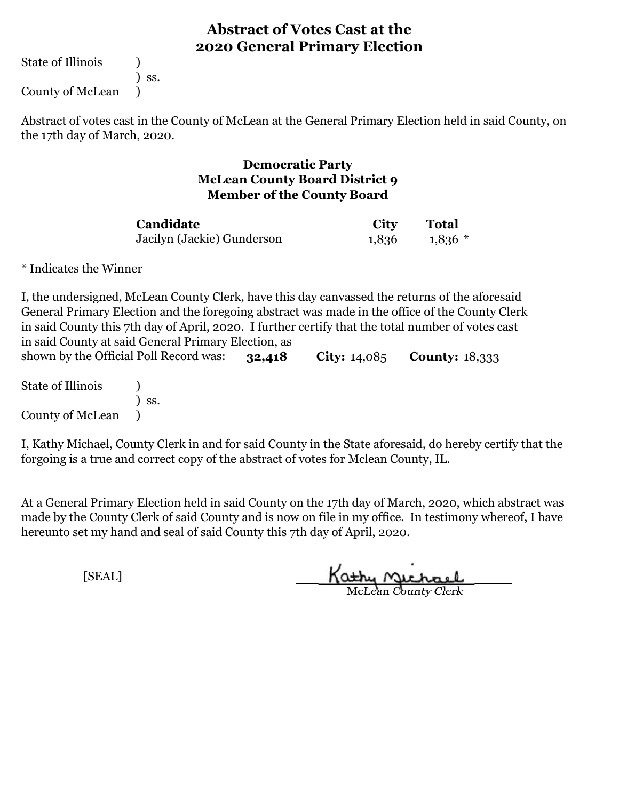State of Illinois (1)

) ss.

County of McLean )

Abstract of votes cast in the County of McLean at the General Primary Election held in said County, on the 17th day of March, 2020.

#### **Democratic Party McLean County Board District 9 Member of the County Board**

| Candidate                  | <b>City</b> | <b>Total</b> |  |
|----------------------------|-------------|--------------|--|
| Jacilyn (Jackie) Gunderson | 1,836       | $1,836*$     |  |

\* Indicates the Winner

**32,418 City:** 14,085 **County:** 18,333 I, the undersigned, McLean County Clerk, have this day canvassed the returns of the aforesaid General Primary Election and the foregoing abstract was made in the office of the County Clerk in said County this 7th day of April, 2020. I further certify that the total number of votes cast in said County at said General Primary Election, as shown by the Official Poll Record was:

State of Illinois (1) ) ss. County of McLean )

I, Kathy Michael, County Clerk in and for said County in the State aforesaid, do hereby certify that the forgoing is a true and correct copy of the abstract of votes for Mclean County, IL.

At a General Primary Election held in said County on the 17th day of March, 2020, which abstract was made by the County Clerk of said County and is now on file in my office. In testimony whereof, I have hereunto set my hand and seal of said County this 7th day of April, 2020.

Kathy Michael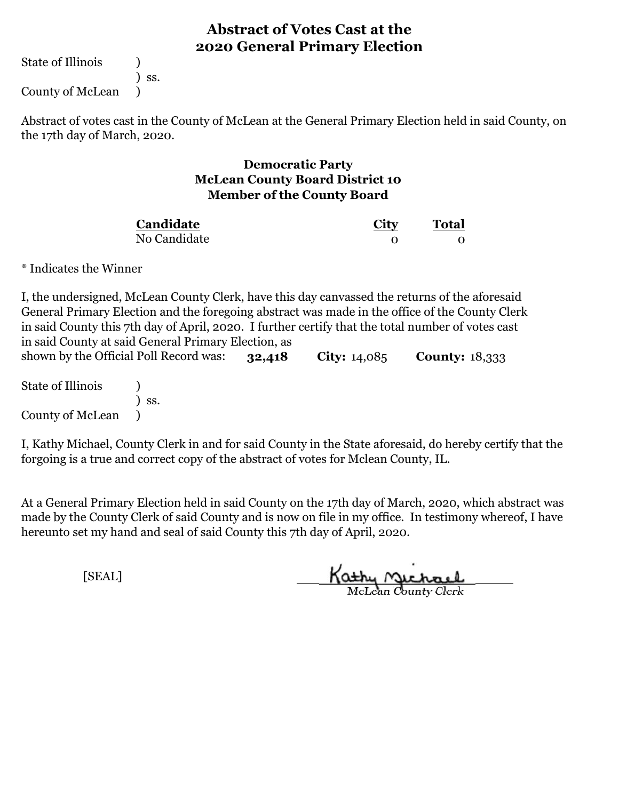State of Illinois (1)

) ss.

County of McLean )

Abstract of votes cast in the County of McLean at the General Primary Election held in said County, on the 17th day of March, 2020.

#### **Democratic Party McLean County Board District 10 Member of the County Board**

| Candidate    | City | <b>Total</b> |  |
|--------------|------|--------------|--|
| No Candidate |      |              |  |

\* Indicates the Winner

**32,418 City:** 14,085 **County:** 18,333 I, the undersigned, McLean County Clerk, have this day canvassed the returns of the aforesaid General Primary Election and the foregoing abstract was made in the office of the County Clerk in said County this 7th day of April, 2020. I further certify that the total number of votes cast in said County at said General Primary Election, as shown by the Official Poll Record was:

State of Illinois (1) ) ss. County of McLean )

I, Kathy Michael, County Clerk in and for said County in the State aforesaid, do hereby certify that the forgoing is a true and correct copy of the abstract of votes for Mclean County, IL.

At a General Primary Election held in said County on the 17th day of March, 2020, which abstract was made by the County Clerk of said County and is now on file in my office. In testimony whereof, I have hereunto set my hand and seal of said County this 7th day of April, 2020.

Kathy Michael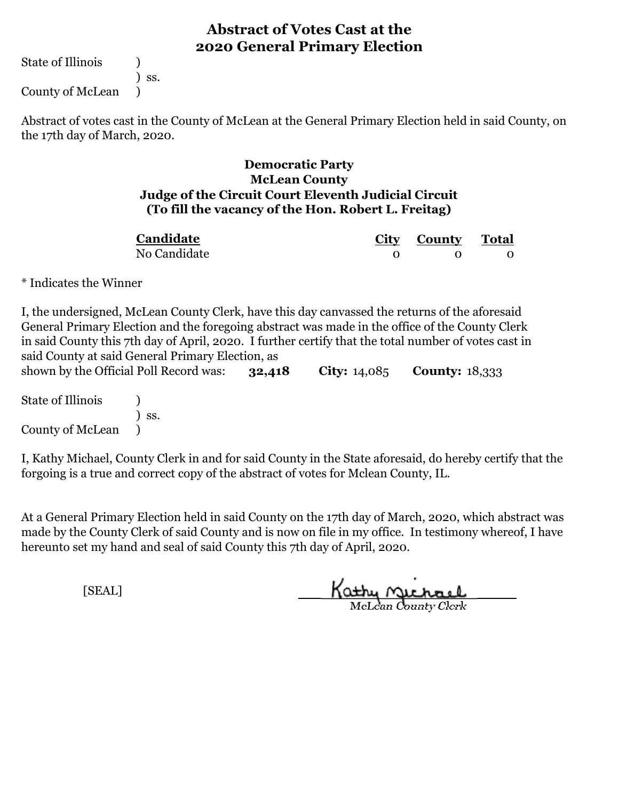State of Illinois (a)

) ss.

County of McLean )

Abstract of votes cast in the County of McLean at the General Primary Election held in said County, on the 17th day of March, 2020.

#### **Democratic Party McLean County Judge of the Circuit Court Eleventh Judicial Circuit (To fill the vacancy of the Hon. Robert L. Freitag)**

| Candidate    | City County Total |  |
|--------------|-------------------|--|
| No Candidate |                   |  |

\* Indicates the Winner

| I, the undersigned, McLean County Clerk, have this day can vassed the returns of the aforesaid       |     |        |                       |                       |  |
|------------------------------------------------------------------------------------------------------|-----|--------|-----------------------|-----------------------|--|
| General Primary Election and the foregoing abstract was made in the office of the County Clerk       |     |        |                       |                       |  |
| in said County this 7th day of April, 2020. I further certify that the total number of votes cast in |     |        |                       |                       |  |
| said County at said General Primary Election, as                                                     |     |        |                       |                       |  |
| shown by the Official Poll Record was:                                                               |     | 32,418 | <b>City:</b> $14,085$ | <b>County: 18,333</b> |  |
| State of Illinois                                                                                    |     |        |                       |                       |  |
|                                                                                                      | SS. |        |                       |                       |  |

County of McLean )

I, Kathy Michael, County Clerk in and for said County in the State aforesaid, do hereby certify that the forgoing is a true and correct copy of the abstract of votes for Mclean County, IL.

At a General Primary Election held in said County on the 17th day of March, 2020, which abstract was made by the County Clerk of said County and is now on file in my office. In testimony whereof, I have hereunto set my hand and seal of said County this 7th day of April, 2020.

Kathy Michael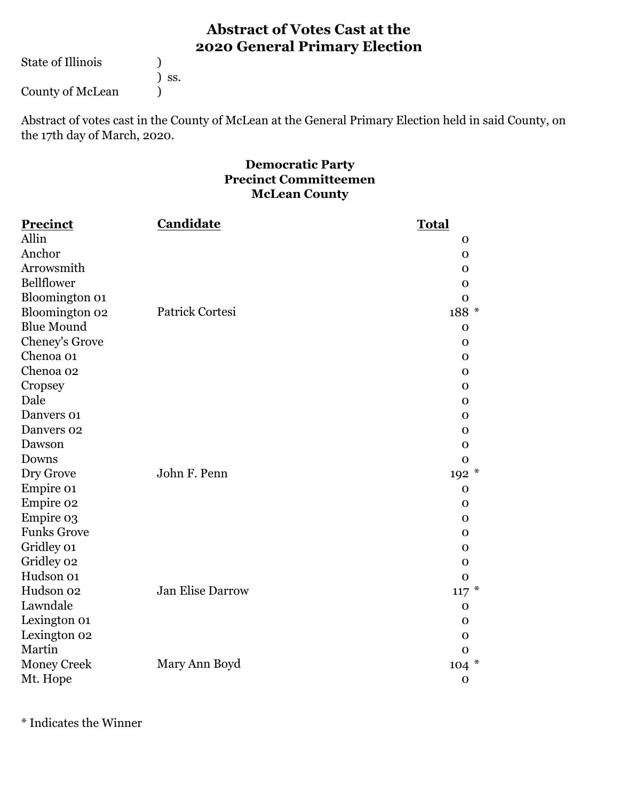State of Illinois ( )

) ss.

County of McLean (1)

Abstract of votes cast in the County of McLean at the General Primary Election held in said County, on the 17th day of March, 2020.

#### **Democratic Party Precinct Committeemen McLean County**

| <b>Precinct</b>    | <b>Candidate</b>        | <b>Total</b> |
|--------------------|-------------------------|--------------|
| Allin              |                         | $\mathbf 0$  |
| Anchor             |                         | $\mathbf 0$  |
| Arrowsmith         |                         | $\mathbf 0$  |
| <b>Bellflower</b>  |                         | $\mathbf 0$  |
| Bloomington 01     |                         | $\mathbf 0$  |
| Bloomington 02     | Patrick Cortesi         | 188 *        |
| <b>Blue Mound</b>  |                         | $\mathbf{O}$ |
| Cheney's Grove     |                         | $\mathbf 0$  |
| Chenoa 01          |                         | $\mathbf{O}$ |
| Chenoa 02          |                         | $\mathbf 0$  |
| Cropsey            |                         | $\Omega$     |
| Dale               |                         | $\mathbf 0$  |
| Danvers 01         |                         | $\mathbf 0$  |
| Danvers 02         |                         | $\mathbf{O}$ |
| Dawson             |                         | $\mathbf 0$  |
| Downs              |                         | $\mathbf 0$  |
| Dry Grove          | John F. Penn            | 192 *        |
| Empire 01          |                         | $\Omega$     |
| Empire 02          |                         | $\mathbf 0$  |
| Empire 03          |                         | $\mathbf 0$  |
| <b>Funks Grove</b> |                         | $\mathbf{O}$ |
| Gridley 01         |                         | $\mathbf 0$  |
| Gridley 02         |                         | $\mathbf 0$  |
| Hudson 01          |                         | $\mathbf{O}$ |
| Hudson 02          | <b>Jan Elise Darrow</b> | $117 *$      |
| Lawndale           |                         | $\mathbf 0$  |
| Lexington 01       |                         | $\mathbf 0$  |
| Lexington 02       |                         | $\mathbf 0$  |
| Martin             |                         | $\mathbf{O}$ |
| <b>Money Creek</b> | Mary Ann Boyd           | $104 *$      |
| Mt. Hope           |                         | $\mathbf 0$  |

\* Indicates the Winner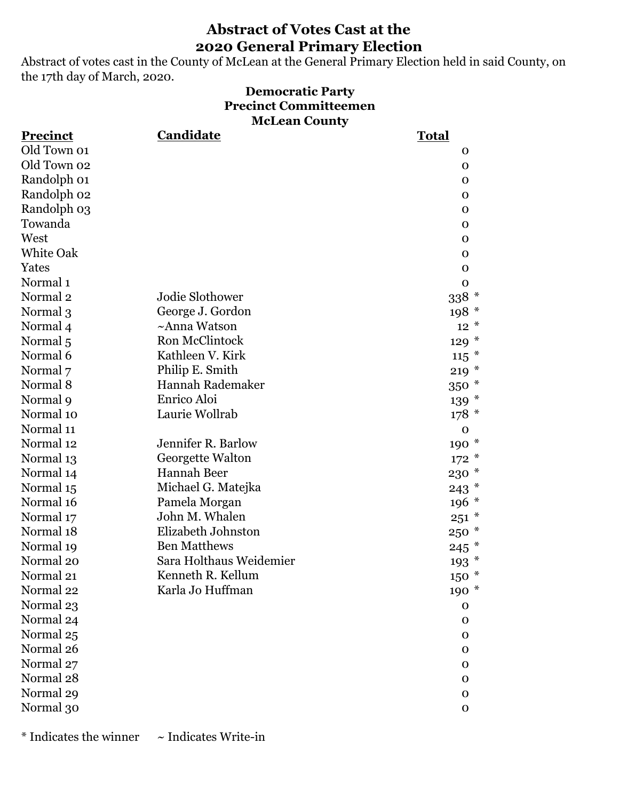Abstract of votes cast in the County of McLean at the General Primary Election held in said County, on the 17th day of March, 2020.

#### **Democratic Party Precinct Committeemen McLean County**

| <b>Precinct</b>     | Candidate               | <b>Total</b>    |  |
|---------------------|-------------------------|-----------------|--|
| Old Town 01         |                         | $\mathbf 0$     |  |
| Old Town 02         |                         | $\mathbf 0$     |  |
| Randolph 01         |                         | $\mathbf 0$     |  |
| Randolph 02         |                         | $\mathbf 0$     |  |
| Randolph 03         |                         | $\mathbf 0$     |  |
| Towanda             |                         | $\mathbf 0$     |  |
| West                |                         | $\mathbf 0$     |  |
| <b>White Oak</b>    |                         | 0               |  |
| Yates               |                         | $\mathbf 0$     |  |
| Normal <sub>1</sub> |                         | $\mathbf O$     |  |
| Normal <sub>2</sub> | Jodie Slothower         | $338$ $^{\ast}$ |  |
| Normal 3            | George J. Gordon        | $198*$          |  |
| Normal 4            | ~Anna Watson            | $12^{*}$        |  |
| Normal 5            | Ron McClintock          | $129 *$         |  |
| Normal 6            | Kathleen V. Kirk        | $115$ *         |  |
| Normal 7            | Philip E. Smith         | $219*$          |  |
| Normal 8            | Hannah Rademaker        | 350 *           |  |
| Normal 9            | Enrico Aloi             | $139 *$         |  |
| Normal 10           | Laurie Wollrab          | $178*$          |  |
| Normal 11           |                         | $\mathbf 0$     |  |
| Normal 12           | Jennifer R. Barlow      | $190 *$         |  |
| Normal 13           | Georgette Walton        | $172 *$         |  |
| Normal 14           | Hannah Beer             | 230 *           |  |
| Normal 15           | Michael G. Matejka      | $243$ $*$       |  |
| Normal 16           | Pamela Morgan           | $196 *$         |  |
| Normal 17           | John M. Whalen          | $251 *$         |  |
| Normal 18           | Elizabeth Johnston      | $250 *$         |  |
| Normal 19           | <b>Ben Matthews</b>     | $245$ $*$       |  |
| Normal 20           | Sara Holthaus Weidemier | $193*$          |  |
| Normal 21           | Kenneth R. Kellum       | $150 *$         |  |
| Normal 22           | Karla Jo Huffman        | 190 *           |  |
| Normal 23           |                         | $\mathbf 0$     |  |
| Normal 24           |                         | 0               |  |
| Normal 25           |                         | $\mathbf 0$     |  |
| Normal 26           |                         | 0               |  |
| Normal 27           |                         | $\mathbf 0$     |  |
| Normal 28           |                         | 0               |  |
| Normal 29           |                         | $\mathbf 0$     |  |
| Normal 30           |                         | $\mathbf{O}$    |  |

 $*$  Indicates the winner  $\sim$  Indicates Write-in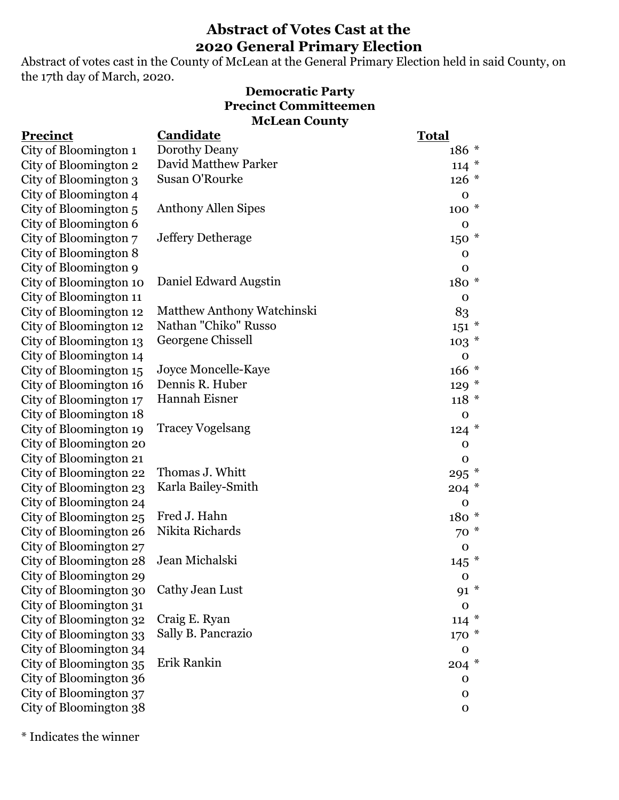Abstract of votes cast in the County of McLean at the General Primary Election held in said County, on the 17th day of March, 2020.

#### **McLean County Democratic Party Precinct Committeemen**

| Precinct               | Candidate                         | <b>Total</b> |
|------------------------|-----------------------------------|--------------|
| City of Bloomington 1  | Dorothy Deany                     | $186 *$      |
| City of Bloomington 2  | David Matthew Parker              | $114 *$      |
| City of Bloomington 3  | Susan O'Rourke                    | $126 *$      |
| City of Bloomington 4  |                                   | $\mathbf 0$  |
| City of Bloomington 5  | <b>Anthony Allen Sipes</b>        | $100*$       |
| City of Bloomington 6  |                                   | $\mathbf O$  |
| City of Bloomington 7  | Jeffery Detherage                 | $150*$       |
| City of Bloomington 8  |                                   | $\mathbf 0$  |
| City of Bloomington 9  |                                   | $\mathbf 0$  |
| City of Bloomington 10 | Daniel Edward Augstin             | $180*$       |
| City of Bloomington 11 |                                   | $\mathbf O$  |
| City of Bloomington 12 | <b>Matthew Anthony Watchinski</b> | 83           |
| City of Bloomington 12 | Nathan "Chiko" Russo              | $151 *$      |
| City of Bloomington 13 | Georgene Chissell                 | $103*$       |
| City of Bloomington 14 |                                   | $\mathbf 0$  |
| City of Bloomington 15 | Joyce Moncelle-Kaye               | $166 *$      |
| City of Bloomington 16 | Dennis R. Huber                   | $129 *$      |
| City of Bloomington 17 | Hannah Eisner                     | $118 *$      |
| City of Bloomington 18 |                                   | $\mathbf 0$  |
| City of Bloomington 19 | <b>Tracey Vogelsang</b>           | $124 *$      |
| City of Bloomington 20 |                                   | $\mathbf 0$  |
| City of Bloomington 21 |                                   | $\mathbf 0$  |
| City of Bloomington 22 | Thomas J. Whitt                   | $295$ $*$    |
| City of Bloomington 23 | Karla Bailey-Smith                | $204 *$      |
| City of Bloomington 24 |                                   | $\mathbf O$  |
| City of Bloomington 25 | Fred J. Hahn                      | 180 *        |
| City of Bloomington 26 | Nikita Richards                   | $70*$        |
| City of Bloomington 27 |                                   | $\mathbf 0$  |
| City of Bloomington 28 | Jean Michalski                    | $145$ *      |
| City of Bloomington 29 |                                   | $\mathbf 0$  |
| City of Bloomington 30 | Cathy Jean Lust                   | 91 *         |
| City of Bloomington 31 |                                   | $\mathbf 0$  |
| City of Bloomington 32 | Craig E. Ryan                     | $114 *$      |
| City of Bloomington 33 | Sally B. Pancrazio                | $170*$       |
| City of Bloomington 34 |                                   | $\mathbf 0$  |
| City of Bloomington 35 | Erik Rankin                       | $204 *$      |
| City of Bloomington 36 |                                   | $\mathbf 0$  |
| City of Bloomington 37 |                                   | $\mathbf 0$  |
| City of Bloomington 38 |                                   | $\mathbf O$  |

\* Indicates the winner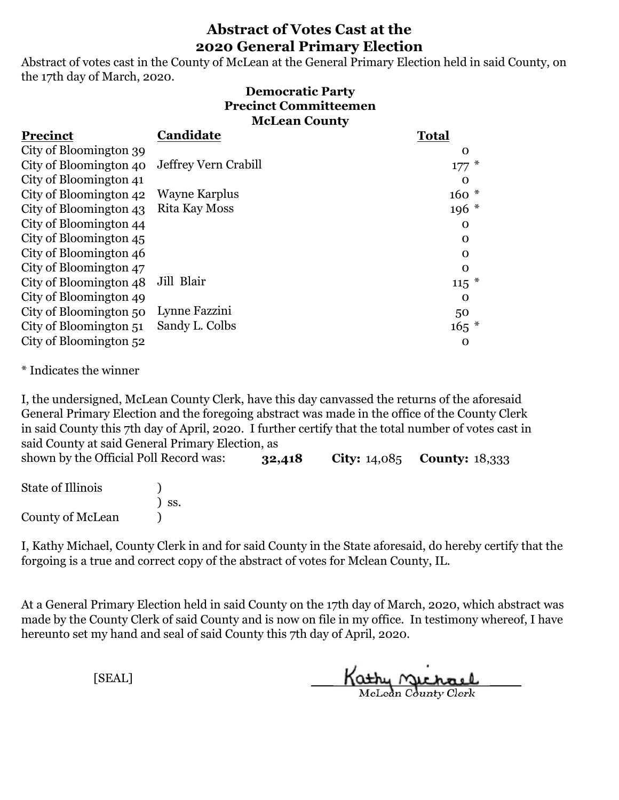Abstract of votes cast in the County of McLean at the General Primary Election held in said County, on the 17th day of March, 2020.

#### **Democratic Party Precinct Committeemen McLean County**

| Precinct               | Candidate            | <b>Total</b> |
|------------------------|----------------------|--------------|
| City of Bloomington 39 |                      | 0            |
| City of Bloomington 40 | Jeffrey Vern Crabill | $177*$       |
| City of Bloomington 41 |                      | $\Omega$     |
| City of Bloomington 42 | Wayne Karplus        | $160*$       |
| City of Bloomington 43 | Rita Kay Moss        | $196*$       |
| City of Bloomington 44 |                      | 0            |
| City of Bloomington 45 |                      | 0            |
| City of Bloomington 46 |                      | $\Omega$     |
| City of Bloomington 47 |                      | $\Omega$     |
| City of Bloomington 48 | Jill Blair           | $115$ *      |
| City of Bloomington 49 |                      | $\Omega$     |
| City of Bloomington 50 | Lynne Fazzini        | 50           |
| City of Bloomington 51 | Sandy L. Colbs       | $165*$       |
| City of Bloomington 52 |                      | $\mathbf 0$  |

\* Indicates the winner

**32,418 City:** 14,085 **County:** 18,333 I, the undersigned, McLean County Clerk, have this day canvassed the returns of the aforesaid General Primary Election and the foregoing abstract was made in the office of the County Clerk in said County this 7th day of April, 2020. I further certify that the total number of votes cast in said County at said General Primary Election, as shown by the Official Poll Record was:

State of Illinois (1) ) ss. County of McLean (1)

I, Kathy Michael, County Clerk in and for said County in the State aforesaid, do hereby certify that the forgoing is a true and correct copy of the abstract of votes for Mclean County, IL.

At a General Primary Election held in said County on the 17th day of March, 2020, which abstract was made by the County Clerk of said County and is now on file in my office. In testimony whereof, I have hereunto set my hand and seal of said County this 7th day of April, 2020.

Kathy Michael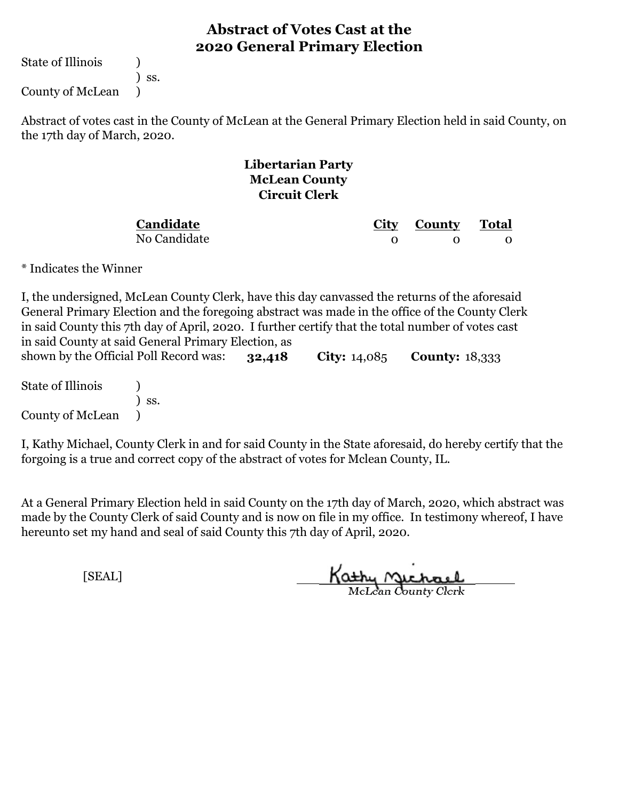State of Illinois (1)

) ss.

County of McLean )

Abstract of votes cast in the County of McLean at the General Primary Election held in said County, on the 17th day of March, 2020.

#### **Libertarian Party McLean County Circuit Clerk**

**Candidate**

No Candidate

**City County Total** 0 0 0

\* Indicates the Winner

**32,418 City:** 14,085 **County:** 18,333 I, the undersigned, McLean County Clerk, have this day canvassed the returns of the aforesaid General Primary Election and the foregoing abstract was made in the office of the County Clerk in said County this 7th day of April, 2020. I further certify that the total number of votes cast in said County at said General Primary Election, as shown by the Official Poll Record was:

State of Illinois (1) ) ss. County of McLean )

I, Kathy Michael, County Clerk in and for said County in the State aforesaid, do hereby certify that the forgoing is a true and correct copy of the abstract of votes for Mclean County, IL.

At a General Primary Election held in said County on the 17th day of March, 2020, which abstract was made by the County Clerk of said County and is now on file in my office. In testimony whereof, I have hereunto set my hand and seal of said County this 7th day of April, 2020.

Kathy Michael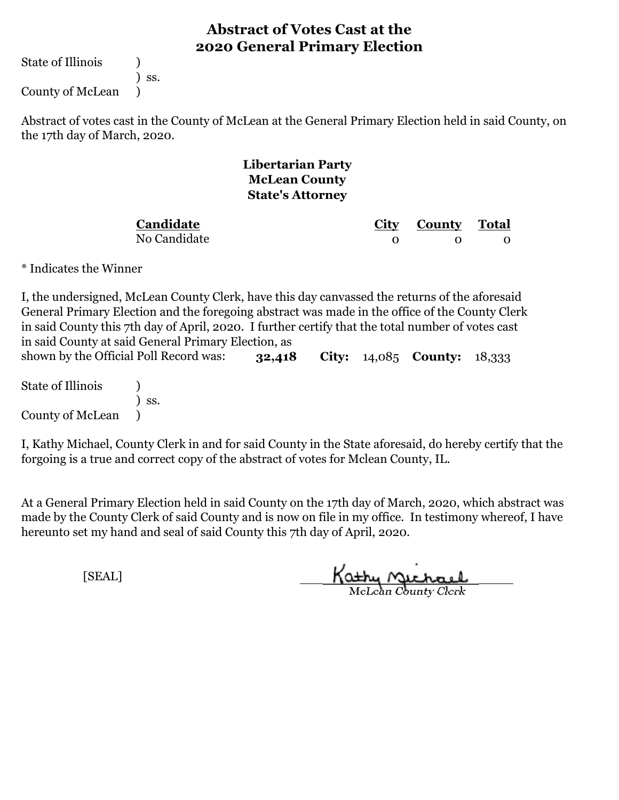State of Illinois (1)

) ss.

County of McLean )

Abstract of votes cast in the County of McLean at the General Primary Election held in said County, on the 17th day of March, 2020.

#### **Libertarian Party McLean County State's Attorney**

**Candidate**

No Candidate

**City County Total** 0 0 0

\* Indicates the Winner

**32,418 City:** 14,085 **County:** 18,333 I, the undersigned, McLean County Clerk, have this day canvassed the returns of the aforesaid General Primary Election and the foregoing abstract was made in the office of the County Clerk in said County this 7th day of April, 2020. I further certify that the total number of votes cast in said County at said General Primary Election, as shown by the Official Poll Record was:

State of Illinois (1) ) ss. County of McLean )

I, Kathy Michael, County Clerk in and for said County in the State aforesaid, do hereby certify that the forgoing is a true and correct copy of the abstract of votes for Mclean County, IL.

At a General Primary Election held in said County on the 17th day of March, 2020, which abstract was made by the County Clerk of said County and is now on file in my office. In testimony whereof, I have hereunto set my hand and seal of said County this 7th day of April, 2020.

Kathy Michael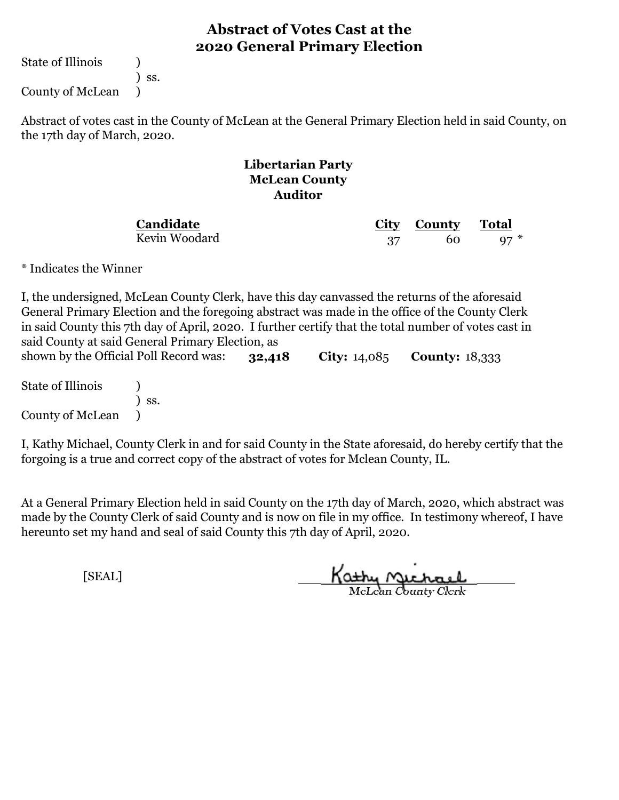State of Illinois (1)

) ss.

County of McLean )

Abstract of votes cast in the County of McLean at the General Primary Election held in said County, on the 17th day of March, 2020.

#### **Libertarian Party McLean County Auditor**

**Candidate** Kevin Woodard

**City County** 37 60 97 \*

\* Indicates the Winner

**32,418 City:** 14,085 **County:** 18,333 I, the undersigned, McLean County Clerk, have this day canvassed the returns of the aforesaid General Primary Election and the foregoing abstract was made in the office of the County Clerk in said County this 7th day of April, 2020. I further certify that the total number of votes cast in said County at said General Primary Election, as shown by the Official Poll Record was:

State of Illinois (1) ) ss. County of McLean )

I, Kathy Michael, County Clerk in and for said County in the State aforesaid, do hereby certify that the forgoing is a true and correct copy of the abstract of votes for Mclean County, IL.

At a General Primary Election held in said County on the 17th day of March, 2020, which abstract was made by the County Clerk of said County and is now on file in my office. In testimony whereof, I have hereunto set my hand and seal of said County this 7th day of April, 2020.

Kathy Michael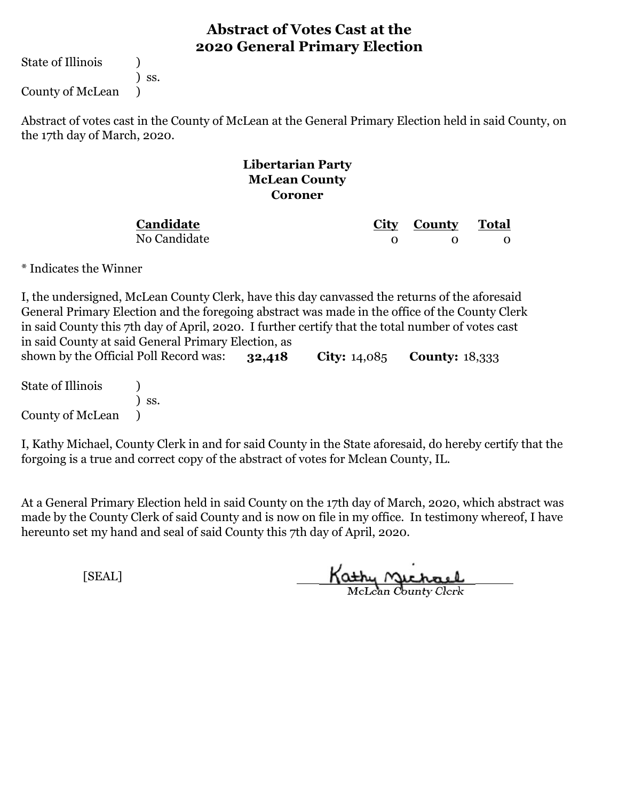State of Illinois (1)

) ss.

County of McLean )

Abstract of votes cast in the County of McLean at the General Primary Election held in said County, on the 17th day of March, 2020.

#### **Libertarian Party McLean County Coroner**

**Candidate**

No Candidate

**City County Total** 0 0 0

\* Indicates the Winner

**32,418 City:** 14,085 **County:** 18,333 I, the undersigned, McLean County Clerk, have this day canvassed the returns of the aforesaid General Primary Election and the foregoing abstract was made in the office of the County Clerk in said County this 7th day of April, 2020. I further certify that the total number of votes cast in said County at said General Primary Election, as shown by the Official Poll Record was:

State of Illinois (1) ) ss. County of McLean )

I, Kathy Michael, County Clerk in and for said County in the State aforesaid, do hereby certify that the forgoing is a true and correct copy of the abstract of votes for Mclean County, IL.

At a General Primary Election held in said County on the 17th day of March, 2020, which abstract was made by the County Clerk of said County and is now on file in my office. In testimony whereof, I have hereunto set my hand and seal of said County this 7th day of April, 2020.

Kathy Michael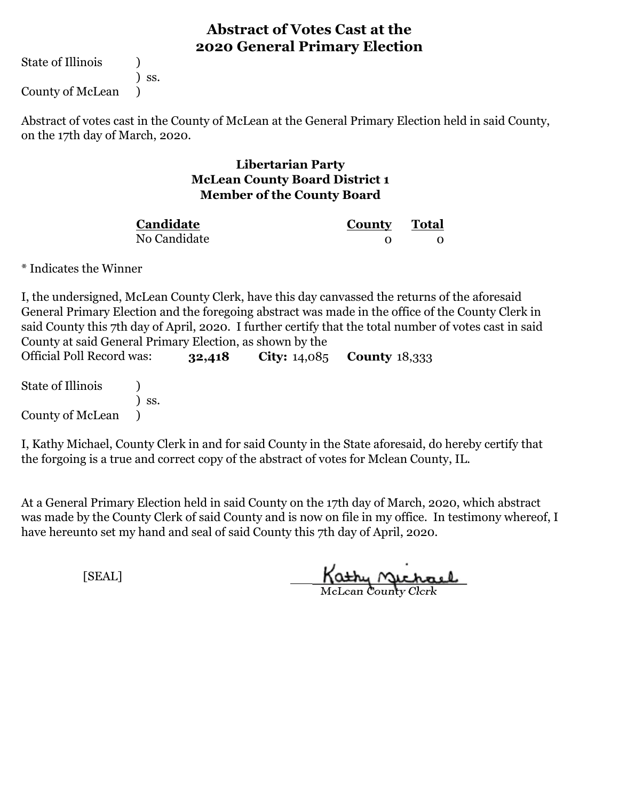State of Illinois (1)

) ss.

County of McLean )

Abstract of votes cast in the County of McLean at the General Primary Election held in said County, on the 17th day of March, 2020.

#### **Libertarian Party McLean County Board District 1 Member of the County Board**

| Candidate    | County Total |  |
|--------------|--------------|--|
| No Candidate |              |  |

\* Indicates the Winner

I, the undersigned, McLean County Clerk, have this day canvassed the returns of the aforesaid General Primary Election and the foregoing abstract was made in the office of the County Clerk in said County this 7th day of April, 2020. I further certify that the total number of votes cast in said County at said General Primary Election, as shown by the

| Official Poll Record was: |     | 32,418 | <b>City:</b> $14,085$ <b>County</b> $18,333$ |  |
|---------------------------|-----|--------|----------------------------------------------|--|
| State of Illinois         | SS. |        |                                              |  |
| County of McLean          |     |        |                                              |  |

I, Kathy Michael, County Clerk in and for said County in the State aforesaid, do hereby certify that the forgoing is a true and correct copy of the abstract of votes for Mclean County, IL.

At a General Primary Election held in said County on the 17th day of March, 2020, which abstract was made by the County Clerk of said County and is now on file in my office. In testimony whereof, I have hereunto set my hand and seal of said County this 7th day of April, 2020.

Kathy Michael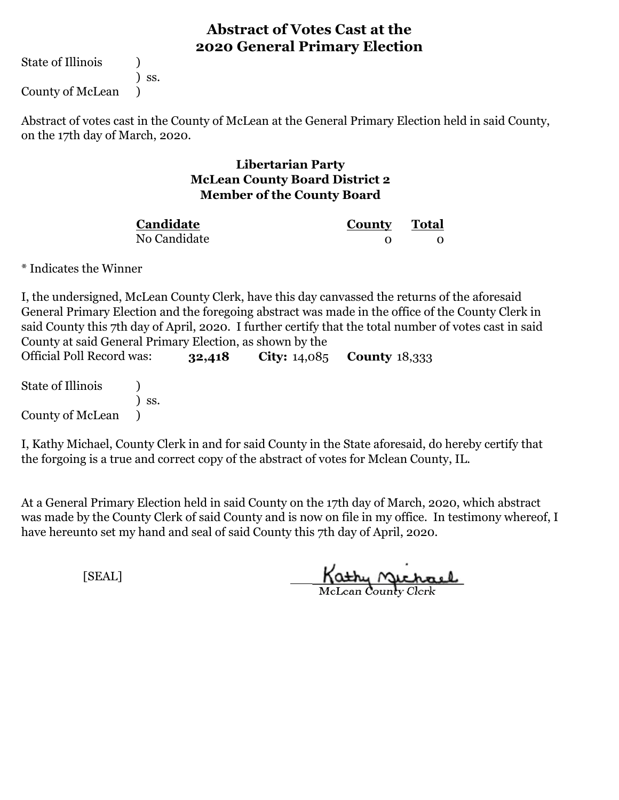State of Illinois (1)

) ss.

County of McLean )

Abstract of votes cast in the County of McLean at the General Primary Election held in said County, on the 17th day of March, 2020.

#### **Libertarian Party McLean County Board District 2 Member of the County Board**

| Candidate    | County Total |  |
|--------------|--------------|--|
| No Candidate |              |  |

\* Indicates the Winner

I, the undersigned, McLean County Clerk, have this day canvassed the returns of the aforesaid General Primary Election and the foregoing abstract was made in the office of the County Clerk in said County this 7th day of April, 2020. I further certify that the total number of votes cast in said County at said General Primary Election, as shown by the

| Official Poll Record was: |     | 32,418 | <b>City:</b> $14,085$ <b>County</b> $18,333$ |  |
|---------------------------|-----|--------|----------------------------------------------|--|
| State of Illinois         | SS. |        |                                              |  |
| County of McLean          |     |        |                                              |  |

I, Kathy Michael, County Clerk in and for said County in the State aforesaid, do hereby certify that the forgoing is a true and correct copy of the abstract of votes for Mclean County, IL.

At a General Primary Election held in said County on the 17th day of March, 2020, which abstract was made by the County Clerk of said County and is now on file in my office. In testimony whereof, I have hereunto set my hand and seal of said County this 7th day of April, 2020.

Kathy Michael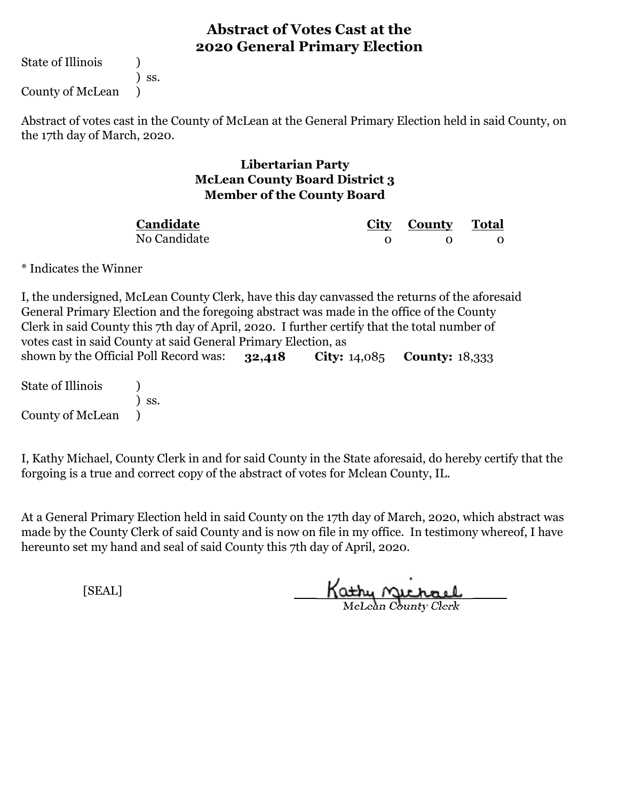State of Illinois (1)

) ss.

County of McLean )

Abstract of votes cast in the County of McLean at the General Primary Election held in said County, on the 17th day of March, 2020.

#### **Libertarian Party McLean County Board District 3 Member of the County Board**

No Candidate **Candidate**

**City County Total** 0 0 0

\* Indicates the Winner

**32,418 City:** 14,085 **County:** 18,333 I, the undersigned, McLean County Clerk, have this day canvassed the returns of the aforesaid General Primary Election and the foregoing abstract was made in the office of the County Clerk in said County this 7th day of April, 2020. I further certify that the total number of votes cast in said County at said General Primary Election, as shown by the Official Poll Record was:

State of Illinois (1) ) ss. County of McLean )

I, Kathy Michael, County Clerk in and for said County in the State aforesaid, do hereby certify that the forgoing is a true and correct copy of the abstract of votes for Mclean County, IL.

At a General Primary Election held in said County on the 17th day of March, 2020, which abstract was made by the County Clerk of said County and is now on file in my office. In testimony whereof, I have hereunto set my hand and seal of said County this 7th day of April, 2020.

Kathy Michael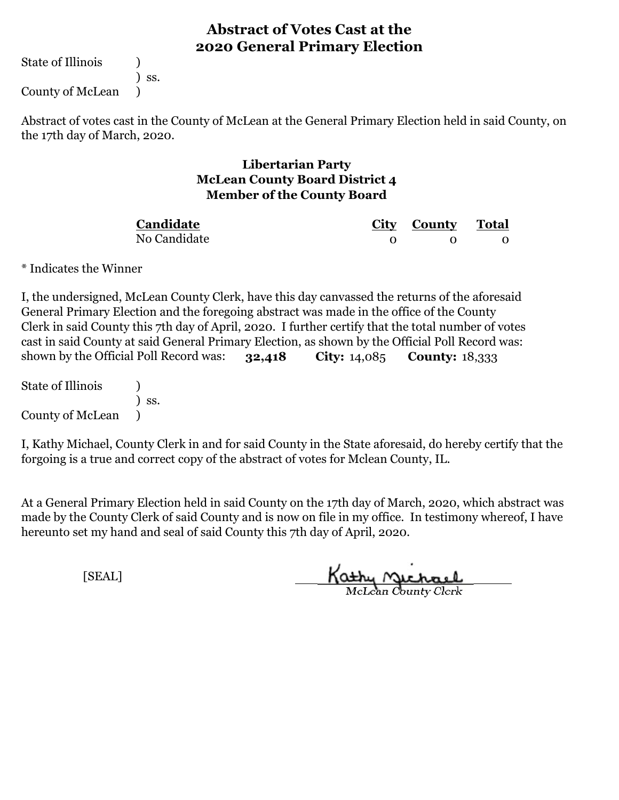State of Illinois (1)

) ss.

County of McLean )

Abstract of votes cast in the County of McLean at the General Primary Election held in said County, on the 17th day of March, 2020.

#### **Libertarian Party McLean County Board District 4 Member of the County Board**

No Candidate **Candidate**

**City County Total** 0 0 0

\* Indicates the Winner

**32,418 City:** 14,085 **County:** 18,333 I, the undersigned, McLean County Clerk, have this day canvassed the returns of the aforesaid General Primary Election and the foregoing abstract was made in the office of the County Clerk in said County this 7th day of April, 2020. I further certify that the total number of votes cast in said County at said General Primary Election, as shown by the Official Poll Record was: shown by the Official Poll Record was:

State of Illinois (1) ) ss. County of McLean )

I, Kathy Michael, County Clerk in and for said County in the State aforesaid, do hereby certify that the forgoing is a true and correct copy of the abstract of votes for Mclean County, IL.

At a General Primary Election held in said County on the 17th day of March, 2020, which abstract was made by the County Clerk of said County and is now on file in my office. In testimony whereof, I have hereunto set my hand and seal of said County this 7th day of April, 2020.

Kathy Michael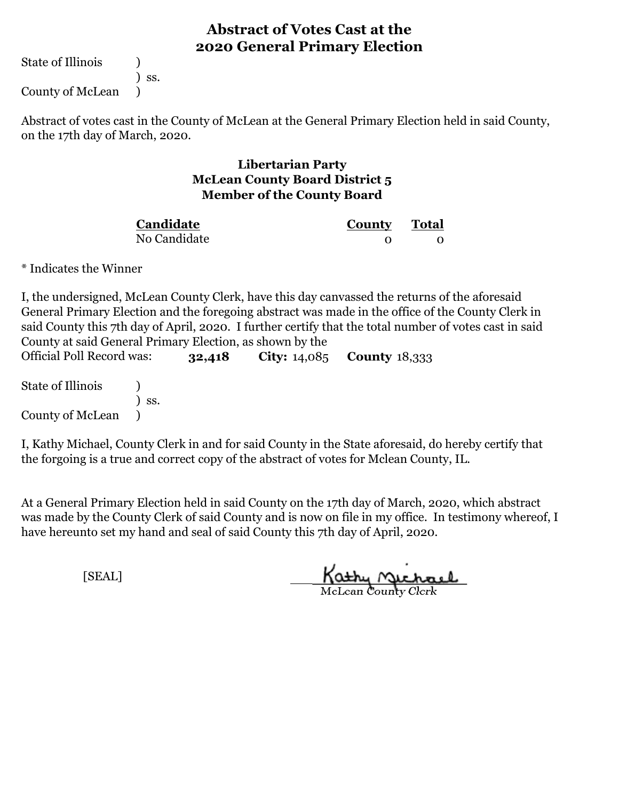State of Illinois (1)

) ss.

County of McLean )

Abstract of votes cast in the County of McLean at the General Primary Election held in said County, on the 17th day of March, 2020.

#### **Libertarian Party McLean County Board District 5 Member of the County Board**

| Candidate    | County Total |  |
|--------------|--------------|--|
| No Candidate |              |  |

\* Indicates the Winner

I, the undersigned, McLean County Clerk, have this day canvassed the returns of the aforesaid General Primary Election and the foregoing abstract was made in the office of the County Clerk in said County this 7th day of April, 2020. I further certify that the total number of votes cast in said County at said General Primary Election, as shown by the

| Official Poll Record was: |     | 32,418 | <b>City:</b> $14,085$ <b>County</b> $18,333$ |  |
|---------------------------|-----|--------|----------------------------------------------|--|
| State of Illinois         |     |        |                                              |  |
| County of McLean          | SS. |        |                                              |  |

I, Kathy Michael, County Clerk in and for said County in the State aforesaid, do hereby certify that the forgoing is a true and correct copy of the abstract of votes for Mclean County, IL.

At a General Primary Election held in said County on the 17th day of March, 2020, which abstract was made by the County Clerk of said County and is now on file in my office. In testimony whereof, I have hereunto set my hand and seal of said County this 7th day of April, 2020.

Kathy Michael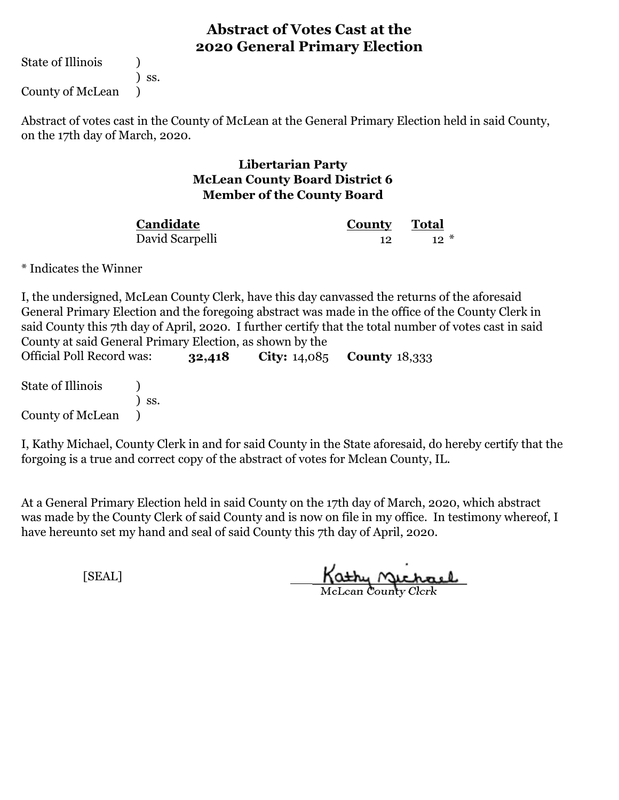State of Illinois (1)

) ss.

County of McLean )

Abstract of votes cast in the County of McLean at the General Primary Election held in said County, on the 17th day of March, 2020.

#### **Libertarian Party McLean County Board District 6 Member of the County Board**

| Candidate       | County Total |       |
|-----------------|--------------|-------|
| David Scarpelli |              | $12*$ |

\* Indicates the Winner

I, the undersigned, McLean County Clerk, have this day canvassed the returns of the aforesaid General Primary Election and the foregoing abstract was made in the office of the County Clerk in said County this 7th day of April, 2020. I further certify that the total number of votes cast in said County at said General Primary Election, as shown by the

| Official Poll Record was: |     | 32,418 | <b>City:</b> $14,085$ <b>County</b> $18,333$ |  |
|---------------------------|-----|--------|----------------------------------------------|--|
| State of Illinois         |     |        |                                              |  |
| County of McLean          | SS. |        |                                              |  |

I, Kathy Michael, County Clerk in and for said County in the State aforesaid, do hereby certify that the forgoing is a true and correct copy of the abstract of votes for Mclean County, IL.

At a General Primary Election held in said County on the 17th day of March, 2020, which abstract was made by the County Clerk of said County and is now on file in my office. In testimony whereof, I have hereunto set my hand and seal of said County this 7th day of April, 2020.

Kathy Michael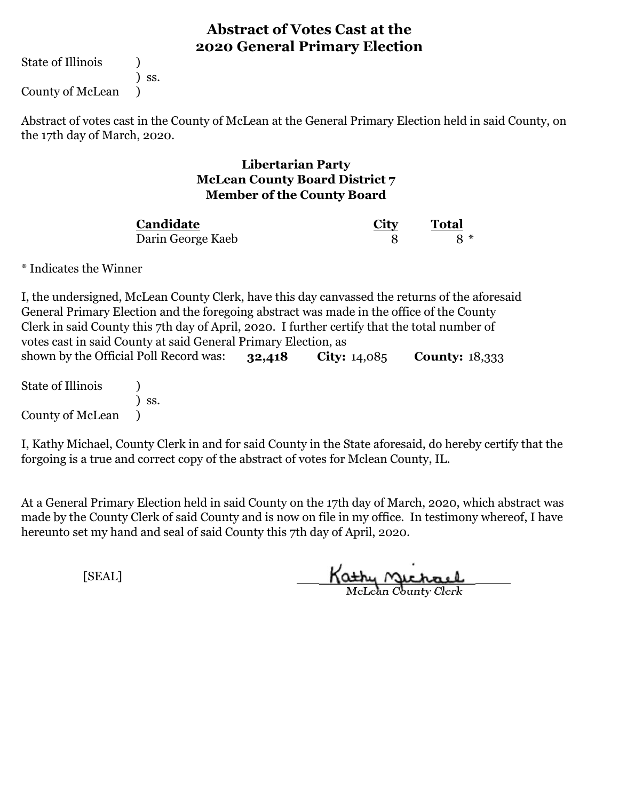State of Illinois (1)

) ss.

County of McLean )

Abstract of votes cast in the County of McLean at the General Primary Election held in said County, on the 17th day of March, 2020.

#### **Libertarian Party McLean County Board District 7 Member of the County Board**

Darin George Kaeb **Candidate**

**City Total** 8 **8** \*

\* Indicates the Winner

**32,418 City:** 14,085 **County:** 18,333 State of Illinois (1) I, the undersigned, McLean County Clerk, have this day canvassed the returns of the aforesaid General Primary Election and the foregoing abstract was made in the office of the County Clerk in said County this 7th day of April, 2020. I further certify that the total number of votes cast in said County at said General Primary Election, as shown by the Official Poll Record was:

) ss. County of McLean )

I, Kathy Michael, County Clerk in and for said County in the State aforesaid, do hereby certify that the forgoing is a true and correct copy of the abstract of votes for Mclean County, IL.

At a General Primary Election held in said County on the 17th day of March, 2020, which abstract was made by the County Clerk of said County and is now on file in my office. In testimony whereof, I have hereunto set my hand and seal of said County this 7th day of April, 2020.

Kathy Michael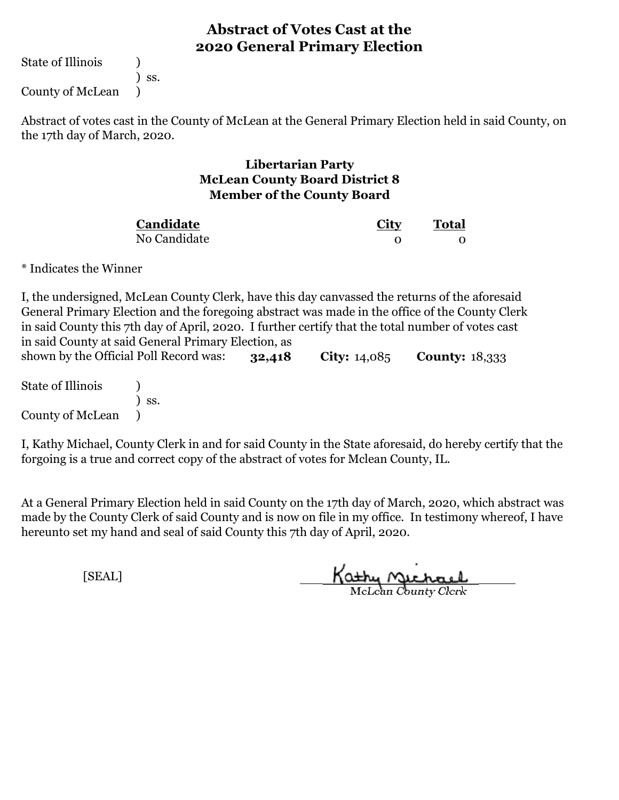State of Illinois (1)

) ss.

County of McLean )

Abstract of votes cast in the County of McLean at the General Primary Election held in said County, on the 17th day of March, 2020.

#### **Libertarian Party McLean County Board District 8 Member of the County Board**

| Candidate    | <u>City</u> | <b>Total</b> |  |
|--------------|-------------|--------------|--|
| No Candidate |             |              |  |

\* Indicates the Winner

**32,418 City:** 14,085 **County:** 18,333 I, the undersigned, McLean County Clerk, have this day canvassed the returns of the aforesaid General Primary Election and the foregoing abstract was made in the office of the County Clerk in said County this 7th day of April, 2020. I further certify that the total number of votes cast in said County at said General Primary Election, as shown by the Official Poll Record was:

State of Illinois (1) ) ss. County of McLean )

I, Kathy Michael, County Clerk in and for said County in the State aforesaid, do hereby certify that the forgoing is a true and correct copy of the abstract of votes for Mclean County, IL.

At a General Primary Election held in said County on the 17th day of March, 2020, which abstract was made by the County Clerk of said County and is now on file in my office. In testimony whereof, I have hereunto set my hand and seal of said County this 7th day of April, 2020.

Kathy Michael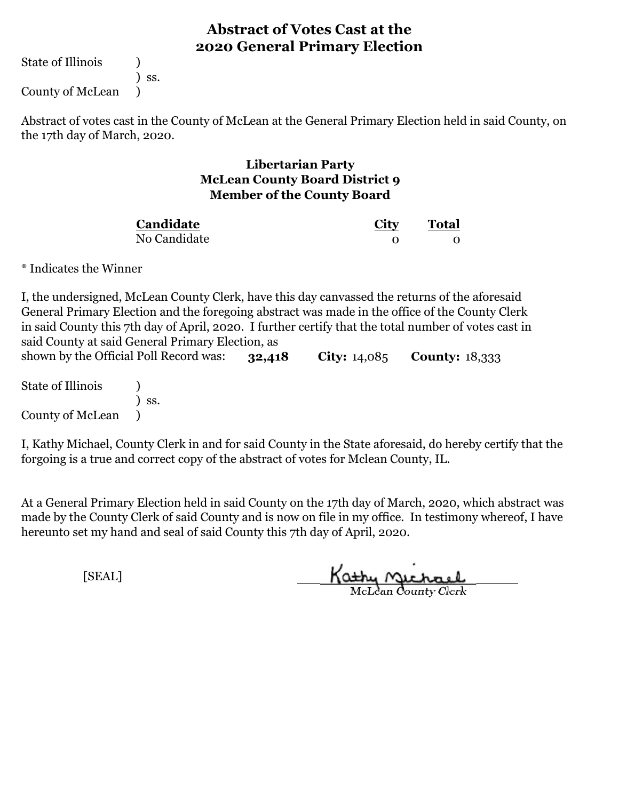State of Illinois (1)

) ss.

County of McLean )

Abstract of votes cast in the County of McLean at the General Primary Election held in said County, on the 17th day of March, 2020.

#### **Libertarian Party McLean County Board District 9 Member of the County Board**

No Candidate **Candidate**

**City Total** 0 0

\* Indicates the Winner

**32,418 City:** 14,085 **County:** 18,333 I, the undersigned, McLean County Clerk, have this day canvassed the returns of the aforesaid General Primary Election and the foregoing abstract was made in the office of the County Clerk in said County this 7th day of April, 2020. I further certify that the total number of votes cast in said County at said General Primary Election, as shown by the Official Poll Record was:

State of Illinois (1) ) ss. County of McLean )

I, Kathy Michael, County Clerk in and for said County in the State aforesaid, do hereby certify that the forgoing is a true and correct copy of the abstract of votes for Mclean County, IL.

At a General Primary Election held in said County on the 17th day of March, 2020, which abstract was made by the County Clerk of said County and is now on file in my office. In testimony whereof, I have hereunto set my hand and seal of said County this 7th day of April, 2020.

Kathy Michael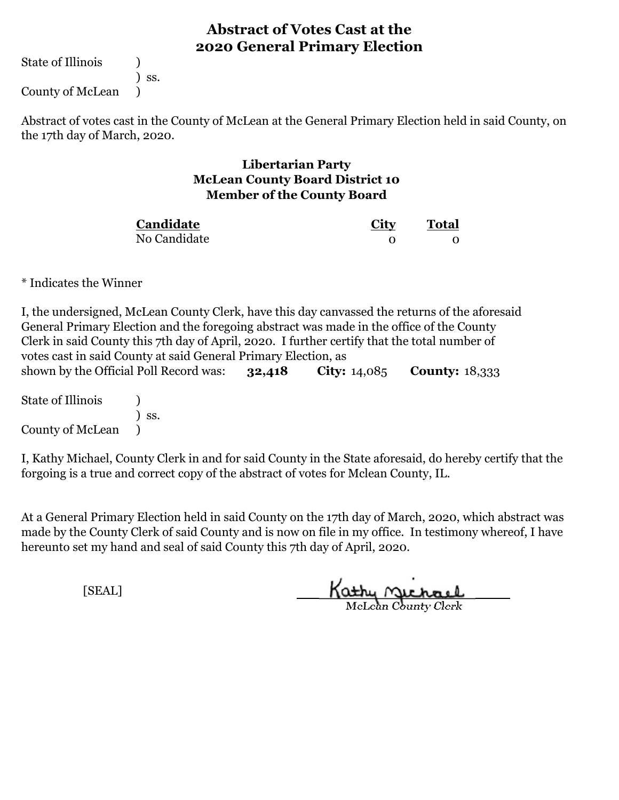State of Illinois (a)

) ss.

County of McLean )

Abstract of votes cast in the County of McLean at the General Primary Election held in said County, on the 17th day of March, 2020.

#### **Libertarian Party McLean County Board District 10 Member of the County Board**

| Candidate    | City | <b>Total</b> |  |
|--------------|------|--------------|--|
| No Candidate |      |              |  |

\* Indicates the Winner

| I, the undersigned, McLean County Clerk, have this day canvassed the returns of the aforesaid |        |                       |                       |  |  |
|-----------------------------------------------------------------------------------------------|--------|-----------------------|-----------------------|--|--|
| General Primary Election and the foregoing abstract was made in the office of the County      |        |                       |                       |  |  |
| Clerk in said County this 7th day of April, 2020. I further certify that the total number of  |        |                       |                       |  |  |
| votes cast in said County at said General Primary Election, as                                |        |                       |                       |  |  |
| shown by the Official Poll Record was:                                                        | 32,418 | <b>City:</b> $14,085$ | <b>County: 18,333</b> |  |  |
| State of Illinois                                                                             |        |                       |                       |  |  |
| SS.                                                                                           |        |                       |                       |  |  |

County of McLean  $\qquad$ )

I, Kathy Michael, County Clerk in and for said County in the State aforesaid, do hereby certify that the forgoing is a true and correct copy of the abstract of votes for Mclean County, IL.

At a General Primary Election held in said County on the 17th day of March, 2020, which abstract was made by the County Clerk of said County and is now on file in my office. In testimony whereof, I have hereunto set my hand and seal of said County this 7th day of April, 2020.

Kathy Michael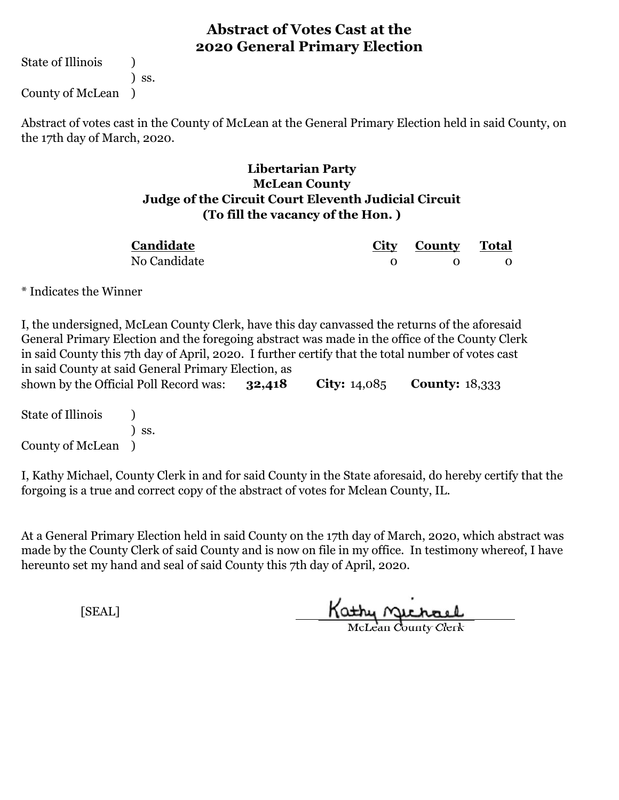State of Illinois (1)

) ss. County of McLean )

Abstract of votes cast in the County of McLean at the General Primary Election held in said County, on the 17th day of March, 2020.

#### **Libertarian Party McLean County Judge of the Circuit Court Eleventh Judicial Circuit (To fill the vacancy of the Hon. )**

| Candidate    | City County Total |  |
|--------------|-------------------|--|
| No Candidate |                   |  |

\* Indicates the Winner

**32,418 City:** 14,085 **County:** 18,333 I, the undersigned, McLean County Clerk, have this day canvassed the returns of the aforesaid General Primary Election and the foregoing abstract was made in the office of the County Clerk in said County this 7th day of April, 2020. I further certify that the total number of votes cast in said County at said General Primary Election, as shown by the Official Poll Record was:

State of Illinois (a) ) ss. County of McLean )

I, Kathy Michael, County Clerk in and for said County in the State aforesaid, do hereby certify that the forgoing is a true and correct copy of the abstract of votes for Mclean County, IL.

At a General Primary Election held in said County on the 17th day of March, 2020, which abstract was made by the County Clerk of said County and is now on file in my office. In testimony whereof, I have hereunto set my hand and seal of said County this 7th day of April, 2020.

Kathy Jichael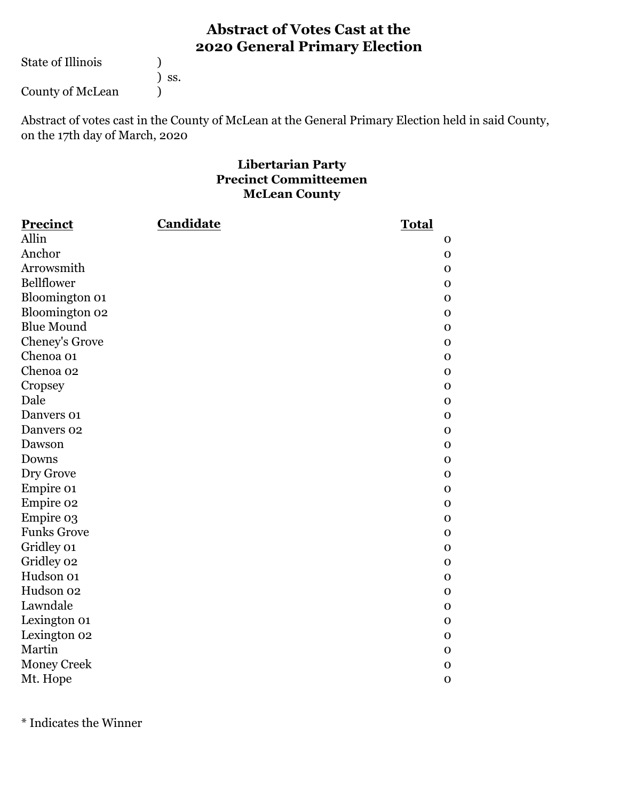State of Illinois ( )

| SS. |
|-----|
|     |

County of McLean )

Abstract of votes cast in the County of McLean at the General Primary Election held in said County, on the 17th day of March, 2020

#### **Libertarian Party Precinct Committeemen McLean County**

| <b>Precinct</b>    | <b>Candidate</b> | <b>Total</b> |
|--------------------|------------------|--------------|
| Allin              |                  | $\mathbf 0$  |
| Anchor             |                  | $\mathbf 0$  |
| Arrowsmith         |                  | $\mathbf 0$  |
| <b>Bellflower</b>  |                  | $\mathbf{O}$ |
| Bloomington 01     |                  | $\mathbf 0$  |
| Bloomington 02     |                  | $\mathbf 0$  |
| <b>Blue Mound</b>  |                  | $\mathbf{O}$ |
| Cheney's Grove     |                  | $\mathbf 0$  |
| Chenoa 01          |                  | $\mathbf 0$  |
| Chenoa 02          |                  | $\mathbf 0$  |
| Cropsey            |                  | $\mathbf 0$  |
| Dale               |                  | $\mathbf 0$  |
| Danvers 01         |                  | $\mathbf{O}$ |
| Danvers 02         |                  | $\mathbf{O}$ |
| Dawson             |                  | $\mathbf 0$  |
| Downs              |                  | $\mathbf{O}$ |
| Dry Grove          |                  | $\mathbf 0$  |
| Empire 01          |                  | $\mathbf{O}$ |
| Empire 02          |                  | $\mathbf 0$  |
| Empire 03          |                  | $\mathbf{O}$ |
| <b>Funks Grove</b> |                  | $\mathbf 0$  |
| Gridley 01         |                  | $\mathbf 0$  |
| Gridley 02         |                  | $\mathbf 0$  |
| Hudson 01          |                  | $\mathbf{O}$ |
| Hudson 02          |                  | $\mathbf 0$  |
| Lawndale           |                  | $\mathbf 0$  |
| Lexington 01       |                  | $\mathbf 0$  |
| Lexington 02       |                  | $\mathbf{O}$ |
| Martin             |                  | $\mathbf 0$  |
| <b>Money Creek</b> |                  | $\mathbf 0$  |
| Mt. Hope           |                  | $\mathbf 0$  |

\* Indicates the Winner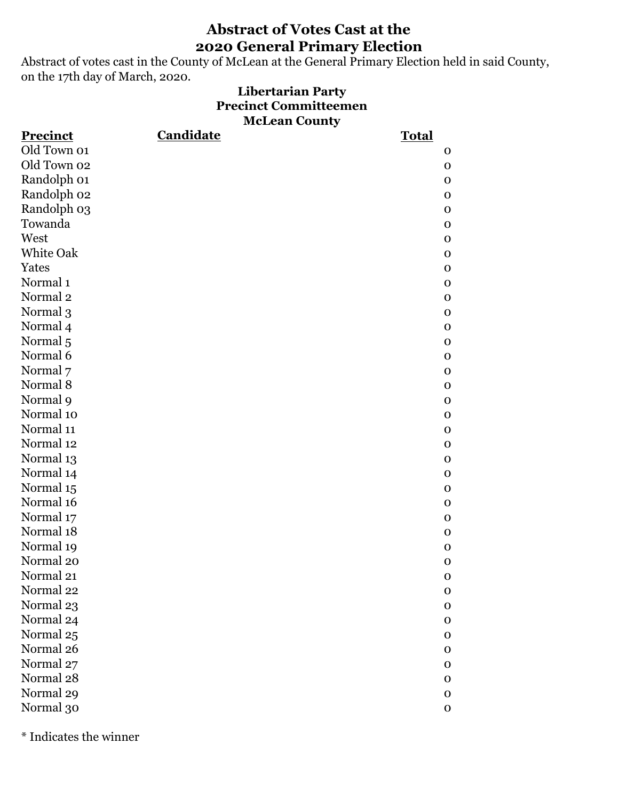Abstract of votes cast in the County of McLean at the General Primary Election held in said County, on the 17th day of March, 2020.

#### **Libertarian Party Precinct Committeemen McLean County**

| <b>Precinct</b>     | <b>Candidate</b> | <b>Total</b> |
|---------------------|------------------|--------------|
| Old Town 01         |                  | $\mathbf 0$  |
| Old Town 02         |                  | $\mathbf 0$  |
| Randolph 01         |                  | $\mathbf 0$  |
| Randolph 02         |                  | $\mathbf{O}$ |
| Randolph 03         |                  | $\mathbf 0$  |
| Towanda             |                  | $\mathbf{O}$ |
| West                |                  | $\mathbf{O}$ |
| White Oak           |                  | $\mathbf{O}$ |
| Yates               |                  | $\mathbf 0$  |
| Normal <sub>1</sub> |                  | $\mathbf{O}$ |
| Normal <sub>2</sub> |                  | $\mathbf 0$  |
| Normal 3            |                  | $\mathbf{O}$ |
| Normal 4            |                  | $\mathbf{O}$ |
| Normal <sub>5</sub> |                  | $\mathbf O$  |
| Normal 6            |                  | $\mathbf{O}$ |
| Normal 7            |                  | $\mathbf{O}$ |
| Normal 8            |                  | $\mathbf{O}$ |
| Normal 9            |                  | $\mathbf 0$  |
| Normal 10           |                  | $\mathbf{O}$ |
| Normal 11           |                  | $\mathbf 0$  |
| Normal 12           |                  | $\mathbf 0$  |
| Normal 13           |                  | $\mathbf{O}$ |
| Normal 14           |                  | $\mathbf{O}$ |
| Normal 15           |                  | $\mathbf{O}$ |
| Normal 16           |                  | $\mathbf{O}$ |
| Normal 17           |                  | $\mathbf{O}$ |
| Normal 18           |                  | $\mathbf{O}$ |
| Normal 19           |                  | $\mathbf 0$  |
| Normal 20           |                  | $\mathbf 0$  |
| Normal 21           |                  | $\Omega$     |
| Normal 22           |                  | $\mathbf 0$  |
| Normal 23           |                  | $\mathbf 0$  |
| Normal 24           |                  | $\mathbf 0$  |
| Normal 25           |                  | $\mathbf 0$  |
| Normal 26           |                  | $\mathbf{O}$ |
| Normal 27           |                  | $\mathbf{O}$ |
| Normal 28           |                  | $\mathbf 0$  |
| Normal 29           |                  | $\mathbf O$  |
| Normal 30           |                  | $\mathbf 0$  |

\* Indicates the winner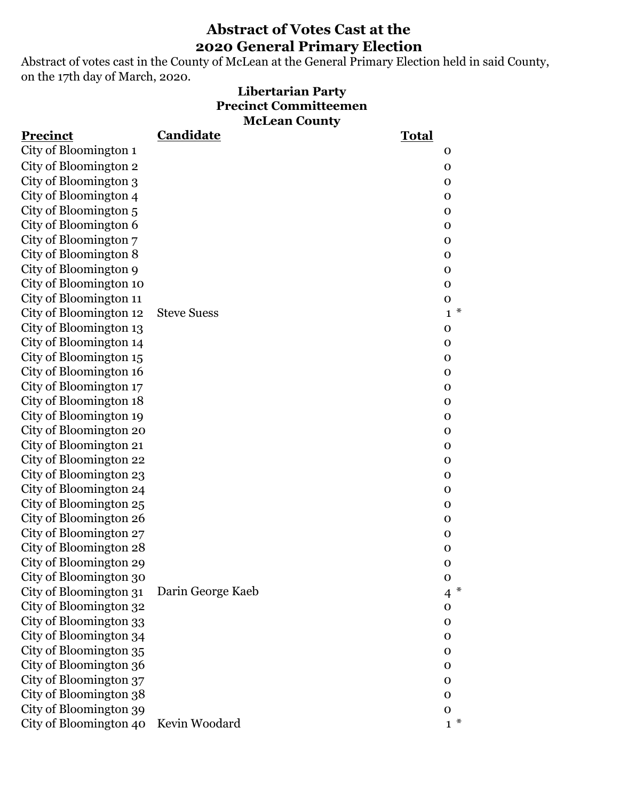Abstract of votes cast in the County of McLean at the General Primary Election held in said County, on the 17th day of March, 2020.

#### **McLean County Libertarian Party Precinct Committeemen**

| <b>Precinct</b>        | Candidate          | <b>Total</b>             |
|------------------------|--------------------|--------------------------|
| City of Bloomington 1  |                    | $\mathbf 0$              |
| City of Bloomington 2  |                    | $\mathbf 0$              |
| City of Bloomington 3  |                    | $\mathbf 0$              |
| City of Bloomington 4  |                    | $\mathbf 0$              |
| City of Bloomington 5  |                    | $\mathbf 0$              |
| City of Bloomington 6  |                    | $\mathbf 0$              |
| City of Bloomington 7  |                    | $\mathbf 0$              |
| City of Bloomington 8  |                    | $\mathbf 0$              |
| City of Bloomington 9  |                    | $\mathbf 0$              |
| City of Bloomington 10 |                    | $\mathbf 0$              |
| City of Bloomington 11 |                    | $\mathbf 0$              |
| City of Bloomington 12 | <b>Steve Suess</b> | $\ast$<br>$\mathbf{1}$   |
| City of Bloomington 13 |                    | $\mathbf 0$              |
| City of Bloomington 14 |                    | $\mathbf 0$              |
| City of Bloomington 15 |                    | $\mathbf 0$              |
| City of Bloomington 16 |                    | $\mathbf 0$              |
| City of Bloomington 17 |                    | $\mathbf 0$              |
| City of Bloomington 18 |                    | $\mathbf 0$              |
| City of Bloomington 19 |                    | $\mathbf 0$              |
| City of Bloomington 20 |                    | $\mathbf 0$              |
| City of Bloomington 21 |                    | $\mathbf 0$              |
| City of Bloomington 22 |                    | $\mathbf 0$              |
| City of Bloomington 23 |                    | $\mathbf 0$              |
| City of Bloomington 24 |                    | $\mathbf 0$              |
| City of Bloomington 25 |                    | $\mathbf 0$              |
| City of Bloomington 26 |                    | $\mathbf 0$              |
| City of Bloomington 27 |                    | $\mathbf 0$              |
| City of Bloomington 28 |                    | $\mathbf 0$              |
| City of Bloomington 29 |                    | $\mathbf 0$              |
| City of Bloomington 30 |                    | $\mathbf O$              |
| City of Bloomington 31 | Darin George Kaeb  | $\ast$<br>$\overline{4}$ |
| City of Bloomington 32 |                    | $\mathbf 0$              |
| City of Bloomington 33 |                    | $\mathbf 0$              |
| City of Bloomington 34 |                    | $\mathbf 0$              |
| City of Bloomington 35 |                    | $\Omega$                 |
| City of Bloomington 36 |                    | $\mathbf 0$              |
| City of Bloomington 37 |                    | 0                        |
| City of Bloomington 38 |                    | $\mathbf 0$              |
| City of Bloomington 39 |                    | $\mathbf 0$              |
| City of Bloomington 40 | Kevin Woodard      | $1^*$                    |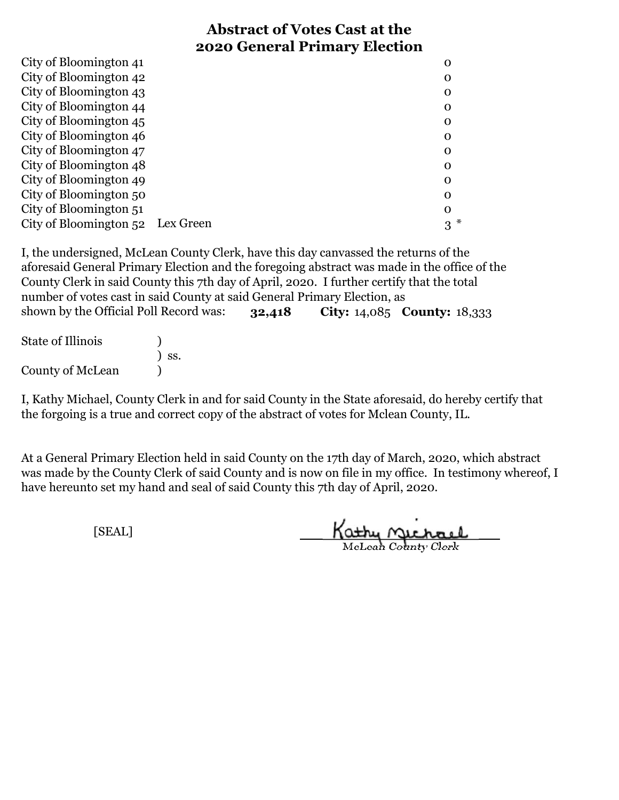| City of Bloomington 41           | O        |
|----------------------------------|----------|
| City of Bloomington 42           | O        |
| City of Bloomington 43           | O        |
| City of Bloomington 44           | 0        |
| City of Bloomington 45           | 0        |
| City of Bloomington 46           | 0        |
| City of Bloomington 47           | $\Omega$ |
| City of Bloomington 48           | O        |
| City of Bloomington 49           | O        |
| City of Bloomington 50           | 0        |
| City of Bloomington 51           | $\Omega$ |
| City of Bloomington 52 Lex Green | 3        |

**32,418 City:** 14,085 **County:** 18,333 I, the undersigned, McLean County Clerk, have this day canvassed the returns of the aforesaid General Primary Election and the foregoing abstract was made in the office of the County Clerk in said County this 7th day of April, 2020. I further certify that the total number of votes cast in said County at said General Primary Election, as shown by the Official Poll Record was:

| <b>State of Illinois</b> |                              |
|--------------------------|------------------------------|
|                          | $\overline{\phantom{a}}$ SS. |
| <b>County of McLean</b>  |                              |

I, Kathy Michael, County Clerk in and for said County in the State aforesaid, do hereby certify that the forgoing is a true and correct copy of the abstract of votes for Mclean County, IL.

At a General Primary Election held in said County on the 17th day of March, 2020, which abstract was made by the County Clerk of said County and is now on file in my office. In testimony whereof, I have hereunto set my hand and seal of said County this 7th day of April, 2020.

Kathy Michael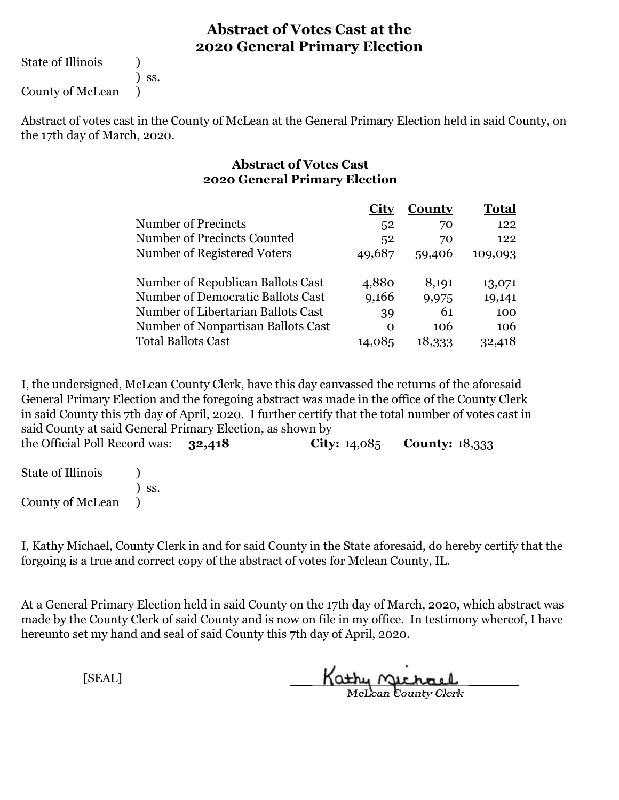State of Illinois (1)

) ss.

County of McLean )

Abstract of votes cast in the County of McLean at the General Primary Election held in said County, on the 17th day of March, 2020.

#### **Abstract of Votes Cast 2020 General Primary Election**

|                                    |          | <b>County</b> | <b>Total</b> |
|------------------------------------|----------|---------------|--------------|
| Number of Precincts                | 52       | 70            | 122          |
| Number of Precincts Counted        | 52       | 70            | 122          |
| Number of Registered Voters        | 49,687   | 59,406        | 109,093      |
| Number of Republican Ballots Cast  | 4,880    | 8,191         | 13,071       |
| Number of Democratic Ballots Cast  | 9,166    | 9,975         | 19,141       |
| Number of Libertarian Ballots Cast | 39       | 61            | 100          |
| Number of Nonpartisan Ballots Cast | $\Omega$ | 106           | 106          |
| <b>Total Ballots Cast</b>          | 14,085   | 18.333        | 32.418       |

I, the undersigned, McLean County Clerk, have this day canvassed the returns of the aforesaid General Primary Election and the foregoing abstract was made in the office of the County Clerk in said County this 7th day of April, 2020. I further certify that the total number of votes cast in said County at said General Primary Election, as shown by

**32,418 City:** 14,085 **County:** 18,333 the Official Poll Record was:

State of Illinois (1) ) ss. County of McLean )

I, Kathy Michael, County Clerk in and for said County in the State aforesaid, do hereby certify that the forgoing is a true and correct copy of the abstract of votes for Mclean County, IL.

At a General Primary Election held in said County on the 17th day of March, 2020, which abstract was made by the County Clerk of said County and is now on file in my office. In testimony whereof, I have hereunto set my hand and seal of said County this 7th day of April, 2020.

Kathy Michael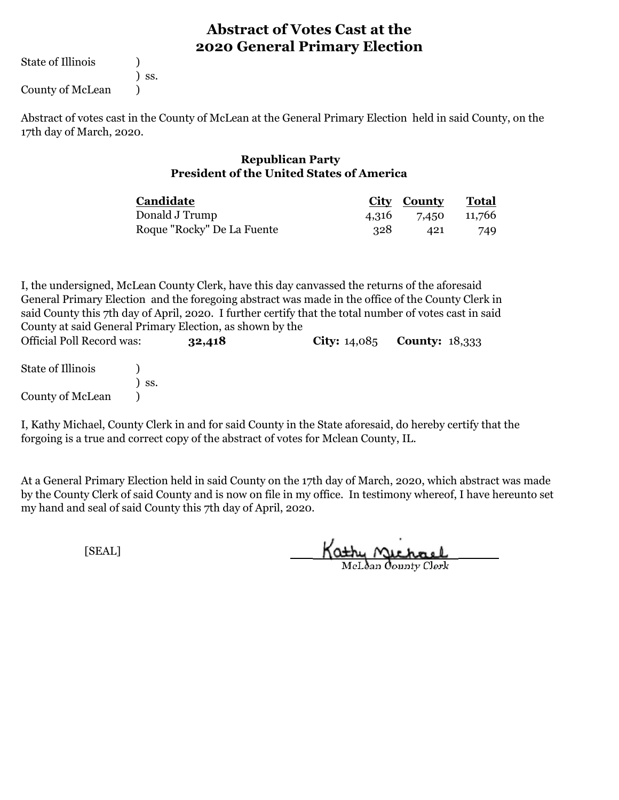State of Illinois (1) County of McLean (1)

) ss.

Abstract of votes cast in the County of McLean at the General Primary Election held in said County, on the 17th day of March, 2020.

#### **Republican Party President of the United States of America**

| Candidate                  |      | City County Total  |     |
|----------------------------|------|--------------------|-----|
| Donald J Trump             |      | 4,316 7,450 11,766 |     |
| Roque "Rocky" De La Fuente | -328 | 421                | 749 |

I, the undersigned, McLean County Clerk, have this day canvassed the returns of the aforesaid General Primary Election and the foregoing abstract was made in the office of the County Clerk in said County this 7th day of April, 2020. I further certify that the total number of votes cast in said County at said General Primary Election, as shown by the

| <b>Official Poll Record was:</b> | 32,418 | <b>City:</b> $14,085$ <b>County:</b> $18,333$ |  |
|----------------------------------|--------|-----------------------------------------------|--|
| State of Illinois                | SS.    |                                               |  |
| County of McLean                 |        |                                               |  |

I, Kathy Michael, County Clerk in and for said County in the State aforesaid, do hereby certify that the forgoing is a true and correct copy of the abstract of votes for Mclean County, IL.

At a General Primary Election held in said County on the 17th day of March, 2020, which abstract was made by the County Clerk of said County and is now on file in my office. In testimony whereof, I have hereunto set my hand and seal of said County this 7th day of April, 2020.

Kathy Michael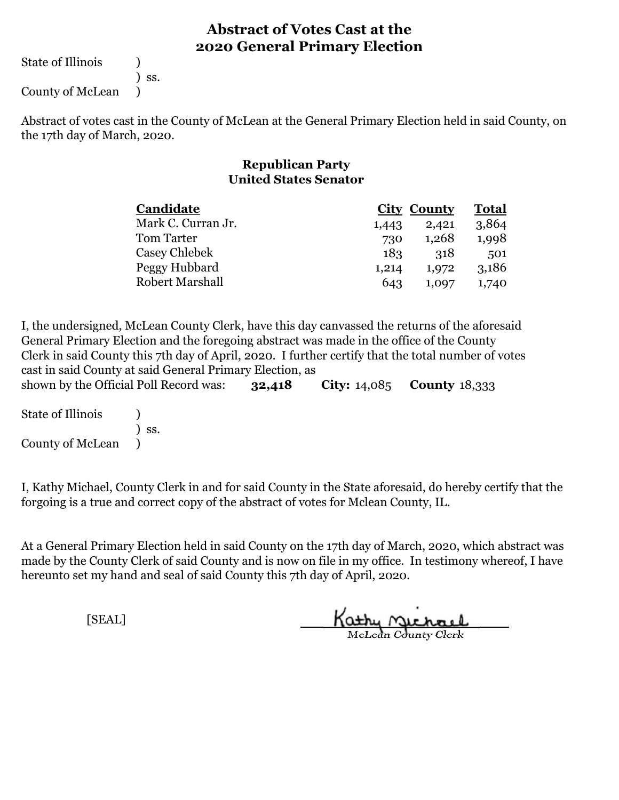State of Illinois (1)

) ss.

County of McLean )

Abstract of votes cast in the County of McLean at the General Primary Election held in said County, on the 17th day of March, 2020.

#### **Republican Party United States Senator**

| Candidate              |       | <b>City County</b> | <b>Total</b> |  |
|------------------------|-------|--------------------|--------------|--|
| Mark C. Curran Jr.     | 1,443 | 2,421              | 3,864        |  |
| Tom Tarter             | 730   | 1,268              | 1,998        |  |
| Casey Chlebek          | 183   | 318                | 501          |  |
| Peggy Hubbard          | 1,214 | 1,972              | 3,186        |  |
| <b>Robert Marshall</b> | 643   | 1.097              | 1,740        |  |

**32,418 City:** 14,085 **County** 18,333 I, the undersigned, McLean County Clerk, have this day canvassed the returns of the aforesaid General Primary Election and the foregoing abstract was made in the office of the County Clerk in said County this 7th day of April, 2020. I further certify that the total number of votes cast in said County at said General Primary Election, as shown by the Official Poll Record was:

State of Illinois (1) ) ss. County of McLean )

I, Kathy Michael, County Clerk in and for said County in the State aforesaid, do hereby certify that the forgoing is a true and correct copy of the abstract of votes for Mclean County, IL.

At a General Primary Election held in said County on the 17th day of March, 2020, which abstract was made by the County Clerk of said County and is now on file in my office. In testimony whereof, I have hereunto set my hand and seal of said County this 7th day of April, 2020.

Kathy Michael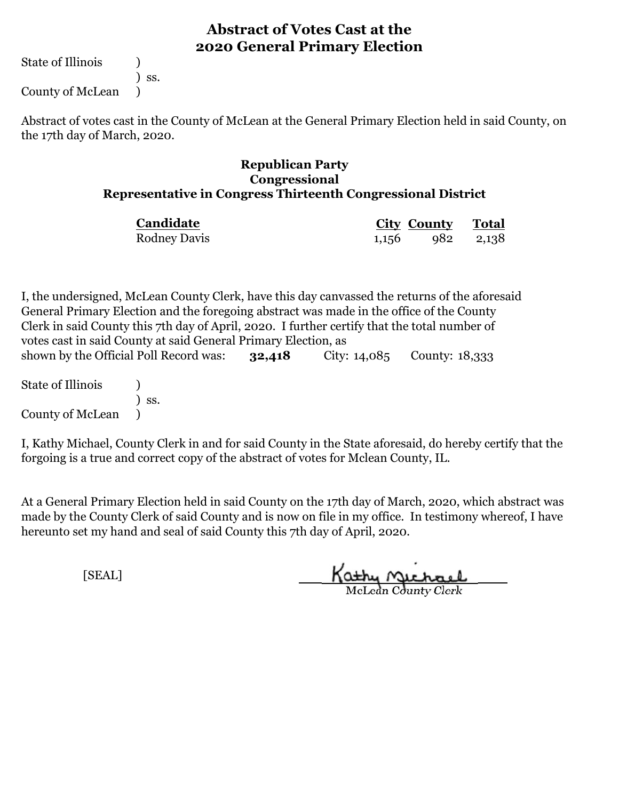State of Illinois (1)

) ss.

County of McLean )

Abstract of votes cast in the County of McLean at the General Primary Election held in said County, on the 17th day of March, 2020.

#### **Republican Party Congressional Representative in Congress Thirteenth Congressional District**

| Candidate           | City County Total     |  |
|---------------------|-----------------------|--|
| <b>Rodney Davis</b> | $1,156$ $982$ $2,138$ |  |

**32,418** City: 14,085 County: 18,333 I, the undersigned, McLean County Clerk, have this day canvassed the returns of the aforesaid General Primary Election and the foregoing abstract was made in the office of the County Clerk in said County this 7th day of April, 2020. I further certify that the total number of votes cast in said County at said General Primary Election, as shown by the Official Poll Record was:

State of Illinois (1) ) ss. County of McLean )

I, Kathy Michael, County Clerk in and for said County in the State aforesaid, do hereby certify that the forgoing is a true and correct copy of the abstract of votes for Mclean County, IL.

At a General Primary Election held in said County on the 17th day of March, 2020, which abstract was made by the County Clerk of said County and is now on file in my office. In testimony whereof, I have hereunto set my hand and seal of said County this 7th day of April, 2020.

Kathy Michael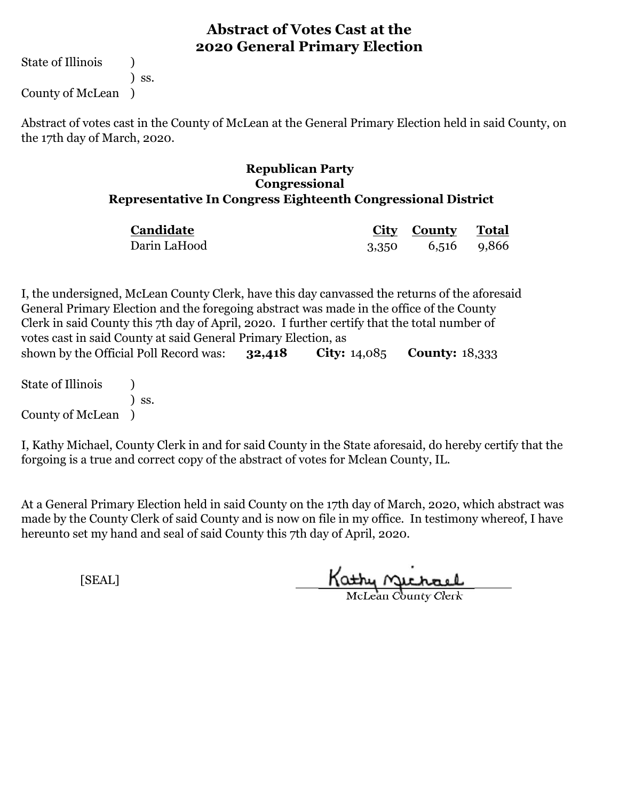State of Illinois (1) ) ss.

County of McLean )

Abstract of votes cast in the County of McLean at the General Primary Election held in said County, on the 17th day of March, 2020.

#### **Republican Party Congressional Representative In Congress Eighteenth Congressional District**

| Candidate    | <b>City County Total</b> |  |
|--------------|--------------------------|--|
| Darin LaHood | 3,350 6,516 9,866        |  |

**32,418 City:** 14,085 **County:** 18,333 I, the undersigned, McLean County Clerk, have this day canvassed the returns of the aforesaid General Primary Election and the foregoing abstract was made in the office of the County Clerk in said County this 7th day of April, 2020. I further certify that the total number of votes cast in said County at said General Primary Election, as shown by the Official Poll Record was:

State of Illinois (1) ) ss. County of McLean )

I, Kathy Michael, County Clerk in and for said County in the State aforesaid, do hereby certify that the forgoing is a true and correct copy of the abstract of votes for Mclean County, IL.

At a General Primary Election held in said County on the 17th day of March, 2020, which abstract was made by the County Clerk of said County and is now on file in my office. In testimony whereof, I have hereunto set my hand and seal of said County this 7th day of April, 2020.

Kathy Michael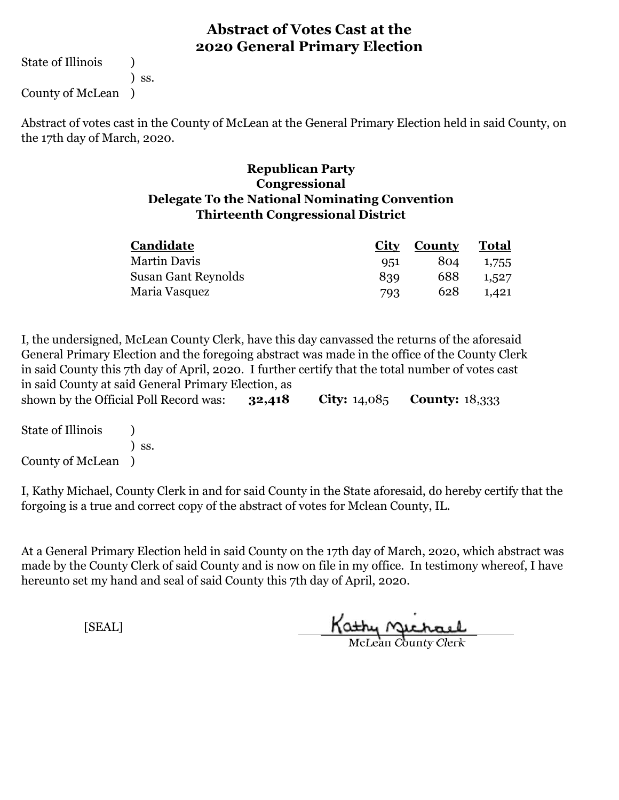State of Illinois (1)

) ss.

County of McLean )

Abstract of votes cast in the County of McLean at the General Primary Election held in said County, on the 17th day of March, 2020.

#### **Republican Party Delegate To the National Nominating Convention Thirteenth Congressional District Congressional**

| Candidate           | <b>City</b> | County | Total |
|---------------------|-------------|--------|-------|
| <b>Martin Davis</b> | 951         | 804    | 1,755 |
| Susan Gant Reynolds | 839         | 688    | 1.527 |
| Maria Vasquez       | 793         | 628    | 1.421 |

**32,418 City:** 14,085 **County:** 18,333 I, the undersigned, McLean County Clerk, have this day canvassed the returns of the aforesaid General Primary Election and the foregoing abstract was made in the office of the County Clerk in said County this 7th day of April, 2020. I further certify that the total number of votes cast in said County at said General Primary Election, as shown by the Official Poll Record was:

| <b>State of Illinois</b> |                              |
|--------------------------|------------------------------|
|                          | $\overline{\phantom{a}}$ SS. |
| County of McLean         |                              |

I, Kathy Michael, County Clerk in and for said County in the State aforesaid, do hereby certify that the forgoing is a true and correct copy of the abstract of votes for Mclean County, IL.

At a General Primary Election held in said County on the 17th day of March, 2020, which abstract was made by the County Clerk of said County and is now on file in my office. In testimony whereof, I have hereunto set my hand and seal of said County this 7th day of April, 2020.

Kathy Jichael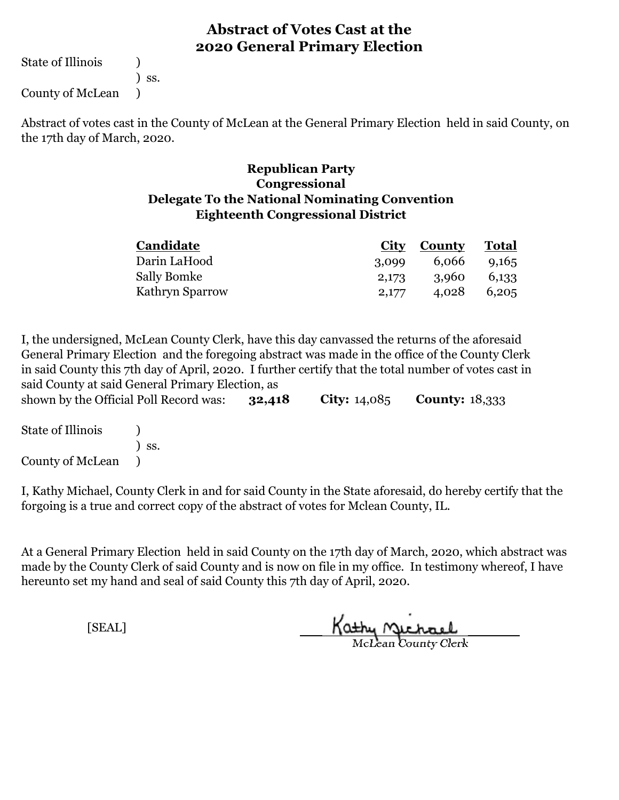State of Illinois (1)

) ss.

County of McLean )

Abstract of votes cast in the County of McLean at the General Primary Election held in said County, on the 17th day of March, 2020.

#### **Republican Party Eighteenth Congressional District Delegate To the National Nominating Convention Congressional**

| Candidate       | City  | County | <b>Total</b> |  |
|-----------------|-------|--------|--------------|--|
| Darin LaHood    | 3,099 | 6,066  | 9.165        |  |
| Sally Bomke     | 2,173 | 3,960  | 6,133        |  |
| Kathryn Sparrow | 2,177 | 4,028  | 6,205        |  |

**32,418 City:** 14,085 **County:** 18,333 I, the undersigned, McLean County Clerk, have this day canvassed the returns of the aforesaid General Primary Election and the foregoing abstract was made in the office of the County Clerk in said County this 7th day of April, 2020. I further certify that the total number of votes cast in said County at said General Primary Election, as shown by the Official Poll Record was:

State of Illinois (1) ) ss. County of McLean )

I, Kathy Michael, County Clerk in and for said County in the State aforesaid, do hereby certify that the forgoing is a true and correct copy of the abstract of votes for Mclean County, IL.

At a General Primary Election held in said County on the 17th day of March, 2020, which abstract was made by the County Clerk of said County and is now on file in my office. In testimony whereof, I have hereunto set my hand and seal of said County this 7th day of April, 2020.

Kathy Michael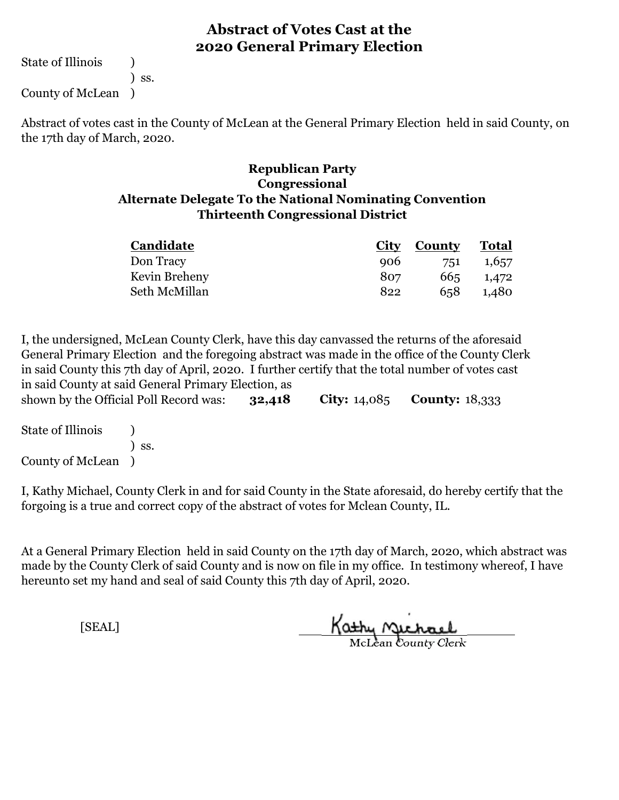State of Illinois (1)

) ss.

County of McLean )

Abstract of votes cast in the County of McLean at the General Primary Election held in said County, on the 17th day of March, 2020.

#### **Republican Party Thirteenth Congressional District Congressional Alternate Delegate To the National Nominating Convention**

| Candidate     | City | County | Total |
|---------------|------|--------|-------|
| Don Tracy     | 906  | 751    | 1,657 |
| Kevin Breheny | 807  | 665    | 1,472 |
| Seth McMillan | 822  | 658    | 1,480 |

**32,418 City:** 14,085 **County:** 18,333 I, the undersigned, McLean County Clerk, have this day canvassed the returns of the aforesaid General Primary Election and the foregoing abstract was made in the office of the County Clerk in said County this 7th day of April, 2020. I further certify that the total number of votes cast in said County at said General Primary Election, as shown by the Official Poll Record was:

| <b>State of Illinois</b> |                              |
|--------------------------|------------------------------|
|                          | $\overline{\phantom{a}}$ SS. |
| County of McLean         |                              |

I, Kathy Michael, County Clerk in and for said County in the State aforesaid, do hereby certify that the forgoing is a true and correct copy of the abstract of votes for Mclean County, IL.

At a General Primary Election held in said County on the 17th day of March, 2020, which abstract was made by the County Clerk of said County and is now on file in my office. In testimony whereof, I have hereunto set my hand and seal of said County this 7th day of April, 2020.

Kathy Michael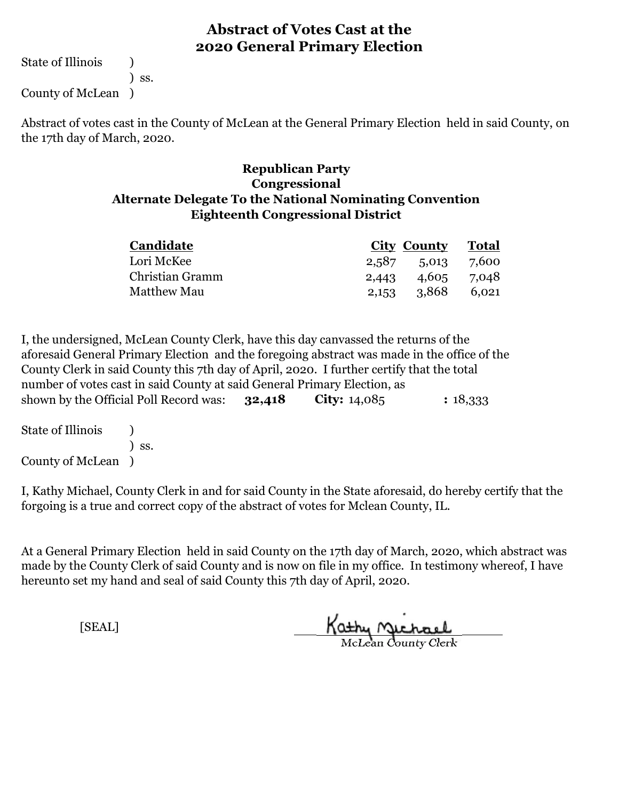State of Illinois (1)

) ss.

County of McLean )

Abstract of votes cast in the County of McLean at the General Primary Election held in said County, on the 17th day of March, 2020.

#### **Congressional Alternate Delegate To the National Nominating Convention Republican Party Eighteenth Congressional District**

| <b>Candidate</b>   |                 | City County Total |       |
|--------------------|-----------------|-------------------|-------|
| Lori McKee         |                 | 2,587 5,013 7,600 |       |
| Christian Gramm    | 2,443           | 4,605 7,048       |       |
| <b>Matthew Mau</b> | $2,153$ $3,868$ |                   | 6.021 |

**32,418 City:** 14,085 **County :** 18,333 I, the undersigned, McLean County Clerk, have this day canvassed the returns of the aforesaid General Primary Election and the foregoing abstract was made in the office of the County Clerk in said County this 7th day of April, 2020. I further certify that the total number of votes cast in said County at said General Primary Election, as shown by the Official Poll Record was: 32,418

| <b>State of Illinois</b> |                              |
|--------------------------|------------------------------|
|                          | $\overline{\phantom{a}}$ SS. |
| County of McLean )       |                              |

I, Kathy Michael, County Clerk in and for said County in the State aforesaid, do hereby certify that the forgoing is a true and correct copy of the abstract of votes for Mclean County, IL.

At a General Primary Election held in said County on the 17th day of March, 2020, which abstract was made by the County Clerk of said County and is now on file in my office. In testimony whereof, I have hereunto set my hand and seal of said County this 7th day of April, 2020.

Kathy nichael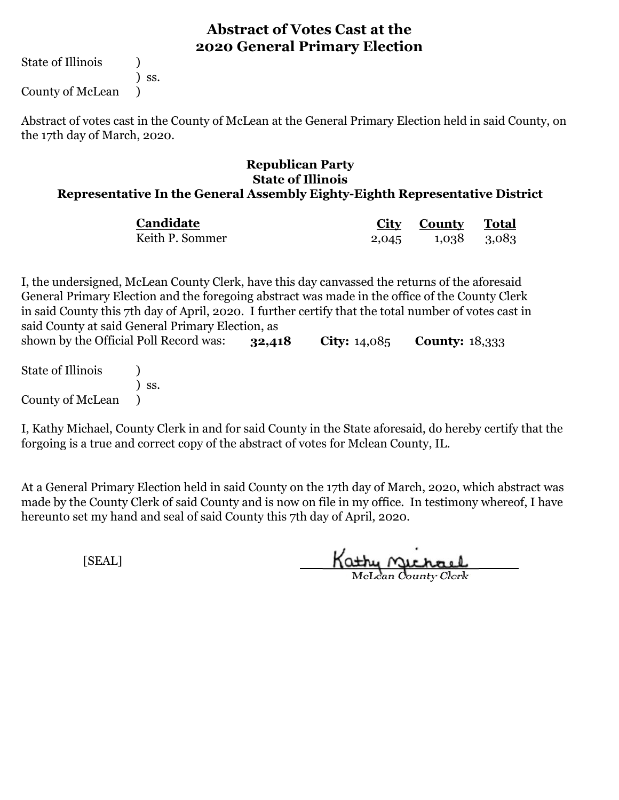State of Illinois (1)

) ss.

County of McLean )

Abstract of votes cast in the County of McLean at the General Primary Election held in said County, on the 17th day of March, 2020.

#### **Republican Party State of Illinois Representative In the General Assembly Eighty-Eighth Representative District**

| Candidate       |       | City County | Total |
|-----------------|-------|-------------|-------|
| Keith P. Sommer | 2,045 | 1,038 3,083 |       |

**32,418 City:** 14,085 **County:** 18,333 I, the undersigned, McLean County Clerk, have this day canvassed the returns of the aforesaid General Primary Election and the foregoing abstract was made in the office of the County Clerk in said County this 7th day of April, 2020. I further certify that the total number of votes cast in said County at said General Primary Election, as shown by the Official Poll Record was:

State of Illinois (a) ) ss. County of McLean )

I, Kathy Michael, County Clerk in and for said County in the State aforesaid, do hereby certify that the forgoing is a true and correct copy of the abstract of votes for Mclean County, IL.

At a General Primary Election held in said County on the 17th day of March, 2020, which abstract was made by the County Clerk of said County and is now on file in my office. In testimony whereof, I have hereunto set my hand and seal of said County this 7th day of April, 2020.

Kathy Michael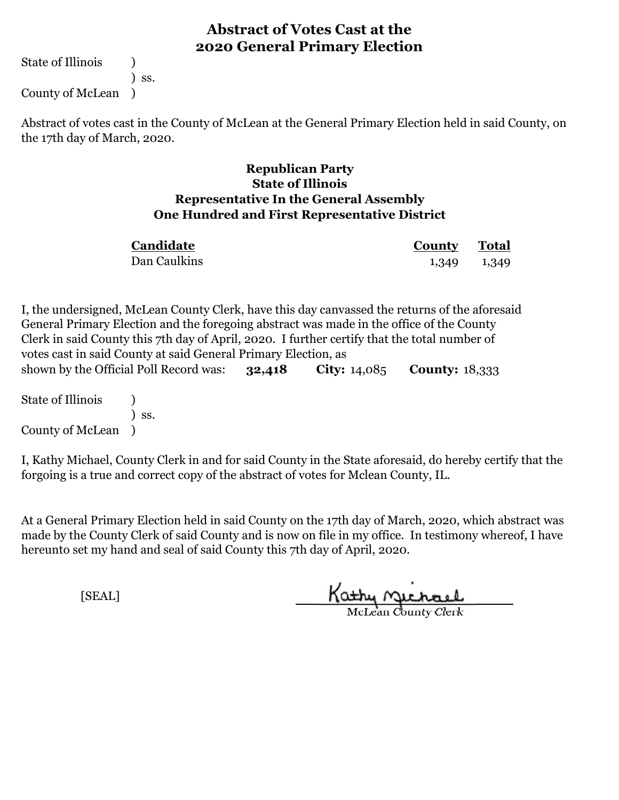State of Illinois (1) ) ss.

County of McLean )

Abstract of votes cast in the County of McLean at the General Primary Election held in said County, on the 17th day of March, 2020.

#### **Republican Party State of Illinois Representative In the General Assembly One Hundred and First Representative District**

| Candidate    | <b>County</b> Total |  |
|--------------|---------------------|--|
| Dan Caulkins | 1,349 1,349         |  |

**32,418 City:** 14,085 **County:** 18,333 I, the undersigned, McLean County Clerk, have this day canvassed the returns of the aforesaid General Primary Election and the foregoing abstract was made in the office of the County Clerk in said County this 7th day of April, 2020. I further certify that the total number of votes cast in said County at said General Primary Election, as shown by the Official Poll Record was:

State of Illinois (1) ) ss. County of McLean )

I, Kathy Michael, County Clerk in and for said County in the State aforesaid, do hereby certify that the forgoing is a true and correct copy of the abstract of votes for Mclean County, IL.

At a General Primary Election held in said County on the 17th day of March, 2020, which abstract was made by the County Clerk of said County and is now on file in my office. In testimony whereof, I have hereunto set my hand and seal of said County this 7th day of April, 2020.

Kathy Michael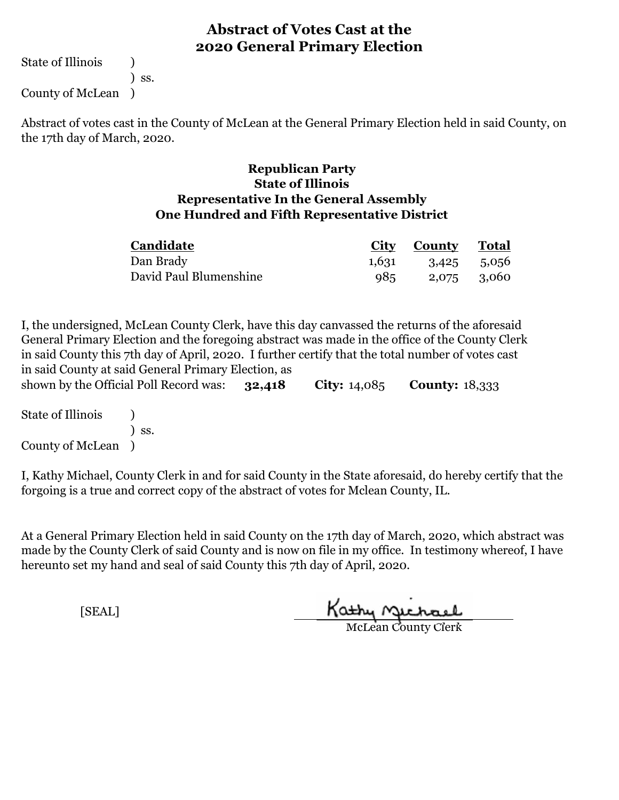State of Illinois (1) ) ss.

County of McLean )

Abstract of votes cast in the County of McLean at the General Primary Election held in said County, on the 17th day of March, 2020.

#### **Republican Party State of Illinois Representative In the General Assembly One Hundred and Fifth Representative District**

| Candidate              | City County Total       |  |
|------------------------|-------------------------|--|
| Dan Brady              | $1,631$ $3,425$ $5,056$ |  |
| David Paul Blumenshine | 985 2,075 3,060         |  |

**32,418 City:** 14,085 **County:** 18,333 I, the undersigned, McLean County Clerk, have this day canvassed the returns of the aforesaid General Primary Election and the foregoing abstract was made in the office of the County Clerk in said County this 7th day of April, 2020. I further certify that the total number of votes cast in said County at said General Primary Election, as shown by the Official Poll Record was:

State of Illinois (1) ) ss. County of McLean )

I, Kathy Michael, County Clerk in and for said County in the State aforesaid, do hereby certify that the forgoing is a true and correct copy of the abstract of votes for Mclean County, IL.

At a General Primary Election held in said County on the 17th day of March, 2020, which abstract was made by the County Clerk of said County and is now on file in my office. In testimony whereof, I have hereunto set my hand and seal of said County this 7th day of April, 2020.

Kathy Michael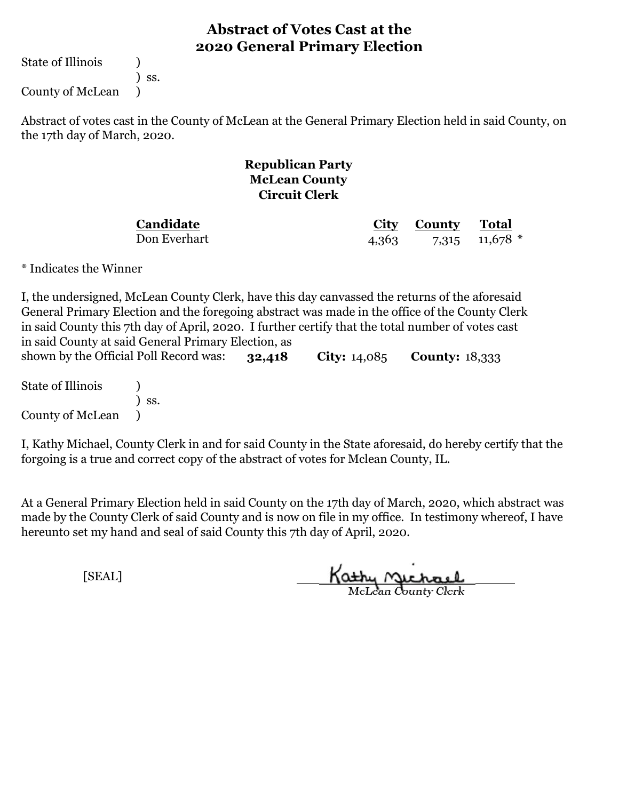State of Illinois (1)

) ss.

County of McLean )

Abstract of votes cast in the County of McLean at the General Primary Election held in said County, on the 17th day of March, 2020.

#### **Republican Party McLean County Circuit Clerk**

**Candidate** Don Everhart

**City County Total** 4,363 7,315 11,678 \*

\* Indicates the Winner

**32,418 City:** 14,085 **County:** 18,333 I, the undersigned, McLean County Clerk, have this day canvassed the returns of the aforesaid General Primary Election and the foregoing abstract was made in the office of the County Clerk in said County this 7th day of April, 2020. I further certify that the total number of votes cast in said County at said General Primary Election, as shown by the Official Poll Record was:

State of Illinois (1) ) ss. County of McLean )

I, Kathy Michael, County Clerk in and for said County in the State aforesaid, do hereby certify that the forgoing is a true and correct copy of the abstract of votes for Mclean County, IL.

At a General Primary Election held in said County on the 17th day of March, 2020, which abstract was made by the County Clerk of said County and is now on file in my office. In testimony whereof, I have hereunto set my hand and seal of said County this 7th day of April, 2020.

Kathy Michael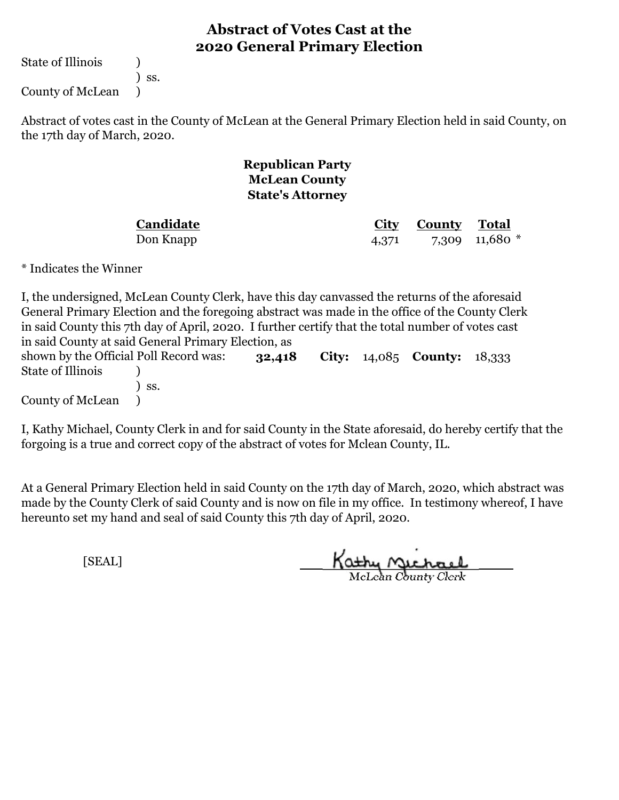State of Illinois (a)

) ss.

County of McLean )

Abstract of votes cast in the County of McLean at the General Primary Election held in said County, on the 17th day of March, 2020.

### **Republican Party McLean County State's Attorney**

**Candidate**

**City County Total** Don Knapp 4,371 7,309 11,680 \*

\* Indicates the Winner

| I, the undersigned, McLean County Clerk, have this day canvassed the returns of the aforesaid     |  |        |  |  |                                               |  |
|---------------------------------------------------------------------------------------------------|--|--------|--|--|-----------------------------------------------|--|
| General Primary Election and the foregoing abstract was made in the office of the County Clerk    |  |        |  |  |                                               |  |
| in said County this 7th day of April, 2020. I further certify that the total number of votes cast |  |        |  |  |                                               |  |
| in said County at said General Primary Election, as                                               |  |        |  |  |                                               |  |
| shown by the Official Poll Record was:                                                            |  | 32,418 |  |  | <b>City:</b> $14,085$ <b>County:</b> $18,333$ |  |
| State of Illinois                                                                                 |  |        |  |  |                                               |  |
| $\overline{\phantom{a}}$ SS.                                                                      |  |        |  |  |                                               |  |
| County of McLean (1)                                                                              |  |        |  |  |                                               |  |

I, Kathy Michael, County Clerk in and for said County in the State aforesaid, do hereby certify that the forgoing is a true and correct copy of the abstract of votes for Mclean County, IL.

At a General Primary Election held in said County on the 17th day of March, 2020, which abstract was made by the County Clerk of said County and is now on file in my office. In testimony whereof, I have hereunto set my hand and seal of said County this 7th day of April, 2020.

Kathy Michael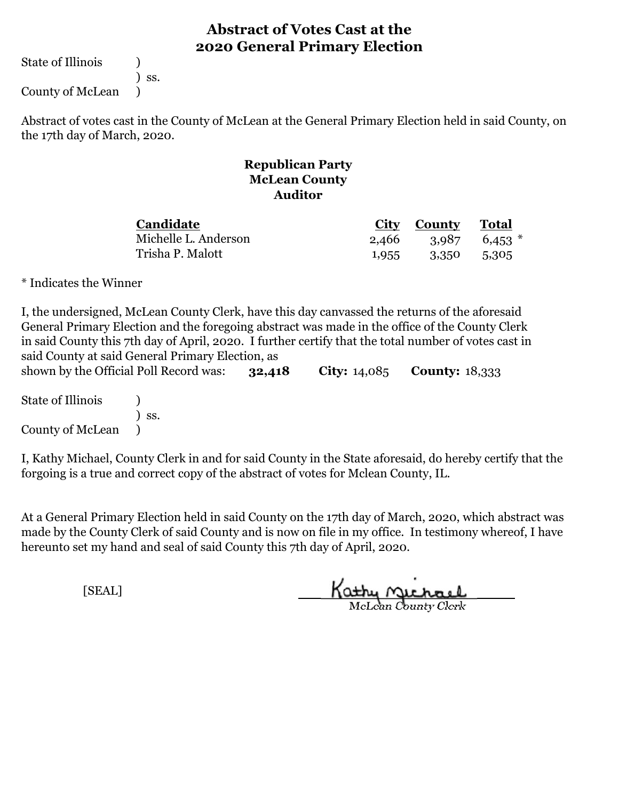State of Illinois (a)

) ss.

County of McLean )

Abstract of votes cast in the County of McLean at the General Primary Election held in said County, on the 17th day of March, 2020.

#### **Republican Party McLean County Auditor**

| <b>Candidate</b>     |       | City County Total |                   |
|----------------------|-------|-------------------|-------------------|
| Michelle L. Anderson | 2.466 |                   | $3,987$ 6,453 $*$ |
| Trisha P. Malott     | 1,955 | 3,350             | 5,305             |

\* Indicates the Winner

| said County at said General Primary Election, as |     |        | I, the undersigned, McLean County Clerk, have this day canvassed the returns of the aforesaid<br>General Primary Election and the foregoing abstract was made in the office of the County Clerk<br>in said County this 7th day of April, 2020. I further certify that the total number of votes cast in |  |
|--------------------------------------------------|-----|--------|---------------------------------------------------------------------------------------------------------------------------------------------------------------------------------------------------------------------------------------------------------------------------------------------------------|--|
| shown by the Official Poll Record was:           |     | 32,418 | <b>City:</b> $14,085$ <b>County:</b> $18,333$                                                                                                                                                                                                                                                           |  |
| State of Illinois                                | SS. |        |                                                                                                                                                                                                                                                                                                         |  |

County of McLean )

I, Kathy Michael, County Clerk in and for said County in the State aforesaid, do hereby certify that the forgoing is a true and correct copy of the abstract of votes for Mclean County, IL.

At a General Primary Election held in said County on the 17th day of March, 2020, which abstract was made by the County Clerk of said County and is now on file in my office. In testimony whereof, I have hereunto set my hand and seal of said County this 7th day of April, 2020.

Kathy Michael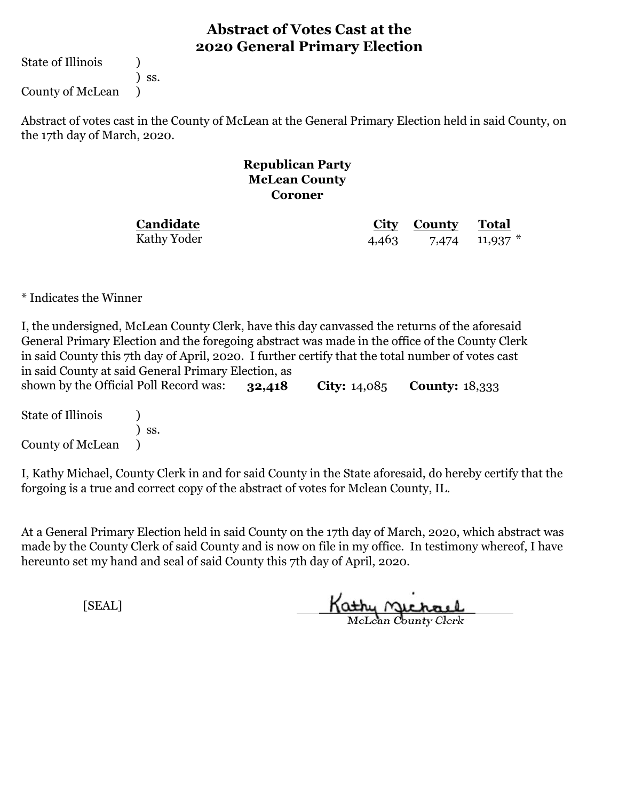State of Illinois (1)

) ss.

County of McLean )

Abstract of votes cast in the County of McLean at the General Primary Election held in said County, on the 17th day of March, 2020.

#### **Republican Party McLean County Coroner**

# **Candidate**

Kathy Yoder

**City County Total** 4,463 7,474 11,937 \*

\* Indicates the Winner

**32,418 City:** 14,085 **County:** 18,333 I, the undersigned, McLean County Clerk, have this day canvassed the returns of the aforesaid General Primary Election and the foregoing abstract was made in the office of the County Clerk in said County this 7th day of April, 2020. I further certify that the total number of votes cast in said County at said General Primary Election, as shown by the Official Poll Record was:

State of Illinois (a) ) ss. County of McLean )

I, Kathy Michael, County Clerk in and for said County in the State aforesaid, do hereby certify that the forgoing is a true and correct copy of the abstract of votes for Mclean County, IL.

At a General Primary Election held in said County on the 17th day of March, 2020, which abstract was made by the County Clerk of said County and is now on file in my office. In testimony whereof, I have hereunto set my hand and seal of said County this 7th day of April, 2020.

Kathy Michael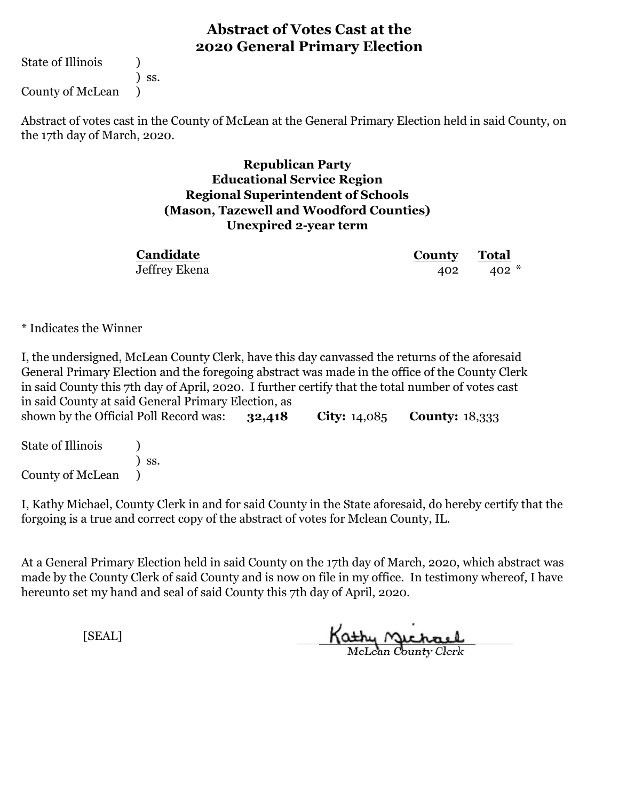State of Illinois (1)

) ss.

County of McLean )

Abstract of votes cast in the County of McLean at the General Primary Election held in said County, on the 17th day of March, 2020.

### **Republican Party Educational Service Region Regional Superintendent of Schools (Mason, Tazewell and Woodford Counties) Unexpired 2-year term**

| Candidate     | <b>County</b> Total |         |  |
|---------------|---------------------|---------|--|
| Jeffrey Ekena | 402                 | $402 *$ |  |

\* Indicates the Winner

**32,418 City:** 14,085 **County:** 18,333 I, the undersigned, McLean County Clerk, have this day canvassed the returns of the aforesaid General Primary Election and the foregoing abstract was made in the office of the County Clerk in said County this 7th day of April, 2020. I further certify that the total number of votes cast in said County at said General Primary Election, as shown by the Official Poll Record was:

| <b>State of Illinois</b> |                              |
|--------------------------|------------------------------|
|                          | $\overline{\phantom{a}}$ SS. |
| County of McLean         |                              |

I, Kathy Michael, County Clerk in and for said County in the State aforesaid, do hereby certify that the forgoing is a true and correct copy of the abstract of votes for Mclean County, IL.

At a General Primary Election held in said County on the 17th day of March, 2020, which abstract was made by the County Clerk of said County and is now on file in my office. In testimony whereof, I have hereunto set my hand and seal of said County this 7th day of April, 2020.

Kathy <u>Michael</u>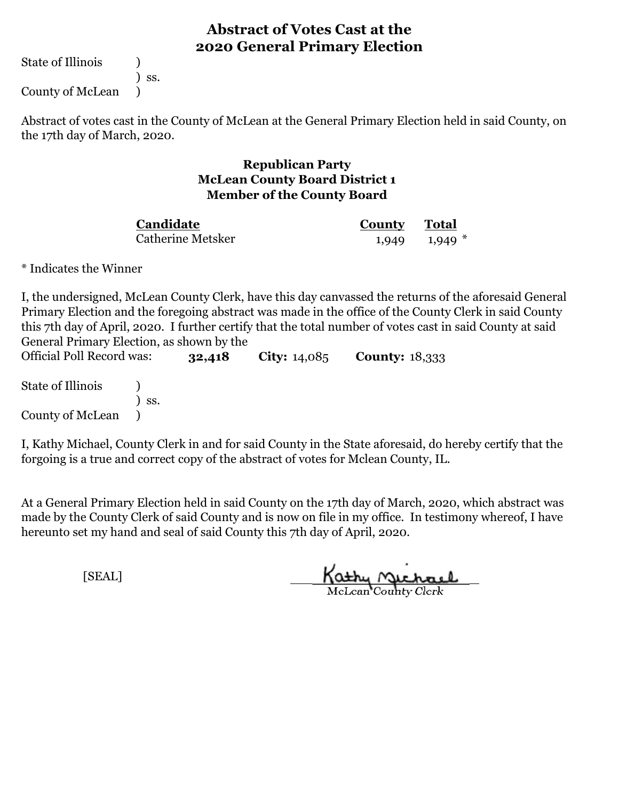State of Illinois (1)

) ss.

County of McLean )

Abstract of votes cast in the County of McLean at the General Primary Election held in said County, on the 17th day of March, 2020.

#### **Republican Party McLean County Board District 1 Member of the County Board**

Catherine Metsker **Candidate**

**County Total** 1,949 1,949 \*

\* Indicates the Winner

I, the undersigned, McLean County Clerk, have this day canvassed the returns of the aforesaid General Primary Election and the foregoing abstract was made in the office of the County Clerk in said County this 7th day of April, 2020. I further certify that the total number of votes cast in said County at said General Primary Election, as shown by the

**32,418 City:** 14,085 **County:** 18,333 State of Illinois (1) ) ss. County of McLean ) Official Poll Record was:

I, Kathy Michael, County Clerk in and for said County in the State aforesaid, do hereby certify that the forgoing is a true and correct copy of the abstract of votes for Mclean County, IL.

At a General Primary Election held in said County on the 17th day of March, 2020, which abstract was made by the County Clerk of said County and is now on file in my office. In testimony whereof, I have hereunto set my hand and seal of said County this 7th day of April, 2020.

Kathy Michael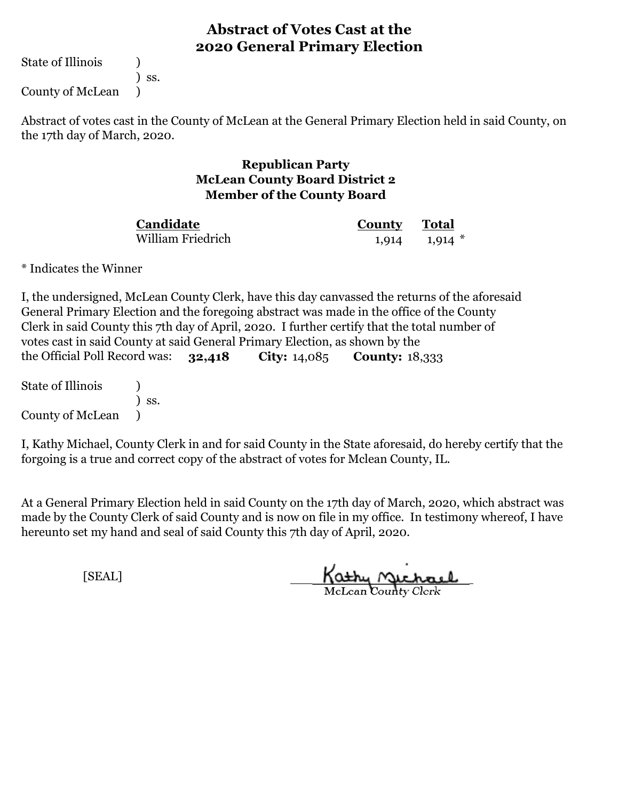State of Illinois (1)

) ss.

County of McLean )

Abstract of votes cast in the County of McLean at the General Primary Election held in said County, on the 17th day of March, 2020.

#### **Republican Party McLean County Board District 2 Member of the County Board**

William Friedrich **Candidate**

**County Total** 1,914 1,914 \*

\* Indicates the Winner

**32,418 City:** 14,085 **County:** 18,333 I, the undersigned, McLean County Clerk, have this day canvassed the returns of the aforesaid General Primary Election and the foregoing abstract was made in the office of the County Clerk in said County this 7th day of April, 2020. I further certify that the total number of votes cast in said County at said General Primary Election, as shown by the the Official Poll Record was: 32.418

State of Illinois (1) ) ss. County of McLean )

I, Kathy Michael, County Clerk in and for said County in the State aforesaid, do hereby certify that the forgoing is a true and correct copy of the abstract of votes for Mclean County, IL.

At a General Primary Election held in said County on the 17th day of March, 2020, which abstract was made by the County Clerk of said County and is now on file in my office. In testimony whereof, I have hereunto set my hand and seal of said County this 7th day of April, 2020.

Kathy Michael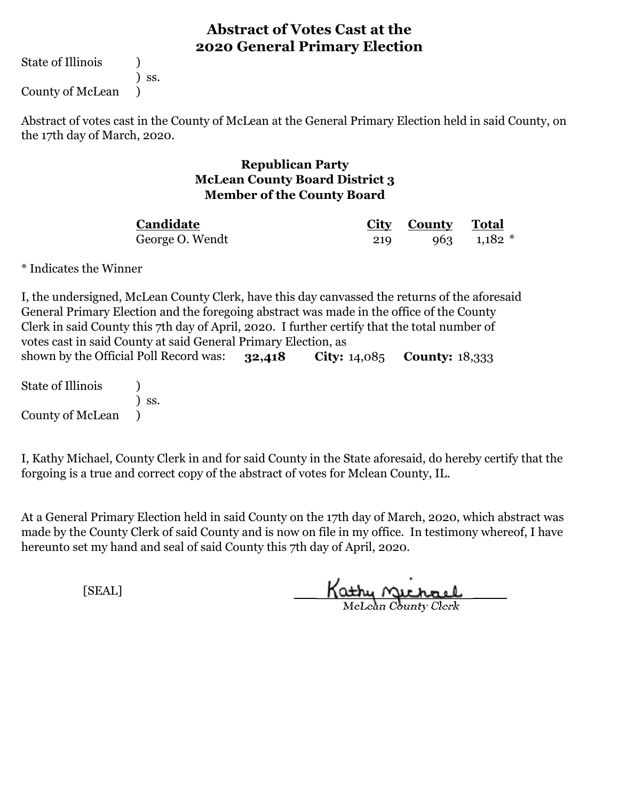State of Illinois (1)

) ss.

County of McLean )

Abstract of votes cast in the County of McLean at the General Primary Election held in said County, on the 17th day of March, 2020.

#### **Republican Party McLean County Board District 3 Member of the County Board**

**City County Total** George O. Wendt 219 963 1,182 \* **Candidate**

\* Indicates the Winner

**32,418 City:** 14,085 **County:** 18,333 shown by the Official Poll Record was: I, the undersigned, McLean County Clerk, have this day canvassed the returns of the aforesaid General Primary Election and the foregoing abstract was made in the office of the County Clerk in said County this 7th day of April, 2020. I further certify that the total number of votes cast in said County at said General Primary Election, as

State of Illinois (1) ) ss. County of McLean )

I, Kathy Michael, County Clerk in and for said County in the State aforesaid, do hereby certify that the forgoing is a true and correct copy of the abstract of votes for Mclean County, IL.

At a General Primary Election held in said County on the 17th day of March, 2020, which abstract was made by the County Clerk of said County and is now on file in my office. In testimony whereof, I have hereunto set my hand and seal of said County this 7th day of April, 2020.

Kathy Michael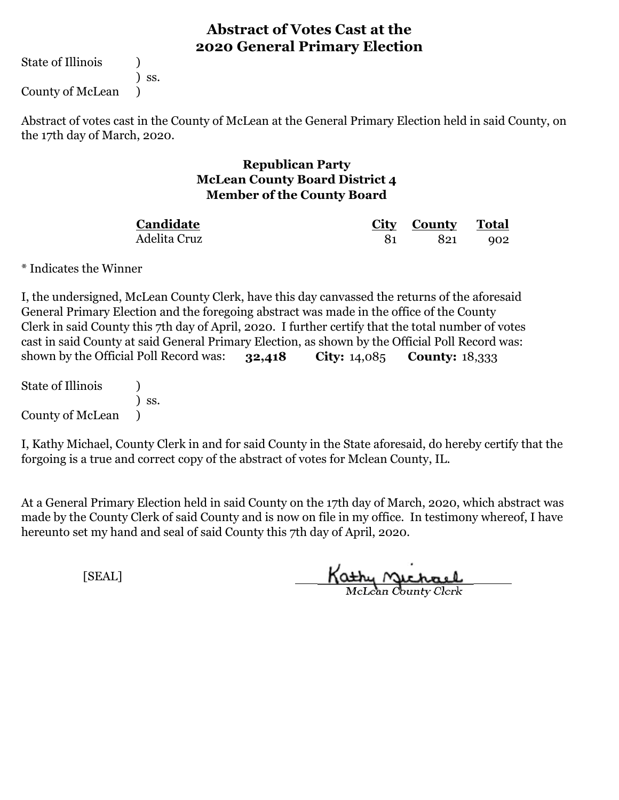State of Illinois (1)

) ss.

County of McLean )

Abstract of votes cast in the County of McLean at the General Primary Election held in said County, on the 17th day of March, 2020.

#### **Republican Party McLean County Board District 4 Member of the County Board**

**City County Total** 81 821 902 Adelita Cruz **Candidate**

\* Indicates the Winner

**32,418 City:** 14,085 **County:** 18,333 shown by the Official Poll Record was: I, the undersigned, McLean County Clerk, have this day canvassed the returns of the aforesaid General Primary Election and the foregoing abstract was made in the office of the County Clerk in said County this 7th day of April, 2020. I further certify that the total number of votes cast in said County at said General Primary Election, as shown by the Official Poll Record was:

State of Illinois (1) ) ss. County of McLean )

I, Kathy Michael, County Clerk in and for said County in the State aforesaid, do hereby certify that the forgoing is a true and correct copy of the abstract of votes for Mclean County, IL.

At a General Primary Election held in said County on the 17th day of March, 2020, which abstract was made by the County Clerk of said County and is now on file in my office. In testimony whereof, I have hereunto set my hand and seal of said County this 7th day of April, 2020.

Kathy Michael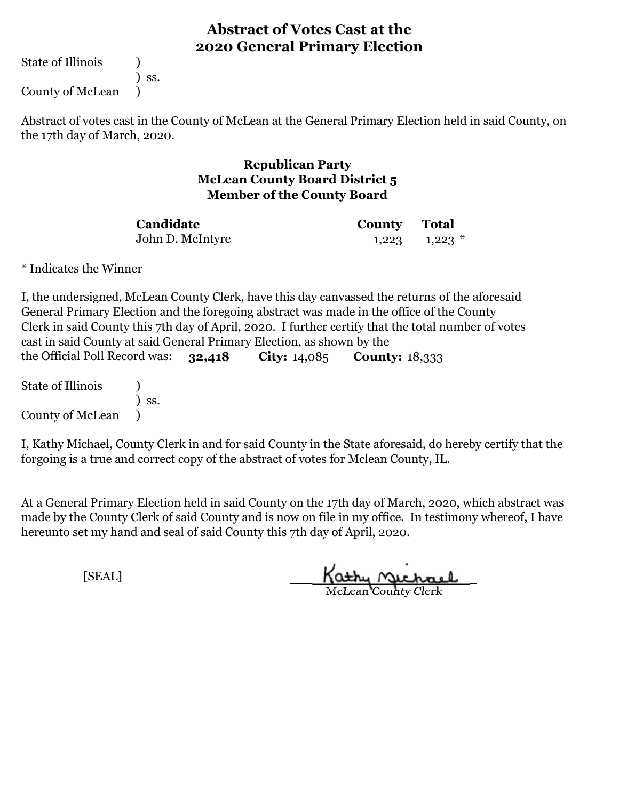State of Illinois (1)

) ss.

County of McLean )

Abstract of votes cast in the County of McLean at the General Primary Election held in said County, on the 17th day of March, 2020.

#### **Republican Party McLean County Board District 5 Member of the County Board**

John D. McIntyre **Candidate**

**County Total** 1,223 1,223 \*

\* Indicates the Winner

**32,418 City:** 14,085 **County:** 18,333 I, the undersigned, McLean County Clerk, have this day canvassed the returns of the aforesaid General Primary Election and the foregoing abstract was made in the office of the County Clerk in said County this 7th day of April, 2020. I further certify that the total number of votes cast in said County at said General Primary Election, as shown by the the Official Poll Record was: 32,418

State of Illinois (1) ) ss. County of McLean )

I, Kathy Michael, County Clerk in and for said County in the State aforesaid, do hereby certify that the forgoing is a true and correct copy of the abstract of votes for Mclean County, IL.

At a General Primary Election held in said County on the 17th day of March, 2020, which abstract was made by the County Clerk of said County and is now on file in my office. In testimony whereof, I have hereunto set my hand and seal of said County this 7th day of April, 2020.

Kathy Michael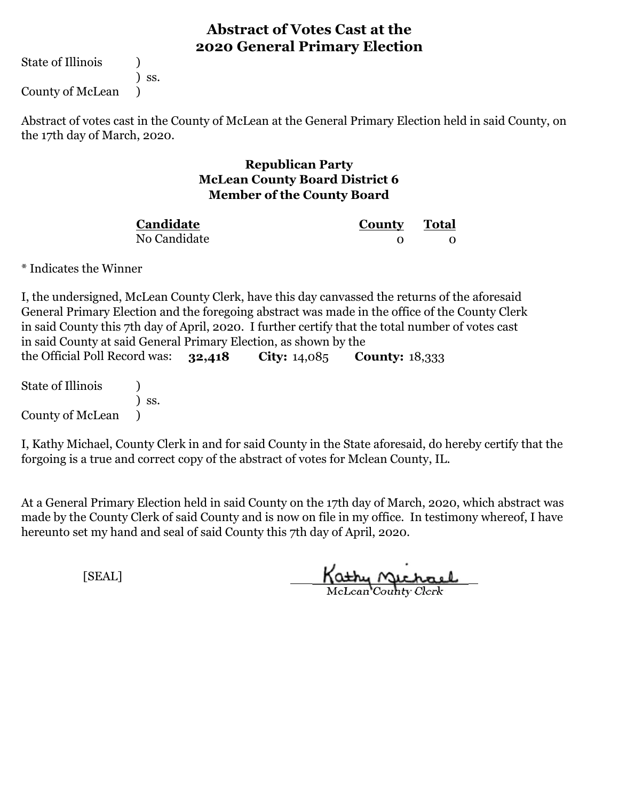State of Illinois (1)

) ss.

County of McLean )

Abstract of votes cast in the County of McLean at the General Primary Election held in said County, on the 17th day of March, 2020.

## **Republican Party McLean County Board District 6 Member of the County Board**

| Candidate    | <b>County</b> Total |  |
|--------------|---------------------|--|
| No Candidate |                     |  |

\* Indicates the Winner

**32,418 City:** 14,085 **County:** 18,333 I, the undersigned, McLean County Clerk, have this day canvassed the returns of the aforesaid General Primary Election and the foregoing abstract was made in the office of the County Clerk in said County this 7th day of April, 2020. I further certify that the total number of votes cast in said County at said General Primary Election, as shown by the the Official Poll Record was: 32.418

State of Illinois (1) ) ss. County of McLean )

I, Kathy Michael, County Clerk in and for said County in the State aforesaid, do hereby certify that the forgoing is a true and correct copy of the abstract of votes for Mclean County, IL.

At a General Primary Election held in said County on the 17th day of March, 2020, which abstract was made by the County Clerk of said County and is now on file in my office. In testimony whereof, I have hereunto set my hand and seal of said County this 7th day of April, 2020.

Kathy Michael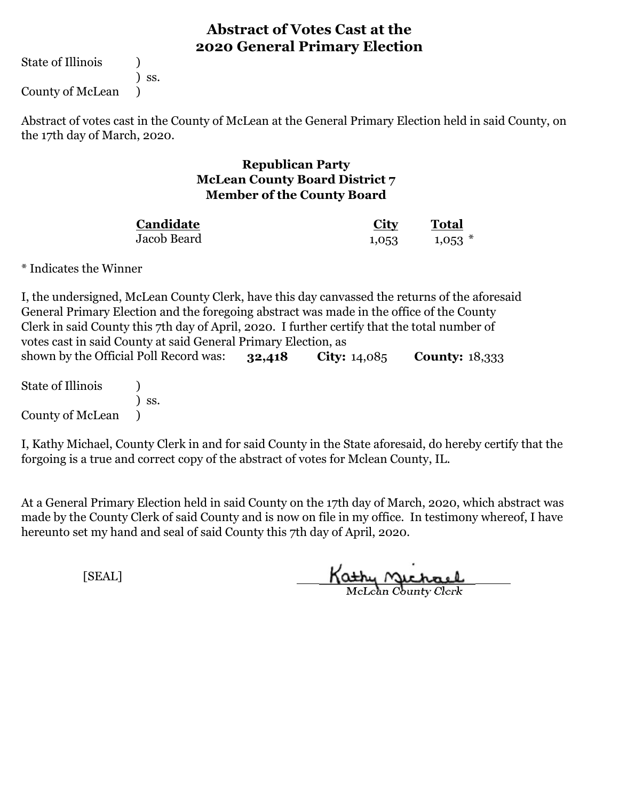State of Illinois (1)

) ss.

County of McLean )

Abstract of votes cast in the County of McLean at the General Primary Election held in said County, on the 17th day of March, 2020.

## **Republican Party McLean County Board District 7 Member of the County Board**

| Candidate   | City  | <b>Total</b> |
|-------------|-------|--------------|
| Jacob Beard | 1,053 | $1,053$ *    |

\* Indicates the Winner

**32,418 City:** 14,085 **County:** 18,333 State of Illinois (1) shown by the Official Poll Record was: I, the undersigned, McLean County Clerk, have this day canvassed the returns of the aforesaid General Primary Election and the foregoing abstract was made in the office of the County Clerk in said County this 7th day of April, 2020. I further certify that the total number of votes cast in said County at said General Primary Election, as

) ss. County of McLean )

I, Kathy Michael, County Clerk in and for said County in the State aforesaid, do hereby certify that the forgoing is a true and correct copy of the abstract of votes for Mclean County, IL.

At a General Primary Election held in said County on the 17th day of March, 2020, which abstract was made by the County Clerk of said County and is now on file in my office. In testimony whereof, I have hereunto set my hand and seal of said County this 7th day of April, 2020.

Kathy Michael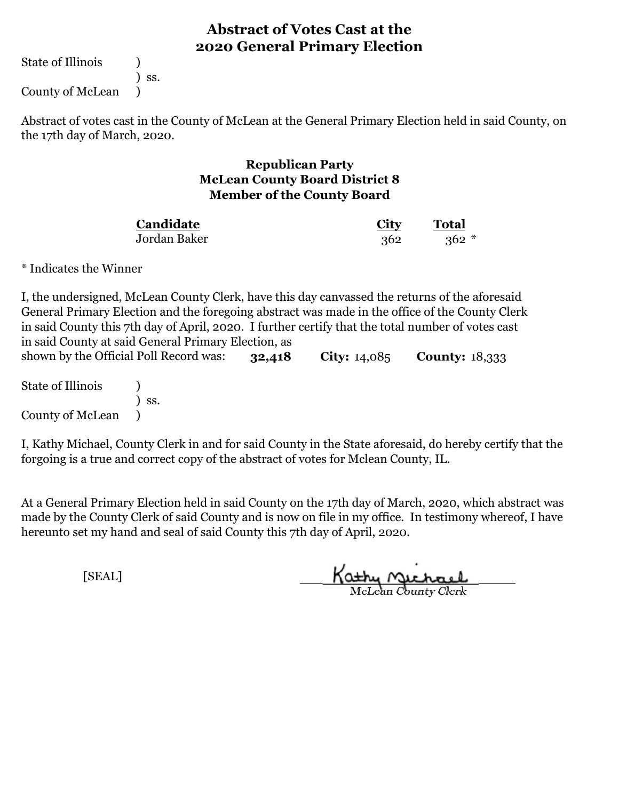State of Illinois (1)

) ss.

County of McLean )

Abstract of votes cast in the County of McLean at the General Primary Election held in said County, on the 17th day of March, 2020.

## **Republican Party McLean County Board District 8 Member of the County Board**

| Candidate    | <b>City</b> | <b>Total</b> |  |
|--------------|-------------|--------------|--|
| Jordan Baker | 362         | $362 *$      |  |

\* Indicates the Winner

**32,418 City:** 14,085 **County:** 18,333 I, the undersigned, McLean County Clerk, have this day canvassed the returns of the aforesaid General Primary Election and the foregoing abstract was made in the office of the County Clerk in said County this 7th day of April, 2020. I further certify that the total number of votes cast in said County at said General Primary Election, as shown by the Official Poll Record was:

State of Illinois (1) ) ss. County of McLean )

I, Kathy Michael, County Clerk in and for said County in the State aforesaid, do hereby certify that the forgoing is a true and correct copy of the abstract of votes for Mclean County, IL.

At a General Primary Election held in said County on the 17th day of March, 2020, which abstract was made by the County Clerk of said County and is now on file in my office. In testimony whereof, I have hereunto set my hand and seal of said County this 7th day of April, 2020.

Kathy Michael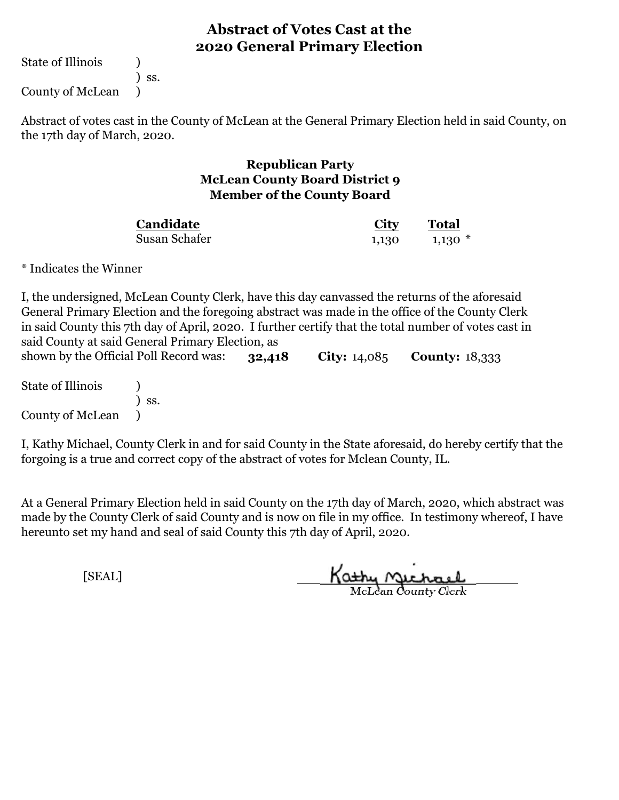State of Illinois (1)

) ss.

County of McLean )

Abstract of votes cast in the County of McLean at the General Primary Election held in said County, on the 17th day of March, 2020.

## **Republican Party McLean County Board District 9 Member of the County Board**

| Candidate     | <u>City</u> | Total     |
|---------------|-------------|-----------|
| Susan Schafer | 1,130       | $1,130$ * |

\* Indicates the Winner

**32,418 City:** 14,085 **County:** 18,333 shown by the Official Poll Record was: I, the undersigned, McLean County Clerk, have this day canvassed the returns of the aforesaid General Primary Election and the foregoing abstract was made in the office of the County Clerk in said County this 7th day of April, 2020. I further certify that the total number of votes cast in said County at said General Primary Election, as

State of Illinois (1) ) ss. County of McLean )

I, Kathy Michael, County Clerk in and for said County in the State aforesaid, do hereby certify that the forgoing is a true and correct copy of the abstract of votes for Mclean County, IL.

At a General Primary Election held in said County on the 17th day of March, 2020, which abstract was made by the County Clerk of said County and is now on file in my office. In testimony whereof, I have hereunto set my hand and seal of said County this 7th day of April, 2020.

Kathy Michael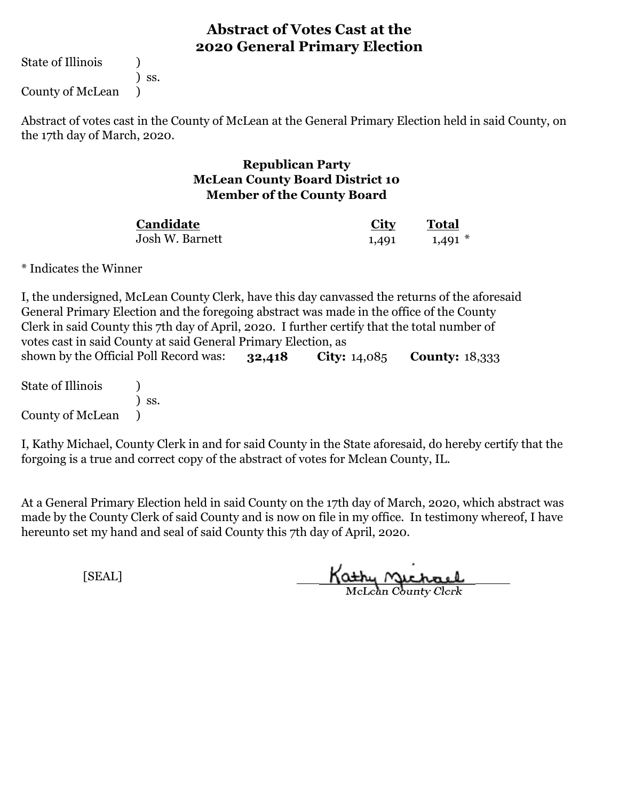State of Illinois (1)

) ss.

County of McLean )

Abstract of votes cast in the County of McLean at the General Primary Election held in said County, on the 17th day of March, 2020.

## **Republican Party McLean County Board District 10 Member of the County Board**

| Candidate       | <u>City</u> | Total     |
|-----------------|-------------|-----------|
| Josh W. Barnett | 1,491       | $1,491$ * |

\* Indicates the Winner

**32,418 City:** 14,085 **County:** 18,333 State of Illinois (1) I, the undersigned, McLean County Clerk, have this day canvassed the returns of the aforesaid General Primary Election and the foregoing abstract was made in the office of the County Clerk in said County this 7th day of April, 2020. I further certify that the total number of votes cast in said County at said General Primary Election, as shown by the Official Poll Record was:

) ss. County of McLean )

I, Kathy Michael, County Clerk in and for said County in the State aforesaid, do hereby certify that the forgoing is a true and correct copy of the abstract of votes for Mclean County, IL.

At a General Primary Election held in said County on the 17th day of March, 2020, which abstract was made by the County Clerk of said County and is now on file in my office. In testimony whereof, I have hereunto set my hand and seal of said County this 7th day of April, 2020.

Kathy Michael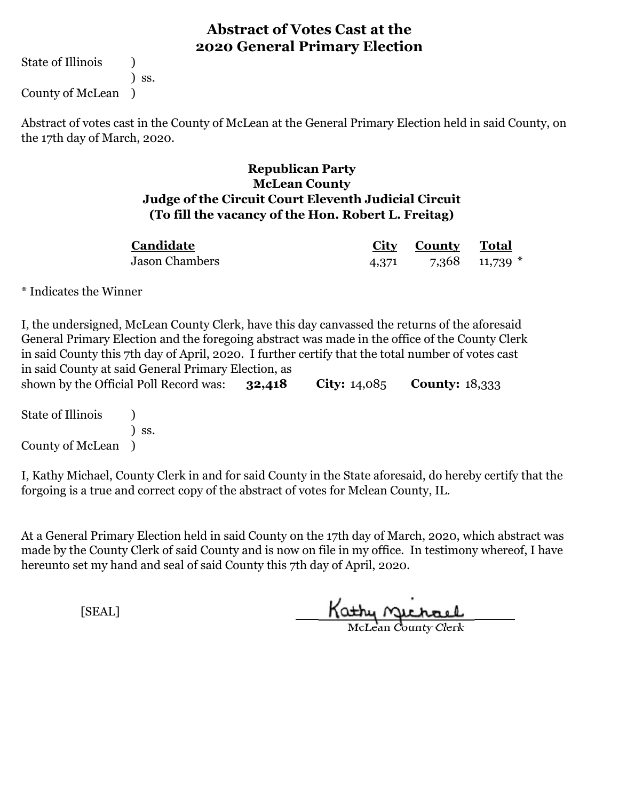State of Illinois (1) ) ss.

County of McLean )

Abstract of votes cast in the County of McLean at the General Primary Election held in said County, on the 17th day of March, 2020.

## **Republican Party McLean County Judge of the Circuit Court Eleventh Judicial Circuit (To fill the vacancy of the Hon. Robert L. Freitag)**

| Candidate             |       | City County Total |                  |
|-----------------------|-------|-------------------|------------------|
| <b>Jason Chambers</b> | 4,371 |                   | 7,368 11,739 $*$ |

\* Indicates the Winner

**32,418 City:** 14,085 **County:** 18,333 I, the undersigned, McLean County Clerk, have this day canvassed the returns of the aforesaid General Primary Election and the foregoing abstract was made in the office of the County Clerk in said County this 7th day of April, 2020. I further certify that the total number of votes cast in said County at said General Primary Election, as shown by the Official Poll Record was:

State of Illinois (a) ) ss. County of McLean )

I, Kathy Michael, County Clerk in and for said County in the State aforesaid, do hereby certify that the forgoing is a true and correct copy of the abstract of votes for Mclean County, IL.

At a General Primary Election held in said County on the 17th day of March, 2020, which abstract was made by the County Clerk of said County and is now on file in my office. In testimony whereof, I have hereunto set my hand and seal of said County this 7th day of April, 2020.

Kathy Jichael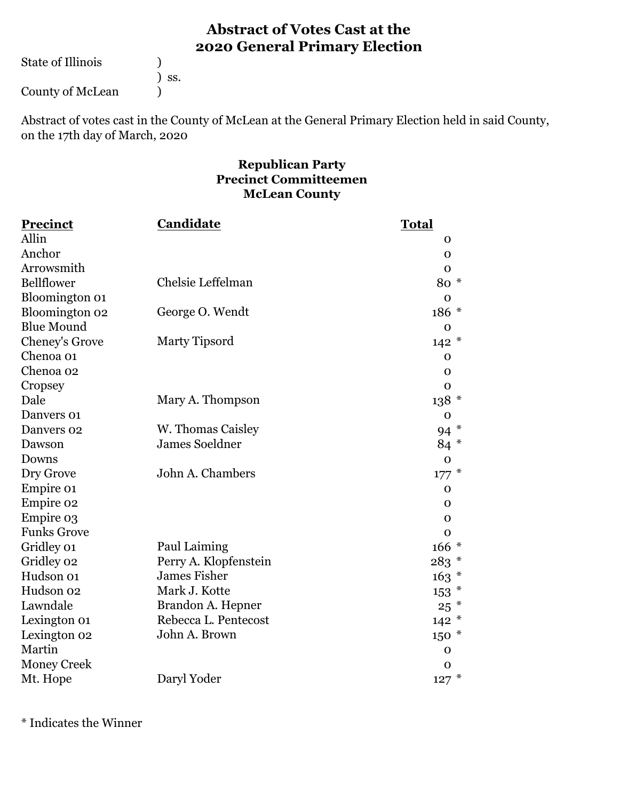State of Illinois ( )

) ss.

County of McLean (1)

Abstract of votes cast in the County of McLean at the General Primary Election held in said County, on the 17th day of March, 2020

## **Republican Party Precinct Committeemen McLean County**

| Precinct           | Candidate             | <b>Total</b> |
|--------------------|-----------------------|--------------|
| Allin              |                       | O            |
| Anchor             |                       | O            |
| Arrowsmith         |                       | $\mathbf 0$  |
| Bellflower         | Chelsie Leffelman     | 80 *         |
| Bloomington 01     |                       | $\mathbf 0$  |
| Bloomington 02     | George O. Wendt       | 186 *        |
| <b>Blue Mound</b>  |                       | $\mathbf 0$  |
| Cheney's Grove     | Marty Tipsord         | $142 *$      |
| Chenoa 01          |                       | $\mathbf 0$  |
| Chenoa 02          |                       | $\mathbf 0$  |
| Cropsey            |                       | $\mathbf 0$  |
| Dale               | Mary A. Thompson      | $138 *$      |
| Danvers 01         |                       | $\mathbf 0$  |
| Danvers 02         | W. Thomas Caisley     | $\ast$<br>94 |
| Dawson             | <b>James Soeldner</b> | 84 *         |
| Downs              |                       | $\mathbf 0$  |
| Dry Grove          | John A. Chambers      | $177*$       |
| Empire 01          |                       | 0            |
| Empire 02          |                       | 0            |
| Empire 03          |                       | $\mathbf{O}$ |
| <b>Funks Grove</b> |                       | $\mathbf 0$  |
| Gridley 01         | Paul Laiming          | $166*$       |
| Gridley 02         | Perry A. Klopfenstein | $283 *$      |
| Hudson 01          | <b>James Fisher</b>   | $163 *$      |
| Hudson 02          | Mark J. Kotte         | $153$ $*$    |
| Lawndale           | Brandon A. Hepner     | $25$ $*$     |
| Lexington 01       | Rebecca L. Pentecost  | $142 *$      |
| Lexington 02       | John A. Brown         | $150*$       |
| Martin             |                       | $\mathbf 0$  |
| <b>Money Creek</b> |                       | O            |
| Mt. Hope           | Daryl Yoder           | $127 *$      |

\* Indicates the Winner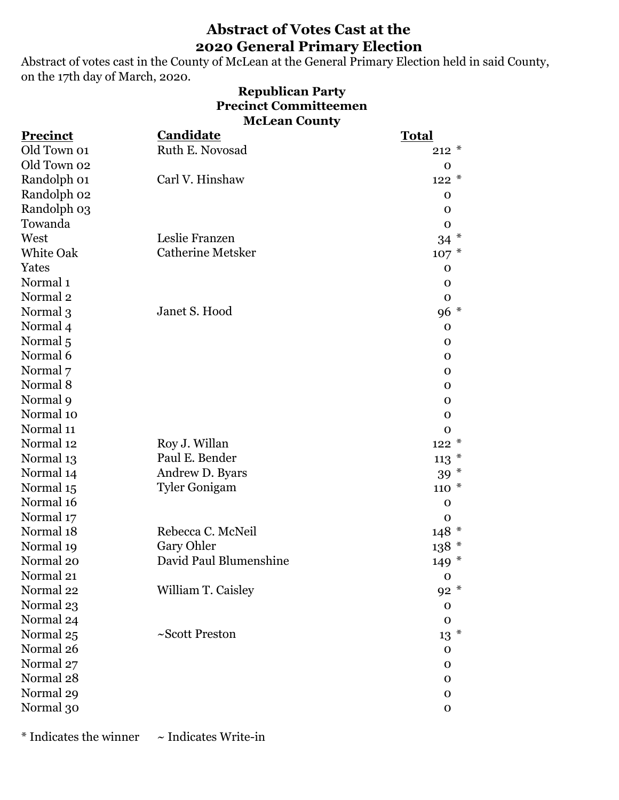Abstract of votes cast in the County of McLean at the General Primary Election held in said County, on the 17th day of March, 2020.

### **Republican Party Precinct Committeemen McLean County**

| Ruth E. Novosad<br>Old Town 01<br>$212 *$<br>Old Town 02<br>$\mathbf{O}$<br>Carl V. Hinshaw<br>Randolph 01<br>$122 *$<br>Randolph 02<br>$\mathbf 0$<br>Randolph 03<br>$\mathbf 0$ |
|-----------------------------------------------------------------------------------------------------------------------------------------------------------------------------------|
|                                                                                                                                                                                   |
|                                                                                                                                                                                   |
|                                                                                                                                                                                   |
|                                                                                                                                                                                   |
|                                                                                                                                                                                   |
| Towanda<br>$\mathbf 0$                                                                                                                                                            |
| Leslie Franzen<br>West<br>$34$ *                                                                                                                                                  |
| <b>Catherine Metsker</b><br><b>White Oak</b><br>$107 *$                                                                                                                           |
| Yates<br>$\mathbf 0$                                                                                                                                                              |
| Normal <sub>1</sub><br>$\mathbf 0$                                                                                                                                                |
| Normal <sub>2</sub><br>$\mathbf 0$                                                                                                                                                |
| Janet S. Hood<br>96 *<br>Normal 3                                                                                                                                                 |
| Normal 4<br>$\mathbf{0}$                                                                                                                                                          |
| Normal <sub>5</sub><br>$\mathbf 0$                                                                                                                                                |
| Normal 6<br>$\Omega$                                                                                                                                                              |
| Normal 7<br>$\mathbf{O}$                                                                                                                                                          |
| Normal 8<br>$\Omega$                                                                                                                                                              |
| Normal 9<br>$\mathbf 0$                                                                                                                                                           |
| Normal 10<br>$\mathbf{O}$                                                                                                                                                         |
| Normal 11<br>$\mathbf 0$                                                                                                                                                          |
| Normal 12<br>Roy J. Willan<br>$122 *$                                                                                                                                             |
| Paul E. Bender<br>Normal 13<br>$113*$                                                                                                                                             |
| Andrew D. Byars<br>Normal 14<br>$39 *$                                                                                                                                            |
| Normal 15<br><b>Tyler Gonigam</b><br>$110 *$                                                                                                                                      |
| Normal 16<br>$\mathbf 0$                                                                                                                                                          |
| Normal 17<br>$\mathbf 0$                                                                                                                                                          |
| Normal 18<br>Rebecca C. McNeil<br>$148 *$                                                                                                                                         |
| Gary Ohler<br>$138$ $^{\ast}$<br>Normal 19                                                                                                                                        |
| David Paul Blumenshine<br>Normal 20<br>$149 *$                                                                                                                                    |
| Normal 21<br>$\mathbf{O}$                                                                                                                                                         |
| William T. Caisley<br>$92 *$<br>Normal 22                                                                                                                                         |
| Normal 23<br>$\mathbf 0$                                                                                                                                                          |
| Normal 24<br>$\mathbf 0$                                                                                                                                                          |
| ~Scott Preston<br>$13$ $^*$<br>Normal 25                                                                                                                                          |
| Normal 26<br>$\mathbf 0$                                                                                                                                                          |
| Normal 27<br>$\mathbf 0$                                                                                                                                                          |
| Normal 28<br>$\mathbf 0$                                                                                                                                                          |
| Normal 29<br>$\mathbf 0$                                                                                                                                                          |
| Normal 30<br>$\mathbf O$                                                                                                                                                          |

 $*$  Indicates the winner  $\sim$  Indicates Write-in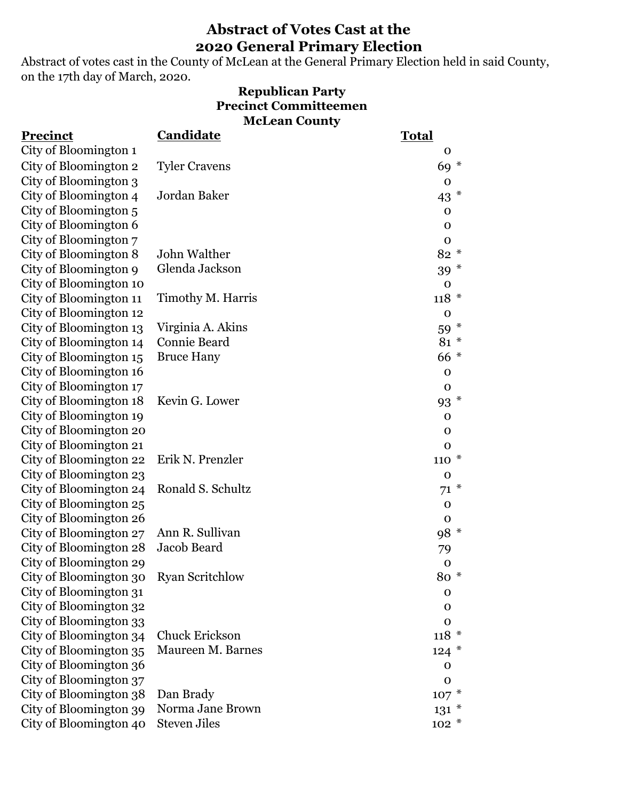Abstract of votes cast in the County of McLean at the General Primary Election held in said County, on the 17th day of March, 2020.

### **McLean County Republican Party Precinct Committeemen**

| Precinct               | Candidate              | <b>Total</b>    |
|------------------------|------------------------|-----------------|
| City of Bloomington 1  |                        | 0               |
| City of Bloomington 2  | <b>Tyler Cravens</b>   | 69 *            |
| City of Bloomington 3  |                        | $\mathbf 0$     |
| City of Bloomington 4  | Jordan Baker           | 43 $*$          |
| City of Bloomington 5  |                        | $\mathbf 0$     |
| City of Bloomington 6  |                        | $\mathbf 0$     |
| City of Bloomington 7  |                        | $\mathbf O$     |
| City of Bloomington 8  | John Walther           | $82 *$          |
| City of Bloomington 9  | Glenda Jackson         | $39 *$          |
| City of Bloomington 10 |                        | $\mathbf 0$     |
| City of Bloomington 11 | Timothy M. Harris      | $118 *$         |
| City of Bloomington 12 |                        | $\mathbf 0$     |
| City of Bloomington 13 | Virginia A. Akins      | 59 *            |
| City of Bloomington 14 | <b>Connie Beard</b>    | 81 *            |
| City of Bloomington 15 | <b>Bruce Hany</b>      | 66 *            |
| City of Bloomington 16 |                        | $\mathbf 0$     |
| City of Bloomington 17 |                        | $\mathbf 0$     |
| City of Bloomington 18 | Kevin G. Lower         | 93 <sup>*</sup> |
| City of Bloomington 19 |                        | $\mathbf 0$     |
| City of Bloomington 20 |                        | $\mathbf 0$     |
| City of Bloomington 21 |                        | $\mathbf 0$     |
| City of Bloomington 22 | Erik N. Prenzler       | $110 *$         |
| City of Bloomington 23 |                        | $\mathbf 0$     |
| City of Bloomington 24 | Ronald S. Schultz      | $71 *$          |
| City of Bloomington 25 |                        | $\mathbf 0$     |
| City of Bloomington 26 |                        | $\mathbf 0$     |
| City of Bloomington 27 | Ann R. Sullivan        | 98 *            |
| City of Bloomington 28 | Jacob Beard            | 79              |
| City of Bloomington 29 |                        | $\mathbf 0$     |
| City of Bloomington 30 | <b>Ryan Scritchlow</b> | 80 *            |
| City of Bloomington 31 |                        | $\mathbf 0$     |
| City of Bloomington 32 |                        | $\mathbf 0$     |
| City of Bloomington 33 |                        | $\mathbf 0$     |
| City of Bloomington 34 | <b>Chuck Erickson</b>  | $118 *$         |
| City of Bloomington 35 | Maureen M. Barnes      | $124$ *         |
| City of Bloomington 36 |                        | $\mathbf 0$     |
| City of Bloomington 37 |                        | $\Omega$        |
| City of Bloomington 38 | Dan Brady              | $107 *$         |
| City of Bloomington 39 | Norma Jane Brown       | $131 *$         |
| City of Bloomington 40 | <b>Steven Jiles</b>    | $102 *$         |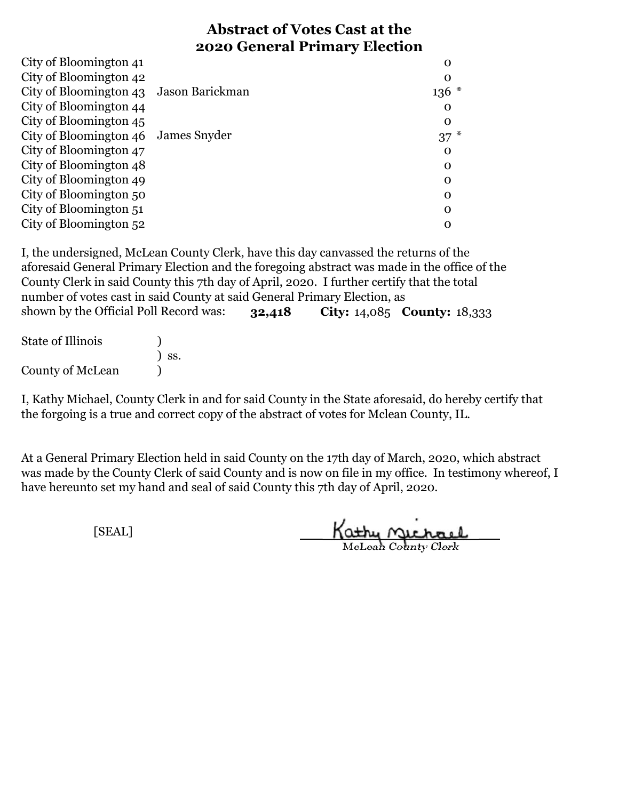| City of Bloomington 41                 | O           |
|----------------------------------------|-------------|
| City of Bloomington 42                 | O           |
| City of Bloomington 43 Jason Barickman | $136 *$     |
| City of Bloomington 44                 | O           |
| City of Bloomington 45                 | $\Omega$    |
| City of Bloomington 46 James Snyder    | $37$ $*$    |
| City of Bloomington 47                 | 0           |
| City of Bloomington 48                 | 0           |
| City of Bloomington 49                 | 0           |
| City of Bloomington 50                 | $\mathbf 0$ |
| City of Bloomington 51                 | 0           |
| City of Bloomington 52                 | O           |

**32,418 City:** 14,085 **County:** 18,333 I, the undersigned, McLean County Clerk, have this day canvassed the returns of the aforesaid General Primary Election and the foregoing abstract was made in the office of the County Clerk in said County this 7th day of April, 2020. I further certify that the total number of votes cast in said County at said General Primary Election, as shown by the Official Poll Record was:

| <b>State of Illinois</b> |                              |
|--------------------------|------------------------------|
|                          | $\overline{\phantom{a}}$ SS. |
| County of McLean         |                              |

I, Kathy Michael, County Clerk in and for said County in the State aforesaid, do hereby certify that the forgoing is a true and correct copy of the abstract of votes for Mclean County, IL.

At a General Primary Election held in said County on the 17th day of March, 2020, which abstract was made by the County Clerk of said County and is now on file in my office. In testimony whereof, I have hereunto set my hand and seal of said County this 7th day of April, 2020.

Kathy nichael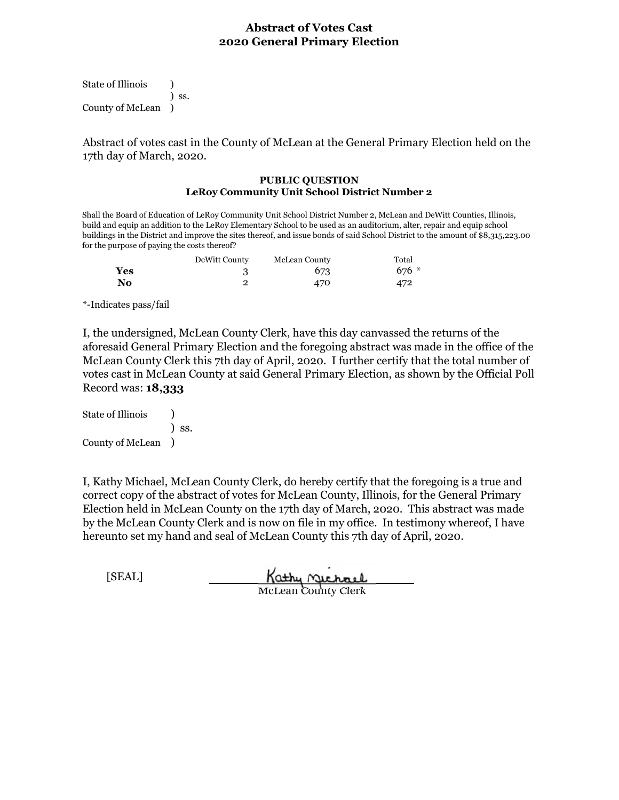State of Illinois (a) ) ss. County of McLean )

Abstract of votes cast in the County of McLean at the General Primary Election held on the 17th day of March, 2020.

#### **PUBLIC QUESTION LeRoy Community Unit School District Number 2**

Shall the Board of Education of LeRoy Community Unit School District Number 2, McLean and DeWitt Counties, Illinois, build and equip an addition to the LeRoy Elementary School to be used as an auditorium, alter, repair and equip school buildings in the District and improve the sites thereof, and issue bonds of said School District to the amount of \$8,315,223.00 for the purpose of paying the costs thereof?

|     | DeWitt County | McLean County | Total   |
|-----|---------------|---------------|---------|
| Yes |               | 673           | $676 *$ |
| No  |               | 470           | 472     |

\*-Indicates pass/fail

I, the undersigned, McLean County Clerk, have this day canvassed the returns of the aforesaid General Primary Election and the foregoing abstract was made in the office of the McLean County Clerk this 7th day of April, 2020. I further certify that the total number of votes cast in McLean County at said General Primary Election, as shown by the Official Poll Record was: **18,333**

State of Illinois (1) ) ss. County of McLean )

I, Kathy Michael, McLean County Clerk, do hereby certify that the foregoing is a true and correct copy of the abstract of votes for McLean County, Illinois, for the General Primary Election held in McLean County on the 17th day of March, 2020. This abstract was made by the McLean County Clerk and is now on file in my office. In testimony whereof, I have hereunto set my hand and seal of McLean County this 7th day of April, 2020.

[SEAL]

Kathy Michael